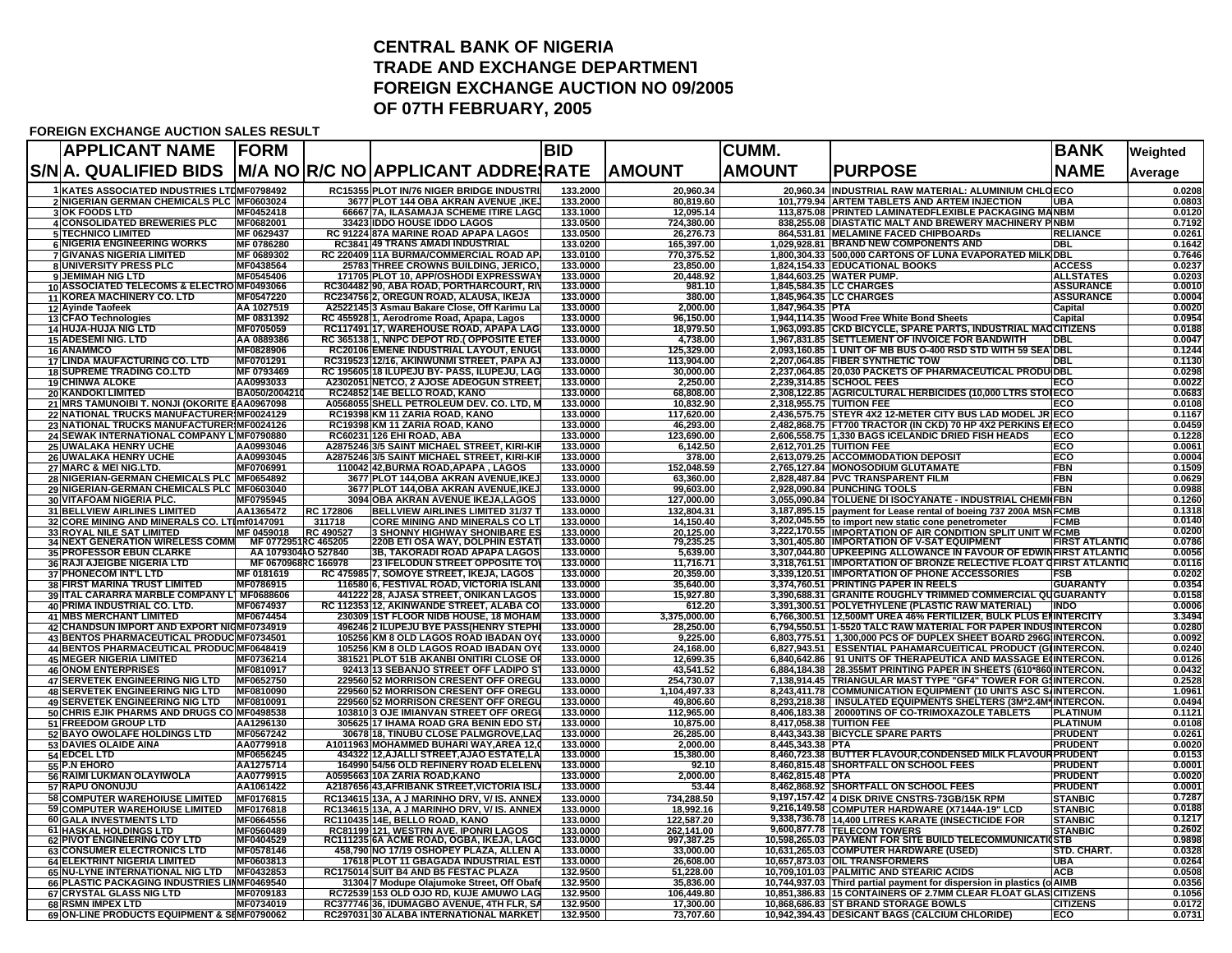## **CENTRAL BANK OF NIGERIA TRADE AND EXCHANGE DEPARTMENTFOREIGN EXCHANGE AUCTION NO 09/2005 OF 07TH FEBRUARY, 2005**

## **FOREIGN EXCHANGE AUCTION SALES RESULT**

| <b>APPLICANT NAME</b>                                                            | <b>FORM</b>                                |                            |                                                                                            | <b>BID</b>           |                          | <b>CUMM.</b>             |                                                                                                                                         | <b>BANK</b>                        | Weighted         |
|----------------------------------------------------------------------------------|--------------------------------------------|----------------------------|--------------------------------------------------------------------------------------------|----------------------|--------------------------|--------------------------|-----------------------------------------------------------------------------------------------------------------------------------------|------------------------------------|------------------|
| S/N A. QUALIFIED BIDS   M/A NO R/C NO APPLICANT ADDRE RATE                       |                                            |                            |                                                                                            |                      | <b>AMOUNT</b>            | <b>AMOUNT</b>            | <b>PURPOSE</b>                                                                                                                          | <b>NAME</b>                        | Average          |
| 1 KATES ASSOCIATED INDUSTRIES LTDMF0798492                                       |                                            |                            | <b>RC15355 PLOT IN/76 NIGER BRIDGE INDUSTR</b>                                             | 133.2000             | 20.960.34                |                          | 20,960.34 INDUSTRIAL RAW MATERIAL: ALUMINIUM CHLOECO                                                                                    |                                    | 0.0208           |
| 2 NIGERIAN GERMAN CHEMICALS PLC MF0603024<br><b>3OK FOODS LTD</b>                | MF0452418                                  |                            | 3677 PLOT 144 OBA AKRAN AVENUE , IKE,<br>66667 7A, ILASAMAJA SCHEME ITIRE LAGO             | 133.2000<br>133.1000 | 80,819.60<br>12,095.14   |                          | 101,779.94 ARTEM TABLETS AND ARTEM INJECTION<br>113,875.08 PRINTED LAMINATEDFLEXIBLE PACKAGING MANBM                                    | <b>UBA</b>                         | 0.0803<br>0.0120 |
| <b>4 CONSOLIDATED BREWERIES PLC</b>                                              | MF0682001                                  |                            | 33423 IDDO HOUSE IDDO LAGOS                                                                | 133.0500             | 724,380.00               |                          | 838,255.08 DIASTATIC MALT AND BREWERY MACHINERY PINBM                                                                                   |                                    | 0.7192           |
| <b>5 TECHNICO LIMITED</b>                                                        | MF 0629437                                 |                            | RC 91224 87A MARINE ROAD APAPA LAGOS                                                       | 133.0500             | 26,276.73                |                          | 864,531.81 MELAMINE FACED CHIPBOARDs                                                                                                    | <b>RELIANCE</b>                    | 0.0261           |
| <b>6 NIGERIA ENGINEERING WORKS</b>                                               | MF 0786280                                 |                            | <b>RC3841 49 TRANS AMADI INDUSTRIAL</b>                                                    | 133.0200             | 165,397.00               |                          | 1,029,928.81 BRAND NEW COMPONENTS AND                                                                                                   | DBL                                | 0.1642           |
| 7 GIVANAS NIGERIA LIMITED<br>8 UNIVERSITY PRESS PLC                              | MF 0689302<br>MF0438564                    |                            | RC 220409 11A BURMA/COMMERCIAL ROAD AP.<br>25783 THREE CROWNS BUILDING, JERICO,            | 133.0100<br>133.0000 | 770,375.52<br>23,850.00  |                          | 1,800,304.33 500,000 CARTONS OF LUNA EVAPORATED MILKIDBL<br>1,824,154.33 EDUCATIONAL BOOKS                                              | <b>ACCESS</b>                      | 0.7646<br>0.0237 |
| 9 JEMIMAH NIG LTD                                                                | MF0545406                                  |                            | 171705 PLOT 10, APP/OSHODI EXPRESSWAY                                                      | 133.0000             | 20,448.92                |                          | 1,844,603.25 WATER PUMP.                                                                                                                | <b>ALLSTATES</b>                   | 0.0203           |
| 10 ASSOCIATED TELECOMS & ELECTRO MF0493066                                       |                                            |                            | RC304482190, ABA ROAD, PORTHARCOURT, RIV                                                   | 133.0000             | 981.10                   |                          | 1,845,584.35 ILC CHARGES                                                                                                                | <b>ASSURANCE</b>                   | 0.0010           |
| 11 KOREA MACHINERY CO. LTD<br>12 Ayinde Taofeek                                  | MF0547220<br>AA 1027519                    |                            | RC234756 2, OREGUN ROAD, ALAUSA, IKEJA<br>A252214513 Asmau Bakare Close, Off Karimu La     | 133.0000<br>133.0000 | 380.00<br>2,000.00       | 1,847,964.35 PTA         | 1,845,964.35 ILC CHARGES                                                                                                                | <b>ASSURANCE</b><br>Capital        | 0.0004<br>0.0020 |
| 13 CFAO Technologies                                                             | MF 0831392                                 |                            | RC 455928 1, Aerodrome Road, Apapa, Lagos                                                  | 133,0000             | 96.150.00                |                          | 1,944,114.35 Wood Free White Bond Sheets                                                                                                | Capital                            | 0.0954           |
| 14 HUJA-HUJA NIG LTD                                                             | MF0705059                                  |                            | RC117491 17, WAREHOUSE ROAD, APAPA LAG                                                     | 133.0000             | 18,979.50                |                          | 1,963,093.85 CKD BICYCLE, SPARE PARTS, INDUSTRIAL MACCITIZENS                                                                           |                                    | 0.0188           |
| <b>15 ADESEMI NIG. LTD</b><br>16 ANAMMCO                                         | AA 0889386<br>MF0828906                    |                            | RC 365138 1, NNPC DEPOT RD. (OPPOSITE ETER<br>RC20106 EMENE INDUSTRIAL LAYOUT, ENUGL       | 133.0000<br>133.0000 | 4,738.00<br>125,329.00   |                          | 1,967,831.85 SETTLEMENT OF INVOICE FOR BANDWITH<br>2,093,160.85 1 UNIT OF MB BUS O-400 RSD STD WITH 59 SEA DBL                          | <b>TDBL</b>                        | 0.0047<br>0.1244 |
| 17 LINDA MAUFACTURING CO. LTD                                                    | MF0701291                                  |                            | RC319523 12/16, AKINWUNMI STREET, PAPA AJ                                                  | 133.0000             | 113,904.00               |                          | 2,207,064.85 FIBER SYNTHETIC TOW                                                                                                        | <b>DBL</b>                         | 0.1130           |
| <b>18 SUPREME TRADING CO.LTD</b>                                                 | MF 0793469                                 |                            | RC 195605 18 ILUPEJU BY- PASS, ILUPEJU, LAG                                                | 133.0000             | 30,000.00                |                          | 2,237,064.85 20,030 PACKETS OF PHARMACEUTICAL PRODUIDBL                                                                                 |                                    | 0.0298           |
| <b>19 CHINWA ALOKE</b>                                                           | AA0993033                                  |                            | A2302051 NETCO, 2 AJOSE ADEOGUN STREET                                                     | 133.0000             | 2,250.00                 |                          | 2,239,314.85 SCHOOL FEES                                                                                                                | ECO                                | 0.0022           |
| 20 KANDOKI LIMITED<br>21 MRS TAMUNOIBI T. NONJI (OKORITE EAA0967098              | BA050/200421                               |                            | RC24852 14E BELLO ROAD, KANO<br>A0568055 SHELL PETROLEUM DEV. CO. LTD, M                   | 133.0000<br>133.0000 | 68,808.00<br>10,832.90   | 2,318,955.75 TUITION FEE | 2,308,122.85 AGRICULTURAL HERBICIDES (10,000 LTRS STOIECO                                                                               | ECO                                | 0.0683<br>0.0108 |
| 22 NATIONAL TRUCKS MANUFACTURER MF0024129                                        |                                            |                            | RC19398 KM 11 ZARIA ROAD, KANO                                                             | 133.0000             | 117.620.00               |                          | 2,436,575.75 STEYR 4X2 12-METER CITY BUS LAD MODEL JR ECO                                                                               |                                    | 0.1167           |
| 23 NATIONAL TRUCKS MANUFACTURER MF0024126                                        |                                            |                            | RC19398 KM 11 ZARIA ROAD, KANO                                                             | 133.0000             | 46,293.00                |                          | 2,482,868.75 FT700 TRACTOR (IN CKD) 70 HP 4X2 PERKINS EIECO                                                                             |                                    | 0.0459           |
| 24 SEWAK INTERNATIONAL COMPANY LIMF0790880                                       |                                            |                            | RC60231 126 EHI ROAD, ABA                                                                  | 133.0000             | 123,690.00               |                          | 2,606,558.75 1,330 BAGS ICELANDIC DRIED FISH HEADS                                                                                      | ECO                                | 0.1228           |
| <b>25 UWALAKA HENRY UCHE</b><br><b>26 UWALAKA HENRY UCHE</b>                     | AA0993046<br>AA0993045                     |                            | A2875246 3/5 SAINT MICHAEL STREET, KIRI-KIR<br>A2875246 3/5 SAINT MICHAEL STREET, KIRI-KIR | 133,0000<br>133,0000 | 6.142.50<br>378.00       | 2.612.701.25 TUITION FEE | 2.613.079.25 ACCOMMODATION DEPOSIT                                                                                                      | ECO<br>ECO                         | 0.0061<br>0.0004 |
| 27 MARC & MEI NIG.LTD.                                                           | MF0706991                                  |                            | 110042 42,BURMA ROAD,APAPA , LAGOS                                                         | 133.0000             | 152.048.59               |                          | 2,765,127.84   MONOSODIUM GLUTAMATE                                                                                                     | <b>FBN</b>                         | 0.1509           |
| 28 NIGERIAN-GERMAN CHEMICALS PLC MF0654892                                       |                                            |                            | 3677 PLOT 144, OBA AKRAN AVENUE, IKEJ                                                      | 133,0000             | 63.360.00                |                          | 2,828,487.84 PVC TRANSPARENT FILM                                                                                                       | <b>FBN</b>                         | 0.0629           |
| 29 NIGERIAN-GERMAN CHEMICALS PLC MF0603040                                       |                                            |                            | 3677 PLOT 144, OBA AKRAN AVENUE, IKEJ                                                      | 133,0000             | 99.603.00                |                          | 2,928,090.84 PUNCHING TOOLS                                                                                                             | FBN                                | 0.0988           |
| 30 VITAFOAM NIGERIA PLC.                                                         | MF0795945                                  |                            | 3094 OBA AKRAN AVENUE IKEJA,LAGOS                                                          | 133.0000             | 127,000.00               |                          | 3,055,090.84 TOLUENE DI ISOCYANATE - INDUSTRIAL CHEMI(FBN                                                                               |                                    | 0.1260<br>0.1318 |
| 31 BELLVIEW AIRLINES LIMITED<br>32 CORE MINING AND MINERALS CO. LTImf0147091     | AA1365472                                  | <b>RC 172806</b><br>311718 | <b>BELLVIEW AIRLINES LIMITED 31/37 T</b><br><b>CORE MINING AND MINERALS CO LT</b>          | 133,0000<br>133.0000 | 132,804.31<br>14,150.40  |                          | 3,187,895.15 payment for Lease rental of boeing 737 200A MSNFCMB<br>3,202,045.55 to import new static cone penetrometer                 | <b>IFCMB</b>                       | 0.0140           |
| <b>33 ROYAL NILE SAT LIMITED</b>                                                 | MF 0459018                                 | RC 490527                  | <b>3 SHONNY HIGHWAY SHONIBARE ES</b>                                                       | 133.0000             | 20,125.00                |                          | 3,222,170.55 IMPORTATION OF AIR CONDITION SPLIT UNIT WIFCMB                                                                             |                                    | 0.0200           |
| 34 NEXT GENERATION WIRELESS COMM MF 0772951RC 465205                             |                                            |                            | <b>220B ETI OSA WAY, DOLPHIN ESTAT</b>                                                     | 133.0000             | 79,235.25                |                          | 3,301,405.80 IMPORTATION OF V-SAT EQUIPMENT                                                                                             | <b>FIRST ATLANTIC</b>              | 0.0786           |
| 35 PROFESSOR EBUN CLARKE<br>36 RAJI AJEIGBE NIGERIA LTD                          | AA 1079304AO 527840<br>MF 0670968RC 166978 |                            | <b>3B, TAKORADI ROAD APAPA LAGOS</b><br><b>23 IFELODUN STREET OPPOSITE TO</b>              | 133.0000<br>133.0000 | 5,639.00<br>11,716.71    |                          | 3,307,044.80 UPKEEPING ALLOWANCE IN FAVOUR OF EDWINFIRST ATLANTIC<br>3,318,761.51 IMPORTATION OF BRONZE RELECTIVE FLOAT GFIRST ATLANTIC |                                    | 0.0056<br>0.0116 |
| 37 PHONECOM INT'L LTD                                                            | MF 0181619                                 |                            | RC 475985 7, SOMOYE STREET, IKEJA, LAGOS                                                   | 133.0000             | 20,359.00                |                          | 3,339,120.51 IMPORTATION OF PHONE ACCESSORIES                                                                                           | <b>FSB</b>                         | 0.0202           |
| <b>38 FIRST MARINA TRUST LIMITED</b>                                             | MF0786915                                  |                            | 116580 6, FESTIVAL ROAD, VICTORIA ISLAN                                                    | 133.0000             | 35,640.00                |                          | 3,374,760.51 PRINTING PAPER IN REELS                                                                                                    | <b>GUARANTY</b>                    | 0.0354           |
| 39 ITAL CARARRA MARBLE COMPANY L] MF0688606                                      |                                            |                            | 441222 28, AJASA STREET, ONIKAN LAGOS                                                      | 133.0000             | 15,927.80                |                          | 3,390,688.31 GRANITE ROUGHLY TRIMMED COMMERCIAL QUGUARANTY                                                                              |                                    | 0.0158           |
| 40 PRIMA INDUSTRIAL CO. LTD.<br><b>41 MBS MERCHANT LIMITED</b>                   | MF0674937<br>MF0674454                     |                            | RC 112353 12, AKINWANDE STREET, ALABA CO<br>230309 1ST FLOOR NIDB HOUSE, 18 MOHAM          | 133.0000<br>133.0000 | 612.20<br>3,375,000.00   |                          | 3,391,300.51 POLYETHYLENE (PLASTIC RAW MATERIAL)   INDO<br>6,766,300.51 12,500MT UREA 46% FERTILIZER, BULK PLUS ENINTERCITY             |                                    | 0.0006<br>3.3494 |
| 42 CHANDSUN IMPORT AND EXPORT NIGMF0734919                                       |                                            |                            | 496246 2 ILUPEJU BYE PASS(HENRY STEPHI                                                     | 133,0000             | 28.250.00                |                          | 6,794,550.51 1-5520 TALC RAW MATERIAL FOR PAPER INDUSINTERCON                                                                           |                                    | 0.0280           |
| 43 BENTOS PHARMACEUTICAL PRODUC MF0734501                                        |                                            |                            | 105256 KM 8 OLD LAGOS ROAD IBADAN OY                                                       | 133,0000             | 9,225.00                 |                          | 6,803,775.51   1,300,000 PCS OF DUPLEX SHEET BOARD 296G INTERCON.                                                                       |                                    | 0.0092           |
| 44 BENTOS PHARMACEUTICAL PRODUC MF0648419                                        |                                            |                            | 105256 KM 8 OLD LAGOS ROAD IBADAN OY                                                       | 133.0000             | 24,168.00                |                          | 6,827,943.51 ESSENTIAL PAHAMARCUEITICAL PRODUCT (GIINTERCON.                                                                            |                                    | 0.0240           |
| <b>45 MEGER NIGERIA LIMITED</b><br><b>46 ONOM ENTERPRISES</b>                    | MF0736214<br>MF0810917                     |                            | 381521 PLOT 51B AKANBI ONITIRI CLOSE OF<br>92413 13 SEBANJO STREET OFF LADIPO S'           | 133.0000<br>133.0000 | 12,699.35<br>43,541.52   |                          | 6,840,642.86   91 UNITS OF THERAPEUTICA AND MASSAGE EQINTERCON<br>6,884,184.38   28.355MT PRINTING PAPER IN SHEETS (610*860 INTERCON    |                                    | 0.0126<br>0.0432 |
| <b>47 SERVETEK ENGINEERING NIG LTD</b>                                           | MF0652750                                  |                            | 229560 52 MORRISON CRESENT OFF OREGU                                                       | 133.0000             | 254,730.07               |                          | 7,138,914.45 TRIANGULAR MAST TYPE "GF4" TOWER FOR GIINTERCON.                                                                           |                                    | 0.2528           |
| 48 SERVETEK ENGINEERING NIG LTD                                                  | MF0810090                                  |                            | 229560 52 MORRISON CRESENT OFF OREGU                                                       | 133,0000             | 1,104,497.33             |                          | 8,243,411.78 COMMUNICATION EQUIPMENT (10 UNITS ASC S/INTERCON.                                                                          |                                    | 1.0961           |
| <b>49 SERVETEK ENGINEERING NIG LTD</b>                                           | MF0810091                                  |                            | 229560 52 MORRISON CRESENT OFF OREGU                                                       | 133.0000             | 49,806.60                |                          | 8,293,218.38   INSULATED EQUIPMENTS SHELTERS (3M*2.4M*INTERCON.                                                                         |                                    | 0.0494           |
| 50 CHRIS EJIK PHARMS AND DRUGS CO MF0498538<br>51 FREEDOM GROUP LTD              | AA1296130                                  |                            | 103810 3 OJE IMIANVAN STREET OFF OREG<br>305625 17 IHAMA ROAD GRA BENIN EDO ST/            | 133,0000<br>133.0000 | 112,965.00<br>10,875.00  | 8,417,058.38 TUITION FEE | 8,406,183.38   20000TINS OF CO-TRIMOXAZOLE TABLETS                                                                                      | <b>PLATINUM</b><br><b>PLATINUM</b> | 0.1121<br>0.0108 |
| 52 BAYO OWOLAFE HOLDINGS LTD                                                     | MF0567242                                  |                            | 30678 18, TINUBU CLOSE PALMGROVE,LAC                                                       | 133,0000             | 26,285.00                |                          | 8,443,343.38 BICYCLE SPARE PARTS                                                                                                        | <b>PRUDENT</b>                     | 0.0261           |
| 53 DAVIES OLAIDE AINA                                                            | AA0779918                                  |                            | A1011963 MOHAMMED BUHARI WAY, AREA 12,0                                                    | 133,0000             | 2.000.00                 | 8,445,343.38 PTA         |                                                                                                                                         | <b>PRUDENT</b>                     | 0.0020           |
| 54 EDCEL LTD                                                                     | MF0656245                                  |                            | 434322 12, AJALLI STREET, AJAO ESTATE, LA                                                  | 133,0000             | 15,380.00                |                          | 8.460.723.38 BUTTER FLAVOUR.CONDENSED MILK FLAVOURPRUDENT                                                                               |                                    | 0.0153           |
| 55 P.N EHORO<br>56 RAIMI LUKMAN OLAYIWOLA                                        | AA1275714<br>AA0779915                     |                            | 164990 54/56 OLD REFINERY ROAD ELELEN<br>A0595663110A ZARIA ROAD.KANO                      | 133,0000<br>133.0000 | 92.10<br>2.000.00        | 8.462.815.48 PTA         | 8,460,815.48 SHORTFALL ON SCHOOL FEES                                                                                                   | <b>PRUDENT</b><br><b>PRUDENT</b>   | 0.0001<br>0.0020 |
| 57 RAPU ONONUJU                                                                  | AA1061422                                  |                            | A2187656143, AFRIBANK STREET, VICTORIA ISL                                                 | 133.0000             | 53.44                    |                          | 8,462,868.92 SHORTFALL ON SCHOOL FEES                                                                                                   | <b>PRUDENT</b>                     | 0.0001           |
| <b>58 COMPUTER WAREHOIUSE LIMITED</b>                                            | MF0176815                                  |                            | RC134615 13A, A J MARINHO DRV, V/ IS. ANNE.                                                | 133.0000             | 734,288.50               |                          | 9,197,157.42 4 DISK DRIVE CNSTRS-73GB/15K RPM                                                                                           | <b>STANBIC</b>                     | 0.7287           |
| 59 COMPUTER WAREHOIUSE LIMITED                                                   | MF0176818                                  |                            | RC134615 13A, A J MARINHO DRV, V/ IS, ANNEY                                                | 133.0000             | 18,992.16                |                          | 9,216,149.58 COMPUTER HARDWARE (X7144A-19" LCD                                                                                          | <b>STANBIC</b>                     | 0.0188           |
| <b>60 GALA INVESTMENTS LTD</b><br><b>61 HASKAL HOLDINGS LTD</b>                  | MF0664556                                  |                            | RC110435 14E, BELLO ROAD, KANO                                                             | 133.0000<br>133.0000 | 122.587.20<br>262,141.00 |                          | 9,338,736.78 14,400 LITRES KARATE (INSECTICIDE FOR                                                                                      | <b>STANBIC</b><br><b>STANBIC</b>   | 0.1217<br>0.2602 |
| 62 PIVOT ENGINEERING COY LTD                                                     | MF0560489<br>MF0404529                     |                            | RC81199 121, WESTRN AVE. IPONRI LAGOS<br>RC111235 6A ACME ROAD, OGBA, IKEJA, LAGO          | 133.0000             | 997,387.25               |                          | 9,600,877.78 TELECOM TOWERS<br>10,598,265.03 PAYMENT FOR SITE BUILD TELECOMMUNICATIQSTB                                                 |                                    | 0.9898           |
| 63 CONSUMER ELECTRONICS LTD                                                      | MF0578146                                  |                            | 458,790 NO 17/19 OSHOPEY PLAZA, ALLEN A                                                    | 133.0000             | 33,000.00                |                          | 10,631,265.03 COMPUTER HARDWARE (USED)                                                                                                  | <b>STD. CHART.</b>                 | 0.0328           |
| 64 ELEKTRINT NIGERIA LIMITED                                                     | MF0603813<br>MF0432853                     |                            | 17618 PLOT 11 GBAGADA INDUSTRIAL EST                                                       | 133.0000             | 26,608.00                |                          | 10,657,873.03 OIL TRANSFORMERS                                                                                                          | <b>UBA</b>                         | 0.0264           |
| 65 NU-LYNE INTERNATIONAL NIG LTD<br>66 PLASTIC PACKAGING INDUSTRIES LINMF0469540 |                                            |                            | RC175014 SUIT B4 AND B5 FESTAC PLAZA<br>31304 7 Modupe Olajumoke Street, Off Obaf          | 132.9500<br>132.9500 | 51,228.00<br>35,836.00   |                          | 10,709,101.03 PALMITIC AND STEARIC ACIDS<br>10,744,937.03 Third partial payment for dispersion in plastics (o AIMB                      | <b>ACB</b>                         | 0.0508<br>0.0356 |
| 67 CRYSTAL GLASS NIG LTD                                                         | MF0709183                                  |                            | RC72539 153 OLD OJO RD, KUJE AMUWO LAG                                                     | 132.9500             | 106,449.80               |                          | 10,851,386.83 15 CONTAINERS OF 2.7MM CLEAR FLOAT GLASICITIZENS                                                                          |                                    | 0.1056           |
| 68 RSMN IMPEX LTD                                                                | MF0734019                                  |                            | RC377746 36, IDUMAGBO AVENUE, 4TH FLR, SA                                                  | 132.9500             | 17,300.00                |                          | 10,868,686.83 ST BRAND STORAGE BOWLS                                                                                                    | <b>CITIZENS</b>                    | 0.0172           |
| 69 ON-LINE PRODUCTS EQUIPMENT & SEMF0790062                                      |                                            |                            | RC297031 30 ALABA INTERNATIONAL MARKET                                                     | 132.9500             | 73,707.60                |                          | 10,942,394.43 DESICANT BAGS (CALCIUM CHLORIDE)                                                                                          | ECO                                | 0.0731           |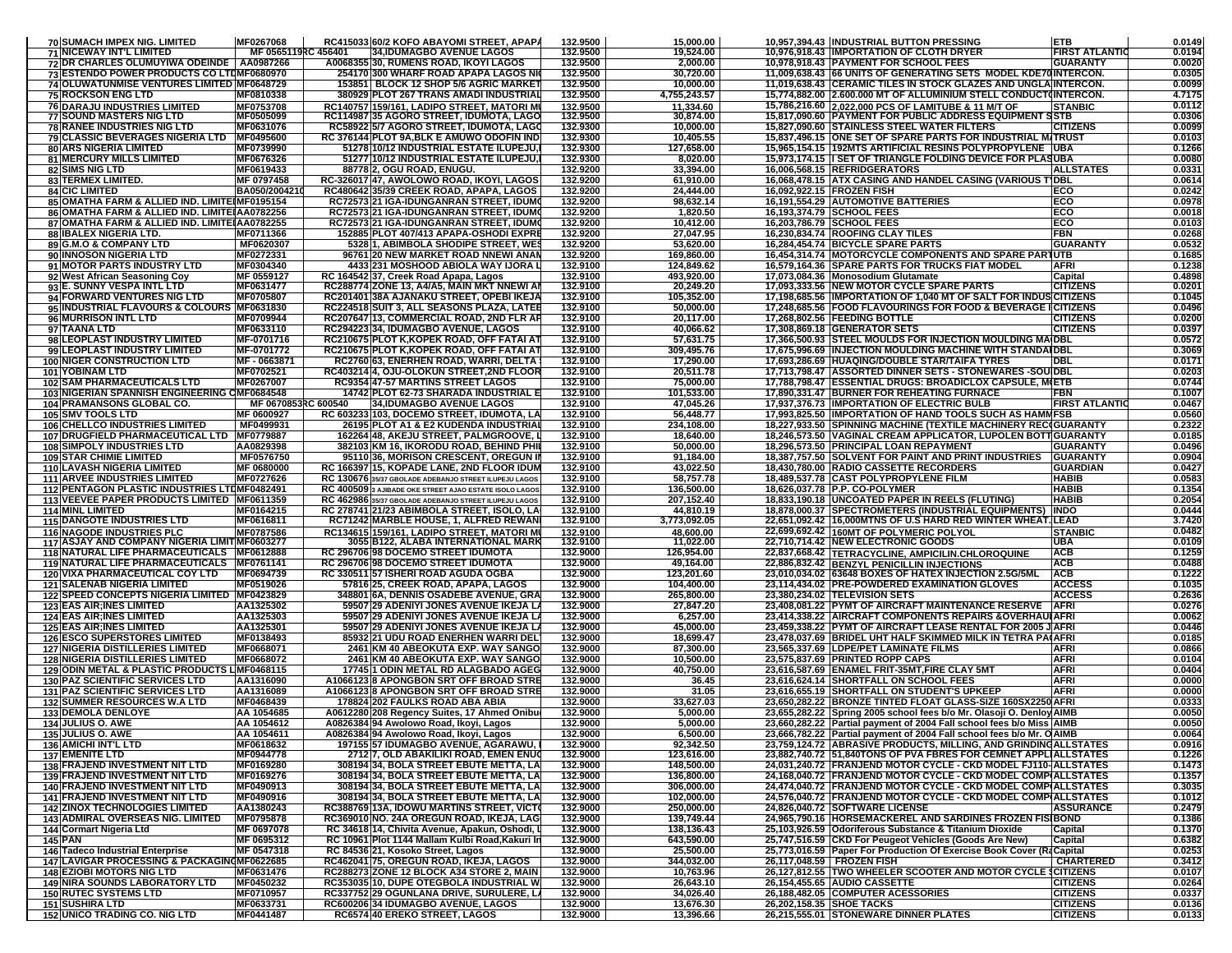| 70 SUMACH IMPEX NIG. LIMITED                                                                | MF0267068                     | RC415033160/2 KOFO ABAYOMI STREET. APAPA                                                           | 132.9500             | 15,000.00                | 10,957,394.43 INDUSTRIAL BUTTON PRESSING                                                                                                   | <b>ETB</b>                         | 0.0149           |
|---------------------------------------------------------------------------------------------|-------------------------------|----------------------------------------------------------------------------------------------------|----------------------|--------------------------|--------------------------------------------------------------------------------------------------------------------------------------------|------------------------------------|------------------|
| <b>71 NICEWAY INT'L LIMITED</b>                                                             | MF 0565119RC 456401           | 34, IDUMAGBO AVENUE LAGOS                                                                          | 132.9500             | 19,524.00                | 10,976,918.43 IMPORTATION OF CLOTH DRYER                                                                                                   | <b>FIRST ATLANTIC</b>              | 0.0194           |
| 72 DR CHARLES OLUMUYIWA ODEINDE   AA0987266                                                 |                               | A0068355 30, RUMENS ROAD, IKOYI LAGOS                                                              | 132.9500             | 2,000.00                 | 10,978,918.43 PAYMENT FOR SCHOOL FEES                                                                                                      | <b>GUARANTY</b>                    | 0.0020           |
| 73 ESTENDO POWER PRODUCTS CO LTDMF0680970                                                   |                               | 254170 300 WHARF ROAD APAPA LAGOS NI                                                               | 132.9500             | 30,720.00                | 11,009,638.43 66 UNITS OF GENERATING SETS MODEL KDE70INTERCON                                                                              |                                    | 0.0305           |
| 74 OLUWATUNMISE VENTURES LIMITED MF0648729                                                  |                               | 153851 BLOCK 12 SHOP 5/6 AGRIC MARKET                                                              | 132.9500             | 10,000.00                | 11,019,638.43 CERAMIC TILES IN STOCK GLAZES AND UNGLAINTERCON.<br>15.774.882.00 2.600.000 MT OF ALLUMINIUM STELL CONDUCT(INTERCON.         |                                    | 0.0099           |
| <b>75 ROCKSON ENG LTD</b>                                                                   | MF0810338<br>MF0753708        | 380929 PLOT 267 TRANS AMADI INDUSTRIAL                                                             | 132.9500             | 4,755,243.57             |                                                                                                                                            |                                    | 4.7175<br>0.0112 |
| <b>76 DARAJU INDUSTRIES LIMITED</b><br><b>77 SOUND MASTERS NIG LTD</b>                      | <b>MF0505099</b>              | RC140757 159/161, LADIPO STREET, MATORI MI<br>RC114987 35 AGORO STREET, IDUMOTA, LAGO              | 132.9500<br>132.9500 | 11,334.60<br>30,874.00   | 15,786,216.60 2,022,000 PCS OF LAMITUBE & 11 M/T OF<br>15,817,090.60 PAYMENT FOR PUBLIC ADDRESS EQUIPMENT SSTB                             | <b>STANBIC</b>                     | 0.0306           |
| <b>78 RANEE INDUSTRIES NIG LTD</b>                                                          | MF0631076                     | RC58922 5/7 AGORO STREET, IDUMOTA, LAGO                                                            | 132.9300             | 10,000.00                | 15,827,090.60 STAINLESS STEEL WATER FILTERS                                                                                                | <b>CITIZENS</b>                    | 0.0099           |
| 79 CLASSIC BEVERAGES NIGERIA LTD   MF0495600                                                |                               | RC 376144 PLOT 9A, BLK E AMUWO ODOFIN IND                                                          | 132.9300             | 10,405.55                | 15,837,496.15 ONE SET OF SPARE PARTS FOR INDUSTRIAL MITRUST                                                                                |                                    | 0.0103           |
| <b>80 ARS NIGERIA LIMITED</b>                                                               | MF0739990                     | 51278 10/12 INDUSTRIAL ESTATE ILUPEJU                                                              | 132.9300             | 127,658.00               | 15,965,154.15 192MTS ARTIFICIAL RESINS POLYPROPYLENE UBA                                                                                   |                                    | 0.1266           |
| 81 MERCURY MILLS LIMITED                                                                    | MF0676326                     | 51277 10/12 INDUSTRIAL ESTATE ILUPEJU,                                                             | 132.9300             | 8,020.00                 | 15,973,174.15 I SET OF TRIANGLE FOLDING DEVICE FOR PLASUBA                                                                                 |                                    | 0.0080           |
| <b>82 SIMS NIG LTD</b>                                                                      | MF0619433                     | 88778 2, OGU ROAD, ENUGU.                                                                          | 132.9200             | 33,394.00                | 16,006,568.15 REFRIDGERATORS                                                                                                               | <b>ALLSTATES</b>                   | 0.0331           |
| <b>83 TERMEX LIMITED.</b><br><b>84 CIC LIMITED</b>                                          | MF 0797458<br>BA050/200421    | RC-326017 47, AWOLOWO ROAD, IKOYI, LAGOS<br>RC480642 35/39 CREEK ROAD, APAPA, LAGOS                | 132.9200<br>132.9200 | 61,910.00<br>24,444.00   | 16,068,478.15 ATX CASING AND HANDEL CASING (VARIOUS TIDBL<br>16.092.922.15 FROZEN FISH                                                     | ECO                                | 0.0614<br>0.0242 |
| 85 OMATHA FARM & ALLIED IND. LIMITEIMF0195154                                               |                               | RC72573 21 IGA-IDUNGANRAN STREET, IDUM                                                             | 132.9200             | 98,632.14                | 16,191,554.29 AUTOMOTIVE BATTERIES                                                                                                         | ECO                                | 0.0978           |
| 86 OMATHA FARM & ALLIED IND. LIMITE AA0782256                                               |                               | RC72573 21 IGA-IDUNGANRAN STREET, IDUM                                                             | 132.9200             | 1,820.50                 | 16,193,374.79 SCHOOL FEES                                                                                                                  | ECO                                | 0.0018           |
| 87 OMATHA FARM & ALLIED IND. LIMITE AA0782255                                               |                               | RC72573 21 IGA-IDUNGANRAN STREET, IDUM                                                             | 132.9200             | 10,412.00                | 16,203,786.79 SCHOOL FEES                                                                                                                  | ECO                                | 0.010            |
| <b>88 IBALEX NIGERIA LTD.</b>                                                               | MF0711366                     | 152885 PLOT 407/413 APAPA-OSHODI EXPRE                                                             | 132.9200             | 27,047.95                | 16,230,834.74 ROOFING CLAY TILES                                                                                                           | <b>FBN</b>                         | 0.0268           |
| 89 G.M.O & COMPANY LTD                                                                      | MF0620307<br>MF0272331        | 5328 1, ABIMBOLA SHODIPE STREET, WES<br>96761120 NEW MARKET ROAD NNEWI ANAM                        | 132.9200             | 53,620.00                | 16,284,454.74 BICYCLE SPARE PARTS                                                                                                          | <b>GUARANTY</b>                    | 0.0532           |
| 90 INNOSON NIGERIA LTD<br>91 MOTOR PARTS INDUSTRY LTD                                       | MF0304340                     | 4433 231 MOSHOOD ABIOLA WAY IJORA L                                                                | 132.9200<br>132.9100 | 169,860.00<br>124,849.62 | 16,454,314.74   MOTORCYCLE COMPONENTS AND SPARE PARTUTB<br>16,579,164.36 SPARE PARTS FOR TRUCKS FIAT MODEL                                 | <b>AFRI</b>                        | 0.1685<br>0.1238 |
| 92 West African Seasoning Coy                                                               | MF 0559127                    | RC 164542 37, Creek Road Apapa, Lagos                                                              | 132.9100             | 493,920.00               | 17,073,084.36 Monosodium Glutamate                                                                                                         | Capital                            | 0.4898           |
| 93 E. SUNNY VESPA INTL LTD                                                                  | MF0631477                     | RC288774 ZONE 13, A4/A5, MAIN MKT NNEWI AI                                                         | 132.9100             | 20,249.20                | 17,093,333.56 NEW MOTOR CYCLE SPARE PARTS                                                                                                  | <b>CITIZENS</b>                    | 0.0201           |
| 94 FORWARD VENTURES NIG LTD                                                                 | MF0705807                     | RC201401 38A AJANAKU STREET, OPEBI IKEJA                                                           | 132.9100             | 105,352.00               | 17,198,685.56 IMPORTATION OF 1,040 MT OF SALT FOR INDUSCITIZENS                                                                            |                                    | 0.1045           |
| 95 INDUSTRIAL FLAVOURS & COLOURS MF0631830                                                  |                               | RC224518 SUIT 3, ALL SEASONS PLAZA, LATEE                                                          | 132.9100             | 50,000.00                | 17,248,685.56   FOOD FLAVOURINGS FOR FOOD & BEVERAGE I CITIZENS                                                                            |                                    | 0.0496           |
| 96 MURRISON INTL LTD<br>97 TAANA LTD                                                        | MF0709944<br>MF0633110        | RC207647 13, COMMERCIAL ROAD, 2ND FLR AF<br>RC294223 34, IDUMAGBO AVENUE, LAGOS                    | 132.9100<br>132.9100 | 20,117.00                | 17,268,802.56 FEEDING BOTTLE<br>17,308,869.18 GENERATOR SETS                                                                               | <b>CITIZENS</b><br><b>CITIZENS</b> | 0.0200<br>0.0397 |
| 98 LEOPLAST INDUSTRY LIMITED                                                                | <b>MF-0701716</b>             | RC210675 PLOT K,KOPEK ROAD, OFF FATAI AT                                                           | 132.9100             | 40,066.62<br>57,631.75   | 17,366,500.93 STEEL MOULDS FOR INJECTION MOULDING MAIDBL                                                                                   |                                    | 0.0572           |
| 99 LEOPLAST INDUSTRY LIMITED                                                                | MF-0701772                    | RC210675 PLOT K, KOPEK ROAD, OFF FATAI AT                                                          | 132.9100             | 309,495.76               | 17,675,996.69 INJECTION MOULDING MACHINE WITH STANDAIDBL                                                                                   |                                    | 0.3069           |
| <b>100 NIGER CONSTRUCTION LTD</b>                                                           | MF-0663871                    | RC2760 63, ENERHEN ROAD, WARRI, DELTA                                                              | 132.9100             | 17,290.00                | 17,693,286.69 HUAQING/DOUBLE STAR/TAIFA TYRES                                                                                              | DBI                                | 0.0171           |
| 101 YOBINAM LTD                                                                             | MF0702521                     | RC403214 4, OJU-OLOKUN STREET,2ND FLOOR                                                            | 132.9100             | 20,511.78                | 17,713,798.47 ASSORTED DINNER SETS - STONEWARES -SOUIDBL                                                                                   |                                    | 0.0203           |
| 102 SAM PHARMACEUTICALS LTD                                                                 | MF0267007                     | <b>RC9354 47-57 MARTINS STREET LAGOS</b>                                                           | 132.9100             | 75,000.00                | 17,788,798.47 ESSENTIAL DRUGS: BROADICLOX CAPSULE, MIETB                                                                                   |                                    | 0.0744           |
| 103 NIGERIAN SPANNISH ENGINEERING OMF0684548<br>104 PRAMANSONS GLOBAL CO.                   | MF 0670853RC 600540           | 14742 PLOT 62-73 SHARADA INDUSTRIAL E<br>34, IDUMAGBO AVENUE LAGOS                                 | 132.9100<br>132.9100 | 101,533.00<br>47,045.26  | 17,890,331.47 BURNER FOR REHEATING FURNACE<br>17.937.376.73 IIMPORTATION OF ELECTRIC BULB                                                  | FBN<br><b>FIRST ATLANTIC</b>       | 0.1007<br>0.0467 |
| 105 SMV TOOLS LTD                                                                           | MF 0600927                    | RC 603233 103, DOCEMO STREET, IDUMOTA, LA                                                          | 132.9100             | 56,448.77                | 17,993,825.50 IMPORTATION OF HAND TOOLS SUCH AS HAMMFSB                                                                                    |                                    | 0.0560           |
| 106 CHELLCO INDUSTRIES LIMITED                                                              | MF0499931                     | 26195 PLOT A1 & E2 KUDENDA INDUSTRIAI                                                              | 132.9100             | 234,108.00               | 18,227,933.50 SPINNING MACHINE (TEXTILE MACHINERY REC(GUARANTY                                                                             |                                    | 0.2322           |
| 107 DRUGFIELD PHARMACEUTICAL LTD   MF0779887                                                |                               | 162264 48, AKEJU STREET, PALMGROOVE, I                                                             | 132.9100             | 18,640.00                | 18,246,573.50 VAGINAL CREAM APPLICATOR, LUPOLEN BOTTGUARANTY                                                                               |                                    | 0.0185           |
| <b>108 SIMPOLY INDUSTRIES LTD</b>                                                           | AA0829398                     | 382103 KM 16, IKORODU ROAD, BEHIND PHI                                                             | 132.9100             | 50,000.00                | 18,296,573.50 PRINCIPAL LOAN REPAYMENT                                                                                                     | <b>GUARANTY</b>                    | 0.0496           |
| <b>109 STAR CHIMIE LIMITED</b>                                                              | <b>MF0576750</b>              | 95110 36, MORISON CRESCENT, OREGUN II                                                              | 132.9100             | 91,184.00                | 18.387.757.50 SOLVENT FOR PAINT AND PRINT INDUSTRIES                                                                                       | <b>GUARANTY</b>                    | 0.0904           |
| <b>110 LAVASH NIGERIA LIMITED</b><br><b>111 ARVEE INDUSTRIES LIMITED</b>                    | MF 0680000<br>MF0727626       | RC 166397 15, KOPADE LANE, 2ND FLOOR IDUM<br>RC 130676 35/37 GBOLADE ADEBANJO STREET ILUPEJU LAGOS | 132.9100<br>132.9100 | 43,022.50<br>58,757.78   | 18,430,780.00 RADIO CASSETTE RECORDERS<br>18,489,537.78 CAST POLYPROPYLENE FILM                                                            | <b>GUARDIAN</b><br>HABIB           | 0.0427<br>0.0583 |
| 112 PENTAGON PLASTIC INDUSTRIES LTDMF0482491                                                |                               | RC 400509 3 AJIBADE OKE STREET AJAO ESTATE ISOLO LAGOS                                             | 132.9100             | 136,500.00               | 18,626,037.78 P.P. CO-POLYMER                                                                                                              | <b>HABIB</b>                       | 0.1354           |
| 113 VEEVEE PAPER PRODUCTS LIMITED MF0611359                                                 |                               | RC 462986 35/37 GBOLADE ADEBANJO STREET ILUPEJU LAGOS                                              | 132.9100             | 207,152.40               | 18,833,190.18 UNCOATED PAPER IN REELS (FLUTING)                                                                                            | <b>HABIB</b>                       | 0.2054           |
| 114 MINL LIMITED                                                                            | MF0164215                     | RC 278741 21/23 ABIMBOLA STREET, ISOLO, LA                                                         | 132.9100             | 44,810.19                | 18,878,000.37   SPECTROMETERS (INDUSTRIAL EQUIPMENTS)  INDO                                                                                |                                    | 0.0444           |
| <b>115 DANGOTE INDUSTRIES LTD</b>                                                           | MF0616811                     | RC71242 MARBLE HOUSE, 1, ALFRED REWAN                                                              | 132.9100             | 3,773,092.05             | 22,651,092.42 16,000MTNS OF U.S HARD RED WINTER WHEAT. LEAD                                                                                |                                    | 3.7420           |
| <b>116 NAGODE INDUSTRIES PLC</b>                                                            | MF0787586                     | RC134615 159/161, LADIPO STREET, MATORI MI                                                         | 132.9100             | 48,600.00                | 22,699,692.42 160MT OF POLYMERIC POLYOL                                                                                                    | <b>STANBIC</b><br><b>UBA</b>       | 0.0482<br>0.0109 |
| 117 ASJAY AND COMPANY NIGERIA LIMIT MF0603277<br>118 NATURAL LIFE PHARMACEUTICALS MF0612888 |                               | 3055 B122, ALABA INTERNATIONAL MARK<br>RC 296706 98 DOCEMO STREET IDUMOTA                          | 132.9100<br>132.9000 | 11,022.00<br>126,954.00  | 22,710,714.42 NEW ELECTRONIC GOODS<br>22,837,668.42 TETRACYCLINE, AMPICILIN.CHLOROQUINE                                                    | <b>ACB</b>                         | 0.1259           |
| 119 NATURAL LIFE PHARMACEUTICALS   MF0761141                                                |                               | RC 296706 98 DOCEMO STREET IDUMOTA                                                                 | 132.9000             | 49,164.00                | 22,886,832.42 BENZYL PENICILLIN INJECTIONS                                                                                                 | <b>ACB</b>                         | 0.0488           |
| 120 VIXA PHARMACEUTICAL COY LTD                                                             | MF0694739                     | <b>RC 330511 57 ISHERI ROAD AGUDA OGBA</b>                                                         | 132.9000             | 123,201.60               | 23,010,034.02 63648 BOXES OF HATEX INJECTION 2.5G/5ML                                                                                      | <b>ACB</b>                         | 0.1222           |
| <b>121 SALENAB NIGERIA LIMITED</b>                                                          | MF0519026                     | 57816 25, CREEK ROAD, APAPA, LAGOS                                                                 | 132.9000             | 104,400.00               | 23,114,434.02 PRE-POWDERED EXAMINATION GLOVES                                                                                              | <b>ACCESS</b>                      | 0.1035           |
| 122 SPEED CONCEPTS NIGERIA LIMITED MF0423829                                                |                               | 348801 6A, DENNIS OSADEBE AVENUE, GRA                                                              | 132.9000             | 265,800.00               | 23,380,234.02 TELEVISION SETS                                                                                                              | <b>ACCESS</b>                      | 0.2636           |
| <b>123 EAS AIR; INES LIMITED</b><br><b>124 EAS AIR; INES LIMITED</b>                        | AA1325302<br>AA1325303        | 59507 29 ADENIYI JONES AVENUE IKEJA LA<br>59507 29 ADENIYI JONES AVENUE IKEJA L                    | 132.9000<br>132.9000 | 27,847.20<br>6,257.00    | 23,408,081.22 PYMT OF AIRCRAFT MAINTENANCE RESERVE<br>23,414,338.22 AIRCRAFT COMPONENTS REPAIRS & OVERHAULAFRI                             | <b>TAFRI</b>                       | 0.0276<br>0.0062 |
| <b>125 EAS AIR; INES LIMITED</b>                                                            | AA1325301                     | 59507 29 ADENIYI JONES AVENUE IKEJA LA                                                             | 132.9000             | 45,000.00                | 23,459,338.22 PYMT OF AIRCRAFT LEASE RENTAL FOR 2005 JAFRI                                                                                 |                                    | 0.0446           |
| <b>126 ESCO SUPERSTORES LIMITED</b>                                                         | MF0138493                     | 85932 21 UDU ROAD ENERHEN WARRI DEL                                                                | 132.9000             | 18,699.47                | 23,478,037.69 BRIDEL UHT HALF SKIMMED MILK IN TETRA PA(AFRI                                                                                |                                    | 0.0185           |
| <b>127 NIGERIA DISTILLERIES LIMITED</b>                                                     | MF0668071                     | 2461 KM 40 ABEOKUTA EXP. WAY SANGO                                                                 | 132.9000             | 87,300.00                | 23,565,337.69 LDPE/PET LAMINATE FILMS                                                                                                      | AFRI                               | 0.0866           |
| <b>128 NIGERIA DISTILLERIES LIMITED</b>                                                     | MF0668072                     | 2461 KM 40 ABEOKUTA EXP. WAY SANGO                                                                 | 132.9000             | 10,500.00                | 23,575,837.69 PRINTED ROPP CAPS                                                                                                            | <b>AFRI</b>                        | 0.0104           |
| 129 ODIN METAL & PLASTIC PRODUCTS LIMF0468115<br><b>130 PAZ SCIENTIFIC SERVICES LTD</b>     | AA1316090                     | 17745 1 ODIN METAL RD ALAGBADO AGEG<br>A1066123 8 APONGBON SRT OFF BROAD STRE                      | 132.9000<br>132.9000 | 40,750.00<br>36.45       | 23,616,587.69 ENAMEL FRIT-35MT, FIRE CLAY 5MT<br>23,616,624.14 SHORTFALL ON SCHOOL FEES                                                    | <b>AFRI</b><br><b>AFR</b>          | 0.0404<br>0.0000 |
| 131 PAZ SCIENTIFIC SERVICES LTD                                                             | AA1316089                     | A1066123 8 APONGBON SRT OFF BROAD STRE                                                             | 132.9000             | 31.05                    | 23,616,655.19 SHORTFALL ON STUDENT'S UPKEEP                                                                                                | <b>AFRI</b>                        | 0.0000           |
| <b>132 SUMMER RESOURCES W.A LTD</b>                                                         | MF0468439                     | 178824 202 FAULKS ROAD ABA ABIA                                                                    | 132.9000             | 33,627.03                | 23,650,282.22 BRONZE TINTED FLOAT GLASS-SIZE 160SX2250 AFRI                                                                                |                                    | 0.0333           |
| <b>133 DEMOLA DENLOYE</b>                                                                   | AA 1054685                    | A0612280 208 Regency Suites, 17 Ahmed Onibur                                                       | 132.9000             | 5,000.00                 | 23,655,282.22 Spring 2005 school fees b/o Mr. Olasoji O. Denloy AIMB                                                                       |                                    | 0.0050           |
| 134 JULIUS O. AWE                                                                           | AA 1054612                    | A0826384 94 Awolowo Road, Ikoyi, Lagos                                                             | 132.9000             | 5,000.00                 | 23,660,282.22 Partial payment of 2004 Fall school fees b/o Miss AIMB                                                                       |                                    | 0.0050           |
| 135 JULIUS O. AWE                                                                           | AA 1054611<br>MF0618632       | A0826384 94 Awolowo Road, Ikoyi, La<br>197155 57 IDUMAGBO AVENUE, AGARAWU,                         | 132.9000<br>132.9000 | 6,500.00<br>92,342.50    | 23,666,782.22 Partial payment of 2004 Fall school fees b/o Mr. O AIMB<br>23,759,124.72   ABRASIVE PRODUCTS, MILLING, AND GRINDINGALLSTATES |                                    | 0.0064<br>0.0916 |
| <b>136 AMICHI INT'L LTD</b><br><b>137 EMENITE LTD</b>                                       | MF0944778                     | 2712 7. OLD ABAKILIKI ROAD, EMEN ENUG                                                              | 132.9000             | 123,616.00               | 23,882,740.72 51,840TONS OF PVA FBRES FOR CEMNET APPLIALLSTATES                                                                            |                                    | 0.1226           |
| 138 FRAJEND INVESTMENT NIT LTD                                                              | MF0169280                     | 308194 34, BOLA STREET EBUTE METTA, LA                                                             | 132.9000             | 148,500.00               | 24,031,240.72 FRANJEND MOTOR CYCLE - CKD MODEL FJ110-ALLSTATES                                                                             |                                    | 0.1473           |
| 139 FRAJEND INVESTMENT NIT LTD                                                              | MF0169276                     | 308194 34, BOLA STREET EBUTE METTA, LA                                                             | 132.9000             | 136,800.00               | 24,168,040.72 FRANJEND MOTOR CYCLE - CKD MODEL COMPIALLSTATES                                                                              |                                    | 0.1357           |
| <b>140 FRAJEND INVESTMENT NIT LTD</b>                                                       | MF0490913                     | 308194 34, BOLA STREET EBUTE METTA, LA                                                             | 132.9000             | 306,000.00               | 24,474,040.72 FRANJEND MOTOR CYCLE - CKD MODEL COMPIALLSTATES                                                                              |                                    | 0.3035           |
| <b>141 FRAJEND INVESTMENT NIT LTD</b>                                                       | MF0490916                     | 308194 34, BOLA STREET EBUTE METTA, LA                                                             | 132.9000             | 102,000.00<br>250,000.00 | 24,576,040.72   FRANJEND MOTOR CYCLE - CKD MODEL COMP(ALLSTATES                                                                            |                                    | 0.1012           |
| <b>142 ZINOX TECHNOLOGIES LIMITED</b><br><b>143 ADMIRAL OVERSEAS NIG. LIMITED</b>           | AA1380243<br><b>MF0795878</b> | RC388769 13A, IDOWU MARTINS STREET, VICT<br>RC369010 NO. 24A OREGUN ROAD. IKEJA. LAG               | 132.9000<br>132.9000 | 139,749.44               | 24,826,040.72 SOFTWARE LICENSE<br>24,965,790.16 HORSEMACKEREL AND SARDINES FROZEN FISIBOND                                                 | <b>ASSURANCE</b>                   | 0.2479<br>0.1386 |
| 144 Cormart Nigeria Ltd                                                                     | MF 0697078                    | RC 34618 14, Chivita Avenue, Apakun, Oshodi,                                                       | 132.9000             | 138,136.43               | 25,103,926.59 Odoriferous Substance & Titanium Dioxide                                                                                     | Capital                            | 0.1370           |
| 145 PAN                                                                                     | MF 0695312                    | RC 10961 Plot 1144 Mallam Kulbi Road, Kakuri In                                                    | 132.9000             | 643,590.00               | 25,747,516.59 CKD For Peugeot Vehicles (Goods Are New)                                                                                     | Capital                            | 0.6382           |
| 146 Tadeco Industrial Enterprise                                                            | MF 0547318                    | RC 84536 21, Kosoko Street, Lagos                                                                  | 132.9000             | 25,500.00                | 25,773,016.59 Paper For Production Of Exercise Book Cover (RaCapital                                                                       |                                    | 0.0253           |
| 147 LAVIGAR PROCESSING & PACKAGINOMF0622685                                                 |                               | RC462041 75, OREGUN ROAD, IKEJA, LAGOS                                                             | 132.9000             | 344,032.00               | 26,117,048.59 FROZEN FISH<br>26,127,812.55 TWO WHEELER SCOOTER AND MOTOR CYCLE SCITIZENS                                                   | <b>CHARTERED</b>                   | 0.3412           |
| <b>148 EZIOBI MOTORS NIG LTD</b><br><b>149 NIRA SOUNDS LABORATORY LTD</b>                   | MF0631476<br>MF0450232        | RC288273 ZONE 12 BLOCK A34 STORE 2, MAIN<br>RC353035 10, DUPE OTEGBOLA INDUSTRIAL W                | 132.9000<br>132.9000 | 10,763.96<br>26,643.10   | 26,154,455.65 AUDIO CASSETTE                                                                                                               | <b>CITIZENS</b>                    | 0.0107<br>0.0264 |
| <b>150 RUTEC SYSTEMS LTD</b>                                                                | MF0710957                     | RC337752 29 OGUNLANA DRIVE, SURULERE, LA                                                           | 132.9000             | 34,026.40                | 26,188,482.05 COMPUTER ACESSORIES                                                                                                          | <b>CITIZENS</b>                    | 0.0337           |
| <b>151 SUSHIRA LTD</b>                                                                      | MF0633731                     | RC600206 34 IDUMAGBO AVENUE, LAGOS                                                                 | 132.9000             | 13,676.30                | 26,202,158.35 SHOE TACKS                                                                                                                   | <b>CITIZENS</b>                    | 0.0136           |
| <b>152 UNICO TRADING CO. NIG LTD</b>                                                        | MF0441487                     | RC6574 40 EREKO STREET, LAGOS                                                                      | 132.9000             | 13,396.66                | 26,215,555.01 STONEWARE DINNER PLATES                                                                                                      | <b>CITIZENS</b>                    | 0.0133           |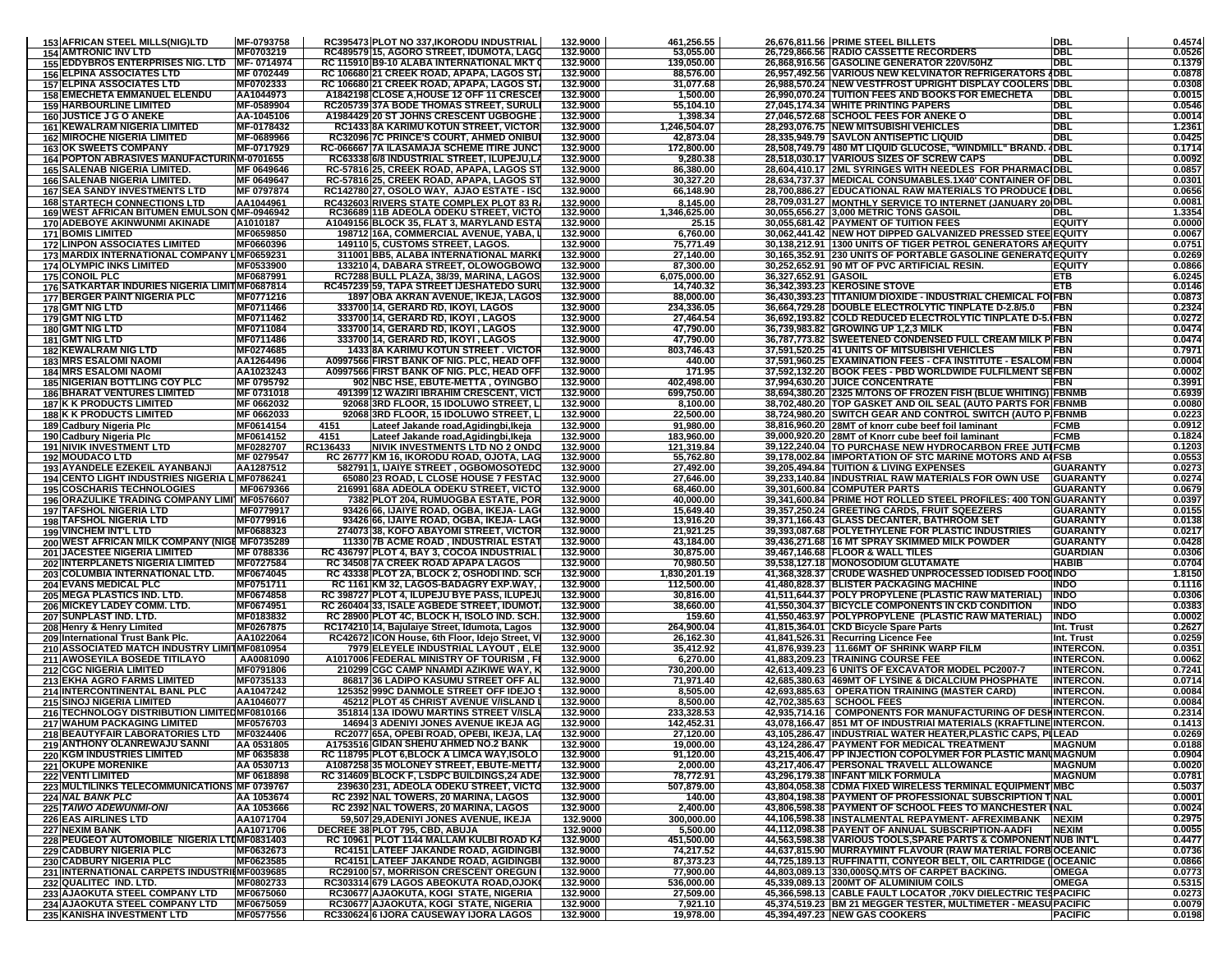| <b>154 AMTRONIC INV LTD</b><br>MF0703219<br>RC489579 15, AGORO STREET, IDUMOTA, LAGO<br>132.9000<br>53,055.00<br>26,729,866.56 RADIO CASSETTE RECORDERS<br>155 EDDYBROS ENTERPRISES NIG. LTD MF- 0714974<br>RC 115910 B9-10 ALABA INTERNATIONAL MKT<br>132.9000<br>139.050.00<br>26,868,916.56 GASOLINE GENERATOR 220V/50HZ<br>132.9000<br>26,957,492.56 VARIOUS NEW KELVINATOR REFRIGERATORS (IDBL<br><b>156 ELPINA ASSOCIATES LTD</b><br>MF 0702449<br>RC 106680 21 CREEK ROAD, APAPA, LAGOS ST<br>88,576.00<br><b>157 ELPINA ASSOCIATES LTD</b><br>MF0702333<br>RC 106680 21 CREEK ROAD, APAPA, LAGOS ST<br>132.9000<br>31,077.68<br>26,988,570.24 INEW VESTFROST UPRIGHT DISPLAY COOLERS IDBL<br>26,990,070.24 TUITION FEES AND BOOKS FOR EMECHETA<br>AA1044973<br>A1842198 CLOSE A, HOUSE 12 OFF 11 CRESCEI<br>132.9000<br><b>158 EMECHETA EMMANUEL ELENDU</b><br>1,500.00 |                                    | 0.4574                       |
|---------------------------------------------------------------------------------------------------------------------------------------------------------------------------------------------------------------------------------------------------------------------------------------------------------------------------------------------------------------------------------------------------------------------------------------------------------------------------------------------------------------------------------------------------------------------------------------------------------------------------------------------------------------------------------------------------------------------------------------------------------------------------------------------------------------------------------------------------------------------------------|------------------------------------|------------------------------|
|                                                                                                                                                                                                                                                                                                                                                                                                                                                                                                                                                                                                                                                                                                                                                                                                                                                                                 | DBI                                | 0.0526                       |
|                                                                                                                                                                                                                                                                                                                                                                                                                                                                                                                                                                                                                                                                                                                                                                                                                                                                                 | <b>DBL</b>                         | 0.1379                       |
|                                                                                                                                                                                                                                                                                                                                                                                                                                                                                                                                                                                                                                                                                                                                                                                                                                                                                 |                                    | 0.0878                       |
|                                                                                                                                                                                                                                                                                                                                                                                                                                                                                                                                                                                                                                                                                                                                                                                                                                                                                 |                                    | 0.0308                       |
| <b>159 HARBOURLINE LIMITED</b><br>MF-0589904<br>RC205739 37A BODE THOMAS STREET, SURUL<br>132.9000<br>55,104.10<br>27,045,174.34 WHITE PRINTING PAPERS                                                                                                                                                                                                                                                                                                                                                                                                                                                                                                                                                                                                                                                                                                                          | <b>DBL</b><br><b>DBL</b>           | 0.0015<br>0.0546             |
| 132.9000<br>1,398.34<br>27,046,572.68 SCHOOL FEES FOR ANEKE O<br><b>160 JUSTICE J G O ANEKE</b><br>AA-1045106<br>A1984429 20 ST JOHNS CRESCENT UGBOGHE                                                                                                                                                                                                                                                                                                                                                                                                                                                                                                                                                                                                                                                                                                                          | DBL                                | 0.0014                       |
| 1,246,504.07<br><b>161 KEWALRAM NIGERIA LIMITED</b><br>MF-0178432<br>RC1433 8A KARIMU KOTUN STREET, VICTOR<br>132.9000<br>28,293,076.75 NEW MITSUBISHI VEHICLES                                                                                                                                                                                                                                                                                                                                                                                                                                                                                                                                                                                                                                                                                                                 | <b>DBL</b>                         | 1.2361                       |
| RC32096 7C PRINCE'S COURT, AHMED ONIBUI<br><b>162 MIROCHE NIGERIA LIMITED</b><br>MF-0689966<br>132.9000<br>42,873.04<br>28,335,949.79 SAVLON ANTISEPTIC LIQUID                                                                                                                                                                                                                                                                                                                                                                                                                                                                                                                                                                                                                                                                                                                  | <b>DBL</b>                         | 0.0425                       |
| 132.9000<br>28,508,749.79 480 MT LIQUID GLUCOSE, "WINDMILL" BRAND. 4DBL<br><b>163 OK SWEETS COMPANY</b><br>MF-0717929<br>RC-066667 7A ILASAMAJA SCHEME ITIRE JUNC<br>172,800.00                                                                                                                                                                                                                                                                                                                                                                                                                                                                                                                                                                                                                                                                                                 |                                    | 0.1714                       |
| 164 POPTON ABRASIVES MANUFACTURINM-0701655<br>RC63338 6/8 INDUSTRIAL STREET, ILUPEJU,L.<br>132.9000<br>9,280.38<br>28,518,030.17 VARIOUS SIZES OF SCREW CAPS                                                                                                                                                                                                                                                                                                                                                                                                                                                                                                                                                                                                                                                                                                                    | <b>DBL</b>                         | 0.0092                       |
| 132.9000<br>28,604,410.17   2ML SYRINGES WITH NEEDLES FOR PHARMACIDBL<br>165 SALENAB NIGERIA LIMITED.<br>MF 0649646<br>RC-57816 25, CREEK ROAD, APAPA, LAGOS ST<br>86,380.00                                                                                                                                                                                                                                                                                                                                                                                                                                                                                                                                                                                                                                                                                                    |                                    | 0.0857                       |
| 28,634,737.37   MEDICAL CONSUMABLES.1X40' CONTAINER OF DBL<br><b>166 SALENAB NIGERIA LIMITED.</b><br>MF 0649647<br>RC-57816 25, CREEK ROAD, APAPA, LAGOS ST<br>132.9000<br>30,327.20                                                                                                                                                                                                                                                                                                                                                                                                                                                                                                                                                                                                                                                                                            |                                    | 0.0301                       |
| 132.9000<br>28,700,886.27 EDUCATIONAL RAW MATERIALS TO PRODUCE IDBL<br><b>167 SEA SANDY INVESTMENTS LTD</b><br>MF 0797874<br>RC142780 27, OSOLO WAY, AJAO ESTATE - ISO<br>66,148.90                                                                                                                                                                                                                                                                                                                                                                                                                                                                                                                                                                                                                                                                                             |                                    | 0.0656                       |
| RC432603 RIVERS STATE COMPLEX PLOT 83 R.<br>28,709,031.27 MONTHLY SERVICE TO INTERNET (JANUARY 20 DBL<br><b>168 STARTECH CONNECTIONS LTD</b><br>132.9000<br>AA1044961<br>8,145.00<br>RC36689 11B ADEOLA ODEKU STREET, VICTO<br>169 WEST AFRICAN BITUMEN EMULSON OMF-0946942<br>132.9000<br>1,346,625.00<br>30,055,656.27 3,000 METRIC TONS GASOIL                                                                                                                                                                                                                                                                                                                                                                                                                                                                                                                               | <b>DBL</b>                         | 0.008 <sup>4</sup><br>1.3354 |
| 170 ADEBOYE AKINWUNMI AKINADE<br>132.9000<br>A1010187<br>A1049156 BLOCK 35, FLAT 3, MARYLAND ESTA<br>30,055,681.42 PAYMENT OF TUITION FEES<br>25.15                                                                                                                                                                                                                                                                                                                                                                                                                                                                                                                                                                                                                                                                                                                             | <b>EQUIT</b>                       | 0.0000                       |
| <b>171 BOMIS LIMITED</b><br>MF0659850<br>198712 16A, COMMERCIAL AVENUE, YABA,<br>132.9000<br>6,760.00<br>30,062,441.42  NEW HOT DIPPED GALVANIZED PRESSED STEE EQUITY                                                                                                                                                                                                                                                                                                                                                                                                                                                                                                                                                                                                                                                                                                           |                                    | 0.0067                       |
| <b>172 LINPON ASSOCIATES LIMITED</b><br>MF0660396<br>149110 5, CUSTOMS STREET, LAGOS.<br>132.9000<br>30,138,212.91   1300 UNITS OF TIGER PETROL GENERATORS ANEQUITY<br>75,771.49                                                                                                                                                                                                                                                                                                                                                                                                                                                                                                                                                                                                                                                                                                |                                    | 0.0751                       |
| 173 MARDIX INTERNATIONAL COMPANY LIMF0659231<br>311001 BB5, ALABA INTERNATIONAL MARKI<br>132.9000<br>27,140.00<br>30,165,352.91 230 UNITS OF PORTABLE GASOLINE GENERAT JEQUITY                                                                                                                                                                                                                                                                                                                                                                                                                                                                                                                                                                                                                                                                                                  |                                    | 0.0269                       |
| 132.9000<br><b>174 OLYMPIC INKS LIMITED</b><br>MF0533900<br>87,300.00<br>30,252,652.91 90 MT OF PVC ARTIFICIAL RESIN.<br>133210 4, DABARA STREET, OLOWOGBOWO                                                                                                                                                                                                                                                                                                                                                                                                                                                                                                                                                                                                                                                                                                                    | <b>EQUIT)</b>                      | 0.0866                       |
| RC7288 BULL PLAZA, 38/39, MARINA, LAGOS<br>132.9000<br>6,075,000.00<br>175 CONOIL PLC<br>MF0687991<br>36,327,652.91 GASOII                                                                                                                                                                                                                                                                                                                                                                                                                                                                                                                                                                                                                                                                                                                                                      | <b>ETB</b>                         | 6.0245                       |
| 36,342,393.23 KEROSINE STOVE<br>RC457239159, TAPA STREET IJESHATEDO SURI<br>176 SATKARTAR INDURIES NIGERIA LIMITIMF0687814<br>132.9000<br>14,740.32                                                                                                                                                                                                                                                                                                                                                                                                                                                                                                                                                                                                                                                                                                                             | ETB                                | 0.0146                       |
| 132.9000<br>36,430,393.23  TITANIUM DIOXIDE - INDUSTRIAL CHEMICAL FOIFBN<br><b>177 BERGER PAINT NIGERIA PLC</b><br>MF0771216<br>1897 OBA AKRAN AVENUE, IKEJA, LAGOS<br>88,000.00<br>MF0711466<br>132.9000<br>178 GMT NIG LTD<br>333700 14, GERARD RD, IKOYI, LAGOS<br>234,336.05<br>36,664,729.28 DOUBLE ELECTROLYTIC TINPLATE D-2.8/5.0                                                                                                                                                                                                                                                                                                                                                                                                                                                                                                                                        | <b>IFBN</b>                        | 0.0873<br>0.2324             |
| 179 GMT NIG LTD<br>MF0711462<br>333700 14, GERARD RD, IKOYI, LAGOS<br>132.9000<br>27,464.54<br>36,692,193.82 COLD REDUCED ELECTROLYTIC TINPLATE D-5. (FBN                                                                                                                                                                                                                                                                                                                                                                                                                                                                                                                                                                                                                                                                                                                       |                                    | 0.0272                       |
| 180 GMT NIG LTD<br>MF0711084<br>333700 14, GERARD RD, IKOYI, LAGOS<br>132.9000<br>47,790.00<br>36,739,983.82 GROWING UP 1,2,3 MILK                                                                                                                                                                                                                                                                                                                                                                                                                                                                                                                                                                                                                                                                                                                                              | <b>FBN</b>                         | 0.0474                       |
| 132.9000<br>MF0711486<br>333700 14, GERARD RD, IKOYI, LAGOS<br>47,790.00<br>36,787,773.82  SWEETENED CONDENSED FULL CREAM MILK PIFBN<br>181 GMT NIG LTD                                                                                                                                                                                                                                                                                                                                                                                                                                                                                                                                                                                                                                                                                                                         |                                    | 0.0474                       |
| <b>182 KEWALRAM NIG LTD</b><br>MF0274685<br><b>1433 8A KARIMU KOTUN STREET. VICTOR</b><br>132.9000<br>803,746.43<br>37,591,520.25 41 UNITS OF MITSUBISHI VEHICLES                                                                                                                                                                                                                                                                                                                                                                                                                                                                                                                                                                                                                                                                                                               | <b>FBN</b>                         | 0.7971                       |
| AA1264496<br>A0997566 FIRST BANK OF NIG. PLC, HEAD OFF<br>132.9000<br>37,591,960.25 EXAMINATION FEES - CFA INSTITUTE - ESALOMIFBN<br><b>183 MRS ESALOMI NAOMI</b><br>440.00                                                                                                                                                                                                                                                                                                                                                                                                                                                                                                                                                                                                                                                                                                     |                                    | 0.0004                       |
| <b>184 MRS ESALOMI NAOMI</b><br>AA1023243<br>A0997566 FIRST BANK OF NIG. PLC, HEAD OFF<br>132.9000<br>171.95<br>37,592,132.20 BOOK FEES - PBD WORLDWIDE FULFILMENT SEFBN                                                                                                                                                                                                                                                                                                                                                                                                                                                                                                                                                                                                                                                                                                        |                                    | 0.0002                       |
| 132.9000<br>402,498.00<br><b>185 NIGERIAN BOTTLING COY PLC</b><br>MF 0795792<br>902 NBC HSE, EBUTE-METTA , OYINGBO<br><b>37,994,630.20 JJUICE CONCENTRATE</b>                                                                                                                                                                                                                                                                                                                                                                                                                                                                                                                                                                                                                                                                                                                   | IFBN                               | 0.3991<br>0.6939             |
| 491399 12 WAZIRI IBRAHIM CRESCENT, VICT<br>38,694,380.20 2325 M/TONS OF FROZEN FISH (BLUE WHITING) FBNMB<br><b>186 BHARAT VENTURES LIMITED</b><br>MF 0731018<br>132.9000<br>699,750.00<br>38,702,480.20 TOP GASKET AND OIL SEAL (AUTO PARTS FOR FBNMB<br><b>187 K K PRODUCTS LIMITED</b><br>MF 0662032<br>92068 3RD FLOOR, 15 IDOLUWO STREET. L<br>132.9000<br>8,100.00                                                                                                                                                                                                                                                                                                                                                                                                                                                                                                         |                                    | 0.0080                       |
| <b>188 K K PRODUCTS LIMITED</b><br>92068 3RD FLOOR, 15 IDOLUWO STREET, I<br>132.9000<br>22,500.00<br>38,724,980.20 SWITCH GEAR AND CONTROL SWITCH (AUTO PIFBNME<br>MF 0662033                                                                                                                                                                                                                                                                                                                                                                                                                                                                                                                                                                                                                                                                                                   |                                    | 0.0223                       |
| MF0614154<br>132.9000<br>91,980.00<br>38,816,960.20 28MT of knorr cube beef foil laminant<br>189 Cadbury Nigeria Plc<br>4151<br>Lateef Jakande road,Agidingbi,Ikeja                                                                                                                                                                                                                                                                                                                                                                                                                                                                                                                                                                                                                                                                                                             | <b>FCMB</b>                        | 0.0912                       |
| 39,000,920.20 28MT of Knorr cube beef foil laminant<br>190 Cadbury Nigeria Plc<br>MF0614152<br>4151<br>Lateef Jakande road,Agidingbi,Ikeja<br>132.9000<br>183,960.00                                                                                                                                                                                                                                                                                                                                                                                                                                                                                                                                                                                                                                                                                                            | <b>FCMB</b>                        | 0.1824                       |
| RC136433<br>NIVIK INVESTMENTS LTD NO 2 ONDC<br>132.9000<br>121,319.84<br>39,122,240.04 TO PURCHASE NEW HYDROCARBON FREE JUTIFCMB<br><b>191 NIVIK INVESTMENT LTD</b><br>MF0282707                                                                                                                                                                                                                                                                                                                                                                                                                                                                                                                                                                                                                                                                                                |                                    | 0.1203                       |
| MF 0279547<br>39,178,002.84 IMPORTATION OF STC MARINE MOTORS AND ACFSB<br><b>192 MOUDACO LTD</b><br>RC 26777 KM 16, IKORODU ROAD, OJOTA, LAG<br>132.9000<br>55.762.80                                                                                                                                                                                                                                                                                                                                                                                                                                                                                                                                                                                                                                                                                                           |                                    | 0.0553                       |
|                                                                                                                                                                                                                                                                                                                                                                                                                                                                                                                                                                                                                                                                                                                                                                                                                                                                                 | <b>GUARANTY</b>                    |                              |
| 193 AYANDELE EZEKEIL AYANBANJI<br>AA1287512<br>582791 1, IJAIYE STREET , OGBOMOSOTEDO<br>132.9000<br>27,492.00<br>39,205,494.84  TUITION & LIVING EXPENSES                                                                                                                                                                                                                                                                                                                                                                                                                                                                                                                                                                                                                                                                                                                      |                                    | 0.0273                       |
| 194 CENTO LIGHT INDUSTRIES NIGERIA L MF0786241<br>65080 23 ROAD, L CLOSE HOUSE 7 FESTAC<br>132.9000<br>27,646.00<br>39,233,140.84 INDUSTRIAL RAW MATERIALS FOR OWN USE                                                                                                                                                                                                                                                                                                                                                                                                                                                                                                                                                                                                                                                                                                          | <b>IGUARANTY</b>                   | 0.0274                       |
| <b>195 COSCHARIS TECHNOLOGIES</b><br>MF0679366<br>216991 68A ADEOLA ODEKU STREET, VICTO<br>132.9000<br>68,460.00<br>39,301,600.84 COMPUTER PARTS                                                                                                                                                                                                                                                                                                                                                                                                                                                                                                                                                                                                                                                                                                                                | <b>GUARANTY</b>                    | 0.0679                       |
| 196 ORAZULIKE TRADING COMPANY LIMI MF0576607<br>7382 PLOT 204, RUMUOGBA ESTATE, POR<br>132.9000<br>40,000.00<br>39,341,600.84 PRIME HOT ROLLED STEEL PROFILES: 400 TON GUARANTY                                                                                                                                                                                                                                                                                                                                                                                                                                                                                                                                                                                                                                                                                                 |                                    | 0.0397                       |
| <b>197 TAFSHOL NIGERIA LTD</b><br>MF0779917<br>93426 66, IJAIYE ROAD, OGBA, IKEJA- LAG<br>132.9000<br>15,649.40<br>39,357,250.24 GREETING CARDS, FRUIT SQEEZERS<br>39,371,166.43 GLASS DECANTER, BATHROOM SET<br><b>198 TAFSHOL NIGERIA LTD</b><br>MF0779916<br>93426 66, IJAIYE ROAD, OGBA, IKEJA- LAG<br>132.9000<br>13,916.20                                                                                                                                                                                                                                                                                                                                                                                                                                                                                                                                                | <b>GUARANTY</b><br><b>GUARANTY</b> | 0.0155<br>0.0138             |
| 132.9000<br>MF0688323<br>274073 38, KOFO ABAYOMI STREET, VICTOR<br>21,921.25<br>39,393,087.68 POLYETHYLENE FOR PLASTIC INDUSTRIES<br><b>199 VINCHEM INT'L LTD</b>                                                                                                                                                                                                                                                                                                                                                                                                                                                                                                                                                                                                                                                                                                               | <b>GUARANTY</b>                    | 0.0217                       |
| 200 WEST AFRICAN MILK COMPANY (NIGE MF0735289<br>11330 7B ACME ROAD, INDUSTRIAL ESTAT<br>39,436,271.68 16 MT SPRAY SKIMMED MILK POWDER<br>132.9000<br>43,184.00                                                                                                                                                                                                                                                                                                                                                                                                                                                                                                                                                                                                                                                                                                                 | <b>GUARANTY</b>                    | 0.0428                       |
| RC 436797 PLOT 4, BAY 3, COCOA INDUSTRIAL<br>132.9000<br>39,467,146.68 FLOOR & WALL TILES<br>201 JACESTEE NIGERIA LIMITED<br>MF 0788336<br>30,875.00                                                                                                                                                                                                                                                                                                                                                                                                                                                                                                                                                                                                                                                                                                                            | <b>GUARDIAN</b>                    | 0.0306                       |
| 202 INTERPLANETS NIGERIA LIMITED<br>MF0727584<br>RC 34508 7A CREEK ROAD APAPA LAGOS<br>132.9000<br>70,980.50<br>39,538,127.18   MONOSODIUM GLUTAMATE                                                                                                                                                                                                                                                                                                                                                                                                                                                                                                                                                                                                                                                                                                                            | <b>HABIB</b>                       | 0.0704                       |
| MF0674045<br>132.9000<br>41,368,328.37 CRUDE WASHED UNPROCESSED IODISED FOODINDO<br>203 COLUMBIA INTERNATIONAL LTD.<br>RC 43338 PLOT 2A, BLOCK 2, OSHODI IND. SCI<br>1,830,201.19                                                                                                                                                                                                                                                                                                                                                                                                                                                                                                                                                                                                                                                                                               |                                    | 1.8150                       |
| <b>204 EVANS MEDICAL PLC</b><br>MF0751711<br>RC 1161 KM 32, LAGOS-BADAGRY EXP.WAY,<br>132.9000<br>112,500.00<br>41,480,828.37 BLISTER PACKAGING MACHINE<br>MF0674858<br>132.9000                                                                                                                                                                                                                                                                                                                                                                                                                                                                                                                                                                                                                                                                                                | <b>INDO</b><br><b>INDO</b>         | 0.1116<br>0.0306             |
| 205 MEGA PLASTICS IND. LTD.<br>RC 398727 PLOT 4, ILUPEJU BYE PASS, ILUPEJ<br>30,816.00<br>41,511,644.37 POLY PROPYLENE (PLASTIC RAW MATERIAL)<br>132.9000<br>206 MICKEY LADEY COMM. LTD.<br>MF0674951<br>RC 260404 33, ISALE AGBEDE STREET, IDUMOT<br>38,660.00<br>41,550,304.37 BICYCLE COMPONENTS IN CKD CONDITION                                                                                                                                                                                                                                                                                                                                                                                                                                                                                                                                                            | <b>INDO</b>                        | 0.0383                       |
| 207 SUNPLAST IND. LTD.<br>MF0183832<br>RC 28900 PLOT 4C, BLOCK H, ISOLO IND. SCH.<br>132.9000<br>159.60<br>41,550,463.97 POLYPROPYLENE (PLASTIC RAW MATERIAL                                                                                                                                                                                                                                                                                                                                                                                                                                                                                                                                                                                                                                                                                                                    | <b>INDO</b>                        | 0.0002                       |
| MF0267875<br>132.9000<br>41,815,364.01 CKD Bicycle Spare Parts<br>208 Henry & Henry Limited<br>RC174210 14, Bajulaiye Street, Idumota, Lagos<br>264,900.04                                                                                                                                                                                                                                                                                                                                                                                                                                                                                                                                                                                                                                                                                                                      | Int. Trust                         | 0.2627                       |
| 209 International Trust Bank Plc.<br>AA1022064<br>RC42672 ICON House, 6th Floor, Idejo Street, V<br>132.9000<br>26,162.30<br>41,841,526.31 Recurring Licence Fee                                                                                                                                                                                                                                                                                                                                                                                                                                                                                                                                                                                                                                                                                                                | Int. Trust                         | 0.0259                       |
| 210 ASSOCIATED MATCH INDUSTRY LIMITMF0810954<br>132.9000<br>41,876,939.23   11.66MT OF SHRINK WARP FILM<br>7979 ELEYELE INDUSTRIAL LAYOUT , ELE<br>35,412.92                                                                                                                                                                                                                                                                                                                                                                                                                                                                                                                                                                                                                                                                                                                    | <b>INTERCON</b>                    | 0.0351                       |
| 211 AWOSEYILA BOSEDE TITILAYO<br>AA0081090<br>A1017006 FEDERAL MINISTRY OF TOURISM, FI<br>132.9000<br>6,270.00<br>41,883,209.23 TRAINING COURSE FEE                                                                                                                                                                                                                                                                                                                                                                                                                                                                                                                                                                                                                                                                                                                             | <b>INTERCON</b>                    | 0.0062                       |
| 210299 CGC CAMP NNAMDI AZIKIWE WAY, K<br><b>212 CGC NIGERIA LIMITED</b><br>MF0791806<br>132.9000<br>730,200.00<br>42,613,409.23 6 UNITS OF EXCAVATOR MODEL PC2007-7<br><b>213 EKHA AGRO FARMS LIMITED</b><br>86817 36 LADIPO KASUMU STREET OFF AL<br>132.9000<br>71,971.40<br>42,685,380.63 469MT OF LYSINE & DICALCIUM PHOSPHATE<br>MF0735133                                                                                                                                                                                                                                                                                                                                                                                                                                                                                                                                  | <b>INTERCON</b><br><b>INTERCON</b> | 0.7241<br>0.0714             |
| 214 INTERCONTINENTAL BANL PLC<br>AA1047242<br>125352 999C DANMOLE STREET OFF IDEJO<br>132.9000<br>8,505.00<br>42,693,885.63   OPERATION TRAINING (MASTER CARD)                                                                                                                                                                                                                                                                                                                                                                                                                                                                                                                                                                                                                                                                                                                  | <b>INTERCON</b>                    | 0.0084                       |
| 45212 PLOT 45 CHRIST AVENUE V/ISLAND<br>132.9000<br>42,702,385.63 SCHOOL FEES<br>215 SINOJ NIGERIA LIMITED<br>AA1046077<br>8,500.00                                                                                                                                                                                                                                                                                                                                                                                                                                                                                                                                                                                                                                                                                                                                             | <b>INTERCON</b>                    | 0.0084                       |
| 216 TECHNOLOGY DISTRIBUTION LIMITED MF0810166<br>351814 13A IDOWU MARTINS STREET V/ISLA<br>132.9000<br>233,328.53<br>42,935,714.16   COMPONENTS FOR MANUFACTURING OF DESHINTERCON                                                                                                                                                                                                                                                                                                                                                                                                                                                                                                                                                                                                                                                                                               |                                    | 0.2314                       |
| 217 WAHUM PACKAGING LIMITED<br>14694 3 ADENIYI JONES AVENUE IKEJA AG<br>132.9000<br>43,078,166.47 851 MT OF INDUSTRIAI MATERIALS (KRAFTLINE INTERCON.<br>MF0576703<br>142,452.31                                                                                                                                                                                                                                                                                                                                                                                                                                                                                                                                                                                                                                                                                                |                                    | 0.1413                       |
| 218 BEAUTYFAIR LABORATORIES LTD<br>RC2077 65A, OPEBI ROAD, OPEBI, IKEJA, LA<br>132.9000<br>43,105,286.47  INDUSTRIAL WATER HEATER,PLASTIC CAPS, PILEAD<br>MF0324406<br>27,120.00                                                                                                                                                                                                                                                                                                                                                                                                                                                                                                                                                                                                                                                                                                |                                    | 0.0269                       |
| AA 0531805<br>132.9000<br>19,000.00<br>219 ANTHONY OLANREWAJU SANNI<br>A1753516 GIDAN SHEHU AHMED NO.2 BANK<br>43,124,286.47 PAYMENT FOR MEDICAL TREATMENT                                                                                                                                                                                                                                                                                                                                                                                                                                                                                                                                                                                                                                                                                                                      | <b>MAGNUM</b>                      | 0.0188                       |
| <b>220 KGM INDUSTRIES LIMITED</b><br>MF 0635838<br>RC 118795 PLOT 6, BLOCK A LIMCA WAY, ISOLO<br>132.9000<br>91,120.00<br>43.215.406.47 IPP INJECTION COPOLYMER FOR PLASTIC MANUMAGNUM<br>43.217.406.47 PERSONAL TRAVELL ALLOWANCE<br>A1087258135 MOLONEY STREET, EBUTE-METT/                                                                                                                                                                                                                                                                                                                                                                                                                                                                                                                                                                                                   |                                    | 0.0904                       |
| <b>221 OKUPE MORENIKE</b><br>AA 0530713<br>132.9000<br>2,000.00<br>222 VENTI LIMITED<br>MF 0618898<br>RC 314609 BLOCK F, LSDPC BUILDINGS,24 ADE<br>132.9000<br>78,772.91<br>43,296,179.38 INFANT MILK FORMULA                                                                                                                                                                                                                                                                                                                                                                                                                                                                                                                                                                                                                                                                   | <b>MAGNUM</b><br><b>MAGNUM</b>     | 0.0020<br>0.0781             |
| 43,804,058.38 CDMA FIXED WIRELESS TERMINAL EQUIPMENT MBC<br>223 MULTILINKS TELECOMMUNICATIONS MF 0739767<br>239630 231, ADEOLA ODEKU STREET, VICTO<br>132.9000<br>507.879.00                                                                                                                                                                                                                                                                                                                                                                                                                                                                                                                                                                                                                                                                                                    |                                    | 0.5037                       |
| AA 1053674<br>132.9000<br>224 NAL BANK PLC<br>RC 2392 NAL TOWERS, 20 MARINA, LAGOS<br>140.00<br>43,804,198.38   PAYMENT OF PROFESSIONAL SUBSCRIPTION TINAL                                                                                                                                                                                                                                                                                                                                                                                                                                                                                                                                                                                                                                                                                                                      |                                    | 0.0001                       |
| 225 TAIWO ADEWUNMI-ONI<br>AA 1053666<br>132.9000<br>2,400.00<br>RC 2392 NAL TOWERS, 20 MARINA, LAGOS<br>43,806,598.38 PAYMENT OF SCHOOL FEES TO MANCHESTER INAL                                                                                                                                                                                                                                                                                                                                                                                                                                                                                                                                                                                                                                                                                                                 |                                    | 0.0024                       |
| 44,106,598.38 INSTALMENTAL REPAYMENT- AFREXIMBANK<br><b>226 EAS AIRLINES LTD</b><br>AA1071704<br>59,507 29, ADENIYI JONES AVENUE, IKEJA<br>132.9000<br>300,000.00                                                                                                                                                                                                                                                                                                                                                                                                                                                                                                                                                                                                                                                                                                               | <b>NEXIM</b>                       | 0.2975                       |
| 44,112,098.38 PAYENT OF ANNUAL SUBSCRIPTION-AADFL<br>227 NEXIM BANK<br>AA1071706<br>DECREE 38 PLOT 795, CBD, ABUJA<br>132.9000<br>5,500.00                                                                                                                                                                                                                                                                                                                                                                                                                                                                                                                                                                                                                                                                                                                                      | <b>NEXIM</b>                       | 0.0055                       |
| 228 PEUGEOT AUTOMOBILE NIGERIA LTIMF0831403<br>RC 10961 PLOT 1144 MALLAM KULBI ROAD KA<br>132.9000<br>451,500.00<br>44,563,598.38 VARIOUS TOOLS, SPARE PARTS & COMPONENTINUB INT'L<br><b>229 CADBURY NIGERIA PLC</b><br>RC4151 LATEEF JAKANDE ROAD, AGIDINGBI<br>44,637,815.90 MURRAYMINT FLAVOUR (RAW MATERIAL FORBOCEANIC                                                                                                                                                                                                                                                                                                                                                                                                                                                                                                                                                     |                                    | 0.4477                       |
| 74,217.52<br>MF0632673<br>132.9000<br>MF0623585<br>RC4151 LATEEF JAKANDE ROAD, AGIDINGBI<br>44,725,189.13 RUFFINATTI, CONYEOR BELT, OIL CARTRIDGE (OCEANIC<br>230 CADBURY NIGERIA PLC<br>132.9000<br>87,373.23                                                                                                                                                                                                                                                                                                                                                                                                                                                                                                                                                                                                                                                                  |                                    | 0.0736<br>0.0866             |
| 231 INTERNATIONAL CARPETS INDUSTRIEMF0039685<br>RC29100 57, MORRISON CRESCENT OREGUN<br>132.9000<br>44,803,089.13 330,000SQ.MTS OF CARPET BACKING.<br>77,900.00                                                                                                                                                                                                                                                                                                                                                                                                                                                                                                                                                                                                                                                                                                                 | <b>OMEGA</b>                       | 0.0773                       |
| MF0802733<br>132.9000<br>232 QUALITEC IND. LTD.<br>RC303314 679 LAGOS ABEOKUTA ROAD,OJOK<br>536,000.00<br>45,339,089.13 200MT OF ALUMINIUM COILS                                                                                                                                                                                                                                                                                                                                                                                                                                                                                                                                                                                                                                                                                                                                | <b>OMEGA</b>                       | 0.5315                       |
| MF0675060<br>132.9000<br>27,509.00<br>45,366,598.13 CABLE FAULT LOCATOR ,70KV DIELECTRIC TESPACIFIC<br>233 AJAOKUTA STEEL COMPANY LTD<br>RC30677 AJAOKUTA, KOGI STATE, NIGERIA<br>RC30677 AJAOKUTA, KOGI STATE, NIGERIA<br>132.9000<br>45,374,519.23 BM 21 MEGGER TESTER, MULTIMETER - MEASU PACIFIC<br>234 AJAOKUTA STEEL COMPANY LTD<br>MF0675059<br>7,921.10                                                                                                                                                                                                                                                                                                                                                                                                                                                                                                                 |                                    | 0.0273<br>0.0079             |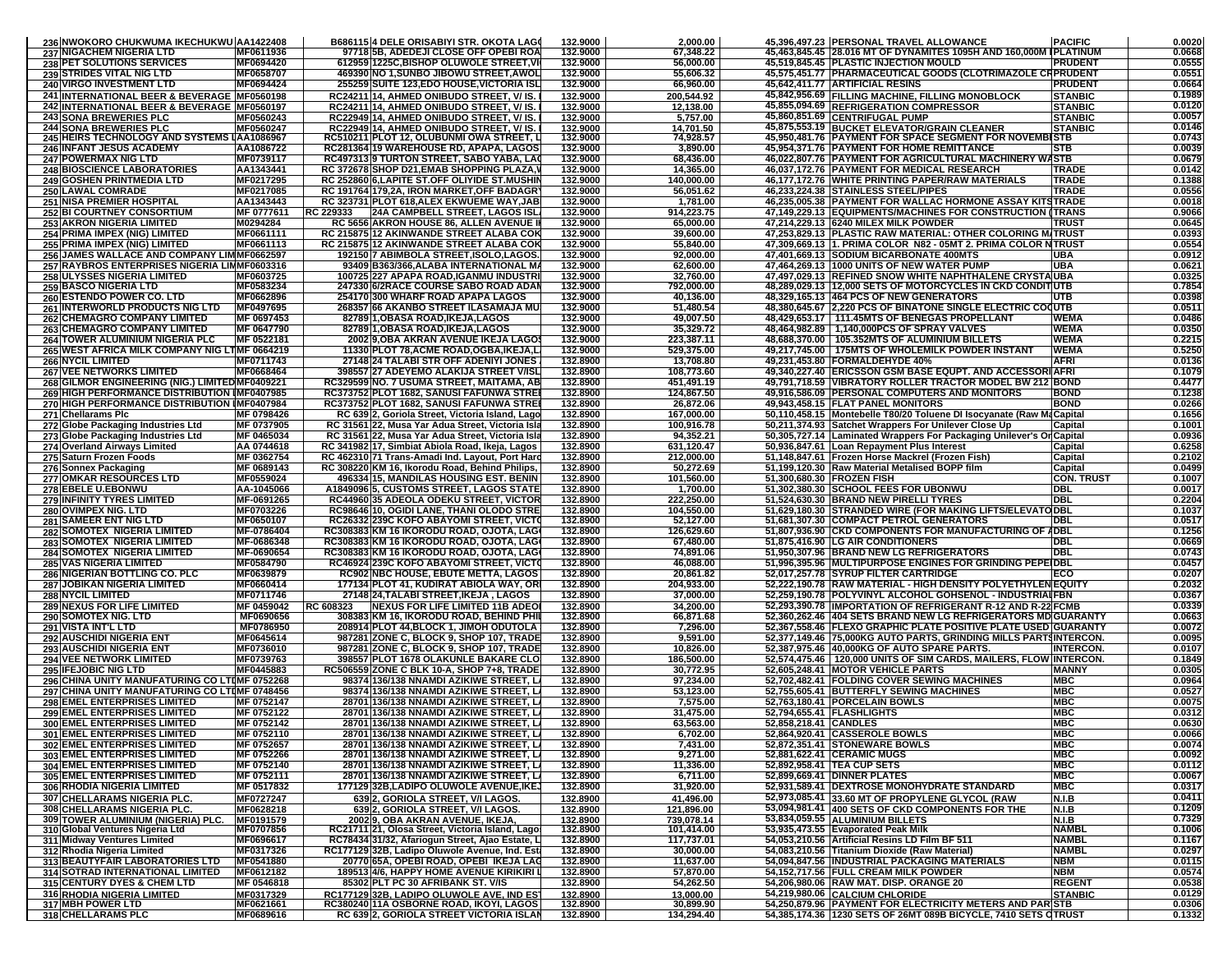|                                                                               | 236 NWOKORO CHUKWUMA IKECHUKWU AA1422408 |           | B686115 4 DELE ORISABIYI STR. OKOTA LAGO                                                                                        | 132.9000                         | 2,000.00                             |                                                    | 45,396,497.23 PERSONAL TRAVEL ALLOWANCE                                                                                                                        | <b>PACIFIC</b>                   | 0.0020           |
|-------------------------------------------------------------------------------|------------------------------------------|-----------|---------------------------------------------------------------------------------------------------------------------------------|----------------------------------|--------------------------------------|----------------------------------------------------|----------------------------------------------------------------------------------------------------------------------------------------------------------------|----------------------------------|------------------|
| 237 NIGACHEM NIGERIA LTD                                                      | MF0611936                                |           | 97718 5B, ADEDEJI CLOSE OFF OPEBI ROA                                                                                           | 132.9000                         | 67,348.22                            |                                                    | 45,463,845.45 28.016 MT OF DYNAMITES 1095H AND 160,000M IPLATINUM                                                                                              |                                  | 0.0668           |
| 238 PET SOLUTIONS SERVICES                                                    | MF0694420                                |           | 612959 1225C, BISHOP OLUWOLE STREET, VI                                                                                         | 132.9000                         | 56,000.00                            |                                                    | 45,519,845.45 PLASTIC INJECTION MOULD                                                                                                                          | <b>PRUDENT</b>                   | 0.0555           |
| <b>239 STRIDES VITAL NIG LTD</b>                                              | MF0658707                                |           | 469390 NO 1, SUNBO JIBOWU STREET, AWOL                                                                                          | 132.9000                         | 55,606.32                            |                                                    | 45,575,451.77   PHARMACEUTICAL GOODS (CLOTRIMAZOLE CRPRUDENT                                                                                                   |                                  | 0.0551           |
| 240 VIRGO INVESTMENT LTD                                                      | MF0694424                                |           | 255259 SUITE 123, EDO HOUSE, VICTORIA ISL                                                                                       | 132.9000                         | 66,960.00                            |                                                    | 45,642,411.77 ARTIFICIAL RESINS                                                                                                                                | <b>PRUDENT</b>                   | 0.0664           |
| <b>241 INTERNATIONAL BEER &amp; BEVERAGE MF0560198</b>                        |                                          |           | RC24211 14. AHMED ONIBUDO STREET. V/ IS.                                                                                        | 132.9000                         | 200.544.92                           |                                                    | 45,842,956.69 FILLING MACHINE. FILLING MONOBLOCK                                                                                                               | <b>STANBIC</b>                   | 0.1989           |
| 242 INTERNATIONAL BEER & BEVERAGE MF0560197<br><b>243 SONA BREWERIES PLC</b>  |                                          |           | RC24211 14, AHMED ONIBUDO STREET, V/IS.                                                                                         | 132.9000                         | 12,138.00                            |                                                    | 45,855,094.69 REFRIGERATION COMPRESSOR<br>45,860,851.69 CENTRIFUGAL PUMP                                                                                       | <b>STANBIC</b>                   | 0.0120<br>0.0057 |
| <b>244 SONA BREWERIES PLC</b>                                                 | MF0560243<br>MF0560247                   |           | RC22949 14, AHMED ONIBUDO STREET, V/IS.<br>RC22949 14, AHMED ONIBUDO STREET, V/ IS.                                             | 132.9000<br>132.9000             | 5,757.00<br>14,701.50                |                                                    | 45,875,553.19 BUCKET ELEVATOR/GRAIN CLEANER                                                                                                                    | <b>STANBIC</b><br><b>STANBIC</b> | 0.0146           |
| 245 HEIRS TECHNOLOGY AND SYSTEMS LAA1086967                                   |                                          |           | RC510211 PLOT 12, OLUBUNMI OWA STREET, L                                                                                        | 132.9000                         | 74,928.57                            |                                                    | 45,950,481.76 PAYMENT FOR SPACE SEGMENT FOR NOVEMBISTB                                                                                                         |                                  | 0.0743           |
| 246 INFANT JESUS ACADEMY                                                      | AA1086722                                |           | RC281364 19 WAREHOUSE RD, APAPA, LAGOS                                                                                          | 132.9000                         | 3,890.00                             |                                                    | 45,954,371.76 PAYMENT FOR HOME REMITTANCE                                                                                                                      | <b>STB</b>                       | 0.0039           |
| 247 POWERMAX NIG LTD                                                          | MF0739117                                |           | RC497313 9 TURTON STREET, SABO YABA, LAO                                                                                        | 132.9000                         | 68,436.00                            |                                                    | 46,022,807.76 PAYMENT FOR AGRICULTURAL MACHINERY WASTB                                                                                                         |                                  | 0.0679           |
| <b>248 BIOSCIENCE LABORATORIES</b>                                            | AA1343441                                |           | RC 372678 SHOP D21, EMAB SHOPPING PLAZA,                                                                                        | 132.9000                         | 14,365.00                            |                                                    | 46,037,172.76 PAYMENT FOR MEDICAL RESEARCH                                                                                                                     | <b>TRADE</b>                     | 0.0142           |
| <b>249 GOSHEN PRINTMEDIA LTD</b>                                              | MF0217295                                |           | RC 252860 6, LAPITE ST.OFF OLIYIDE ST.MUSHII                                                                                    | 132.9000                         | 140,000.00                           |                                                    | 46,177,172.76 WHITE PRINTING PAPER/RAW MATERIALS                                                                                                               | <b>TRADE</b>                     | 0.1388           |
| <b>250 LAWAL COMRADE</b>                                                      | MF0217085                                |           | RC 191764 179,2A, IRON MARKET, OFF BADAGR                                                                                       | 132.9000                         | 56,051.62                            |                                                    | 46,233,224.38 STAINLESS STEEL/PIPES                                                                                                                            | <b>TRADE</b>                     | 0.0556           |
| <b>251 NISA PREMIER HOSPITAL</b>                                              | AA1343443                                |           | RC 323731 PLOT 618, ALEX EKWUEME WAY, JAB                                                                                       | 132.9000<br>132.9000             | 1,781.00                             |                                                    | 46,235,005.38   PAYMENT FOR WALLAC HORMONE ASSAY KITSTRADE                                                                                                     |                                  | 0.0018<br>0.9066 |
| <b>252 BI COURTNEY CONSORTIUM</b><br><b>253 AKRON NIGERIA LIMITED</b>         | MF 0777611<br>M0294284                   | RC 229333 | <b>24A CAMPBELL STREET, LAGOS ISL</b><br>RC 5656 AKRON HOUSE 86, ALLEN AVENUE                                                   | 132.9000                         | 914,223.75<br>65,000.00              |                                                    | 47,149,229.13 EQUIPMENTS/MACHINES FOR CONSTRUCTION (TRANS<br>47,214,229.13 6240 MILEX MILK POWDER                                                              | TRUS <sup>-</sup>                | 0.0645           |
| 254 PRIMA IMPEX (NIG) LIMITED                                                 | MF0661111                                |           | RC 215875 12 AKINWANDE STREET ALABA COK                                                                                         | 132.9000                         | 39,600.00                            |                                                    | 47,253,829.13 PLASTIC RAW MATERIAL: OTHER COLORING M/TRUS                                                                                                      |                                  | 0.0393           |
| 255 PRIMA IMPEX (NIG) LIMITED                                                 | MF0661113                                |           | RC 215875 12 AKINWANDE STREET ALABA COK                                                                                         | 132.9000                         | 55,840.00                            |                                                    | 47,309,669.13 1. PRIMA COLOR N82 - 05MT 2. PRIMA COLOR NTRUST                                                                                                  |                                  | 0.0554           |
| 256 JAMES WALLACE AND COMPANY LIMMF0662597                                    |                                          |           | 192150 7 ABIMBOLA STREET,ISOLO,LAGOS.                                                                                           | 132.9000                         | 92,000.00                            |                                                    | 47,401,669.13 SODIUM BICARBONATE 400MTS                                                                                                                        | UBA                              | 0.0912           |
| 257 RAYBROS ENTERPRISES NIGERIA LIMMF0603316                                  |                                          |           | 93409 B363/366, ALABA INTERNATIONAL M/                                                                                          | 132.9000                         | 62,600.00                            |                                                    | 47,464,269.13   1000 UNITS OF NEW WATER PUMP                                                                                                                   | UBA                              | 0.0621           |
| 258 ULYSSES NIGERIA LIMITED                                                   | MF0603725                                |           | 100725 227 APAPA ROAD, IGANMU INDUSTRI                                                                                          | 132.9000                         | 32,760.00                            |                                                    | 47,497,029.13 REFINED SNOW WHITE NAPHTHALENE CRYSTAUBA                                                                                                         |                                  | 0.0325           |
| <b>259 BASCO NIGERIA LTD</b>                                                  | MF0583234                                |           | 247330 6/2RACE COURSE SABO ROAD ADA                                                                                             | 132.9000                         | 792,000.00                           |                                                    | 48,289,029.13 12,000 SETS OF MOTORCYCLES IN CKD CONDITIUTB                                                                                                     |                                  | 0.7854           |
| 260 ESTENDO POWER CO. LTD                                                     | MF0662896                                |           | 254170 300 WHARF ROAD APAPA LAGOS                                                                                               | 132.9000                         | 40,136.00                            |                                                    | 48,329,165.13 464 PCS OF NEW GENERATORS                                                                                                                        | UTB                              | 0.0398           |
| <b>261 INTERWORLD PRODUCTS NIG LTD</b><br><b>262 CHEMAGRO COMPANY LIMITED</b> | MF0497695<br>MF 0697453                  |           | 268357 66 AKANBO STREET ILASAMAJA MU<br>82789 1, OBASA ROAD, IKEJA, LAGOS                                                       | 132.9000<br>132.9000             | 51,480.54<br>49,007.50               |                                                    | 48,380,645.67 2,220 PCS OF BINATONE SINGLE ELECTRIC COQUTB<br>48,429,653.17   111.45MTS OF BENEGAS PROPELLANT                                                  | <b>WEMA</b>                      | 0.0511<br>0.0486 |
| <b>263 CHEMAGRO COMPANY LIMITED</b>                                           | MF 0647790                               |           | 82789 1, OBASA ROAD, IKEJA, LAGOS                                                                                               | 132.9000                         | 35,329.72                            |                                                    | 48,464,982.89   1,140,000PCS OF SPRAY VALVES                                                                                                                   | <b>WEMA</b>                      | 0.0350           |
| <b>264 TOWER ALUMINIUM NIGERIA PLC</b>                                        | MF 0522181                               |           | 2002 9, OBA AKRAN AVENUE IKEJA LAGOS                                                                                            | 132.9000                         | 223,387.11                           |                                                    | 48,688,370.00   105.352MTS OF ALUMINIUM BILLETS                                                                                                                | <b>WEMA</b>                      | 0.2215           |
| 265 WEST AFRICA MILK COMPANY NIG LTMF 0664219                                 |                                          |           | 11330 PLOT 78, ACME ROAD, OGBA, IKEJA, L.                                                                                       | 132.9000                         | 529,375.00                           |                                                    | 49,217,745.00   175MTS OF WHOLEMILK POWDER INSTANT                                                                                                             | <b>WEMA</b>                      | 0.5250           |
| <b>266 NYCIL LIMITED</b>                                                      | MF0711743                                |           | 27148 24 TALABI STR OFF ADENIYI JONES                                                                                           | 132.8900                         | 13.708.80                            |                                                    | 49,231,453.80 FORMALDEHYDE 40%                                                                                                                                 | <b>AFRI</b>                      | 0.0136           |
| <b>267 VEE NETWORKS LIMITED</b>                                               | MF0668464                                |           | 398557 27 ADEYEMO ALAKIJA STREET V/ISL                                                                                          | 132.8900                         | 108,773.60                           |                                                    | 49,340,227.40 ERICSSON GSM BASE EQUPT. AND ACCESSORIAFRI                                                                                                       |                                  | 0.1079           |
| 268 GILMOR ENGINEERING (NIG.) LIMITED MF0409221                               |                                          |           | RC329599 NO. 7 USUMA STREET, MAITAMA, AB                                                                                        | 132.8900                         | 451,491.19                           |                                                    | 49.791.718.59 IVIBRATORY ROLLER TRACTOR MODEL BW 212 BOND                                                                                                      |                                  | 0.4477           |
| 269 HIGH PERFORMANCE DISTRIBUTION IMF0407985                                  |                                          |           | RC373752 PLOT 1682, SANUSI FAFUNWA STRE                                                                                         | 132.8900                         | 124,867.50                           |                                                    | 49,916,586.09 PERSONAL COMPUTERS AND MONITORS                                                                                                                  | <b>BOND</b>                      | 0.1238           |
| 270 HIGH PERFORMANCE DISTRIBUTION IMF0407984<br>271 Chellarams Plc            | MF 0798426                               |           | RC373752 PLOT 1682, SANUSI FAFUNWA STREI<br>RC 639 2, Goriola Street, Victoria Island, Lago                                     | 132.8900<br>132.8900             | 26,872.06<br>167,000.00              |                                                    | 49,943,458.15 FLAT PANEL MONITORS<br>50,110,458.15 Montebelle T80/20 Toluene DI Isocyanate (Raw MaCapita                                                       | <b>BOND</b>                      | 0.0266<br>0.1656 |
| 272 Globe Packaging Industries Ltd                                            | MF 0737905                               |           | RC 31561 22, Musa Yar Adua Street, Victoria Isla                                                                                | 132.8900                         | 100,916.78                           |                                                    | 50,211,374.93 Satchet Wrappers For Unilever Close Up                                                                                                           | Capital                          | 0.1001           |
| 273 Globe Packaging Industries Ltd                                            | MF 0465034                               |           | RC 31561 22, Musa Yar Adua Street, Victoria Isla                                                                                | 132.8900                         | 94,352.21                            |                                                    | 50,305,727.14   Laminated Wrappers For Packaging Unilever's Or Capital                                                                                         |                                  | 0.0936           |
| 274 Overland Airways Limited                                                  | AA 0744618                               |           | RC 341982 17, Simbiat Abiola Road, Ikeja, Lagos                                                                                 | 132.8900                         | 631.120.47                           |                                                    | 50,936,847.61 Loan Repayment Plus Interest                                                                                                                     | Capital                          | 0.6258           |
| 275 Saturn Frozen Foods                                                       | MF 0362754                               |           | RC 462310 71 Trans-Amadi Ind. Layout, Port Hard                                                                                 | 132.8900                         | 212.000.00                           |                                                    | 51,148,847.61 Frozen Horse Mackrel (Frozen Fish)                                                                                                               | Capital                          | 0.2102           |
| 276 Sonnex Packaging                                                          | MF 0689143                               |           | RC 308220 KM 16, Ikorodu Road, Behind Philips,                                                                                  | 132.8900                         | 50,272.69                            |                                                    | 51,199,120.30 Raw Material Metalised BOPP film                                                                                                                 | Capital                          | 0.0499           |
| <b>277 OMKAR RESOURCES LTD</b>                                                | MF0559024                                |           | 496334 15, MANDILAS HOUSING EST. BENIN                                                                                          | 132.8900                         | 101,560.00                           | 51,300,680.30 FROZEN FISH                          |                                                                                                                                                                | <b>CON. TRUST</b>                | 0.1007           |
| 278 EBELE U.EBONWU                                                            | AA-1045066                               |           | A1849096 5, CUSTOMS STREET, LAGOS STATE                                                                                         | 132.8900                         | 1,700.00                             |                                                    | 51,302,380.30 SCHOOL FEES FOR UBONWU                                                                                                                           | <b>DBL</b>                       | 0.0017           |
| 279 INFINITY TYRES LIMITED<br>280 OVIMPEX NIG. LTD                            | MF-0691265<br>MF0703226                  |           | RC44960 35 ADEOLA ODEKU STREET, VICTOR<br>RC98646 10, OGIDI LANE, THANI OLODO STRE                                              | 132.8900<br>132.8900             | 222,250.00<br>104,550.00             |                                                    | 51,524,630.30 BRAND NEW PIRELLI TYRES<br>51,629,180.30 STRANDED WIRE (FOR MAKING LIFTS/ELEVAT                                                                  | <b>DBL</b><br><b>ODBL</b>        | 0.2204<br>0.1037 |
| 281 SAMEER ENT NIG LTD                                                        | MF0650107                                |           | RC26332 239C KOFO ABAYOMI STREET, VICTO                                                                                         | 132.8900                         | 52,127.00                            |                                                    | 51,681,307.30 COMPACT PETROL GENERATORS                                                                                                                        | DBL                              | 0.0517           |
| 282 SOMOTEX NIGERIA LIMITED                                                   | MF-0786404                               |           | RC308383 KM 16 IKORODU ROAD, OJOTA, LAG                                                                                         | 132.8900                         | 126,629.60                           |                                                    | 51,807,936.90 CKD COMPONENTS FOR MANUFACTURING OF ADBL                                                                                                         |                                  | 0.1256           |
|                                                                               |                                          |           |                                                                                                                                 |                                  |                                      |                                                    |                                                                                                                                                                |                                  | 0.0669           |
|                                                                               |                                          |           |                                                                                                                                 |                                  |                                      |                                                    |                                                                                                                                                                | <b>DBL</b>                       |                  |
| 283 SOMOTEX NIGERIA LIMITED<br>284 SOMOTEX NIGERIA LIMITED                    | MF-0686348<br>MF-0690654                 |           | RC308383 KM 16 IKORODU ROAD, OJOTA, LAG<br>RC308383 KM 16 IKORODU ROAD, OJOTA, LAG(                                             | 132.8900<br>132.8900             | 67,480.00<br>74,891.06               | 51,875,416.90 LG AIR CONDITIONERS                  | 51,950,307.96 BRAND NEW LG REFRIGERATORS                                                                                                                       | DBL                              | 0.0743           |
| <b>285 VAS NIGERIA LIMITED</b>                                                | MF0584790                                |           | RC46924 239C KOFO ABAYOMI STREET, VICT                                                                                          | 132.8900                         | 46,088.00                            |                                                    | 51,996,395.96 MULTIPURPOSE ENGINES FOR GRINDING PEPEIDBL                                                                                                       |                                  | 0.0457           |
| 286 NIGERIAN BOTTLING CO. PLC                                                 | MF0639879                                |           | <b>RC902 NBC HOUSE, EBUTE METTA, LAGOS</b>                                                                                      | 132.8900                         | 20,861.82                            |                                                    | 52,017,257.78 SYRUP FILTER CARTRIDGE                                                                                                                           | ECO                              | 0.0207           |
| 287 JOBIKAN NIGERIA LIMITED                                                   | MF0660414                                |           | 177134 PLOT 41, KUDIRAT ABIOLA WAY, OR                                                                                          | 132.8900                         | 204,933.00                           |                                                    | 52,222,190.78 RAW MATERIAL - HIGH DENSITY POLYETHYLEN EQUITY                                                                                                   |                                  | 0.2032           |
| 288 NYCIL LIMITED                                                             | MF0711746                                |           | 27148 24, TALABI STREET, IKEJA, LAGOS                                                                                           | 132.8900                         | 37,000.00                            |                                                    | 52,259,190.78 POLYVINYL ALCOHOL GOHSENOL - INDUSTRIAIFBN                                                                                                       |                                  | 0.0367           |
| <b>289 NEXUS FOR LIFE LIMITED</b>                                             | MF 0459042                               | RC 608323 | <b>NEXUS FOR LIFE LIMITED 11B ADEO</b>                                                                                          | 132.8900                         | 34,200.00                            |                                                    | 52,293,390.78 IMPORTATION OF REFRIGERANT R-12 AND R-22 FCME                                                                                                    |                                  | 0.0339           |
| 290 SOMOTEX NIG. LTD<br><b>291 VISTA INT'L LTD</b>                            | MF0690656<br>MF0786950                   |           | 308383 KM 16, IKORODU ROAD, BEHIND PHI<br>208914 PLOT 44, BLOCK 1, JIMOH ODUTOLA                                                | 132.8900<br>132.8900             | 66,871.68<br>7,296.00                |                                                    | 52,360,262.46 404 SETS BRAND NEW LG REFRIGERATORS MDGUARANTY<br>52,367,558.46 FLEXO GRAPHIC PLATE POSITIVE PLATE USED GUARANTY                                 |                                  | 0.0663<br>0.0072 |
| <b>292 AUSCHIDI NIGERIA ENT</b>                                               | MF0645614                                |           | 987281 ZONE C, BLOCK 9, SHOP 107, TRADE                                                                                         | 132.8900                         | 9,591.00                             |                                                    | 52,377,149.46 75,000KG AUTO PARTS, GRINDING MILLS PARTSINTERCON.                                                                                               |                                  | 0.0095           |
| <b>293 AUSCHIDI NIGERIA ENT</b>                                               | MF0736010                                |           | 987281 ZONE C, BLOCK 9, SHOP 107, TRADE                                                                                         | 132.8900                         | 10,826.00                            |                                                    | 52,387,975.46 40,000KG OF AUTO SPARE PARTS.                                                                                                                    | <b>INTERCON.</b>                 | 0.0107           |
| <b>294 VEE NETWORK LIMITED</b>                                                | MF0739763                                |           | 398557 PLOT 1678 OLAKUNLE BAKARE CLO                                                                                            | 132.8900                         | 186,500.00                           |                                                    | 52,574,475.46   120,000 UNITS OF SIM CARDS, MAILERS, FLOW INTERCON.                                                                                            |                                  | 0.1849           |
| <b>295 IFEJOBIC NIG LTD</b>                                                   | MF0445883                                |           | RC506559 ZONE C BLK 10-A, SHOP 7+8, TRADE                                                                                       | 132.8900                         | 30,772.95                            |                                                    | 52,605,248.41 MOTOR VEHICLE PARTS                                                                                                                              | <b>MANNY</b>                     | 0.0305           |
| 296 CHINA UNITY MANUFATURING CO LTIMF 0752268                                 |                                          |           | 98374 136/138 NNAMDI AZIKIWE STREET, L                                                                                          | 132.8900                         | 97,234.00                            |                                                    | 52.702.482.41 FOLDING COVER SEWING MACHINES                                                                                                                    | MBC                              | 0.0964           |
| 297 CHINA UNITY MANUFATURING CO LTIMF 0748456                                 |                                          |           | 98374 136/138 NNAMDI AZIKIWE STREET, L                                                                                          | 132.8900                         | 53,123.00                            |                                                    | 52,755,605.41 BUTTERFLY SEWING MACHINES                                                                                                                        | <b>MBC</b>                       | 0.0527           |
| 298 EMEL ENTERPRISES LIMITED                                                  | MF 0752147<br>MF 0752122                 |           | 28701 136/138 NNAMDI AZIKIWE STREET, L                                                                                          | 132.8900<br>132.8900             | 7,575.00                             |                                                    | 52,763,180.41 PORCELAIN BOWLS                                                                                                                                  | <b>MBC</b><br><b>MBC</b>         | 0.0075<br>0.0312 |
| <b>299 EMEL ENTERPRISES LIMITED</b><br><b>300 EMEL ENTERPRISES LIMITED</b>    | MF 0752142                               |           | 28701 136/138 NNAMDI AZIKIWE STREET, L<br>28701 136/138 NNAMDI AZIKIWE STREET, LA                                               | 132.8900                         | 31,475.00<br>63,563.00               | 52,794,655.41 FLASHLIGHTS<br>52,858,218.41 CANDLES |                                                                                                                                                                | <b>MBC</b>                       | 0.0630           |
| <b>301 EMEL ENTERPRISES LIMITED</b>                                           | MF 0752110                               |           | 28701 136/138 NNAMDI AZIKIWE STREET, L                                                                                          | 132.8900                         | 6,702.00                             |                                                    | 52,864,920.41 CASSEROLE BOWLS                                                                                                                                  | <b>MBC</b>                       | 0.0066           |
| 302 EMEL ENTERPRISES LIMITED                                                  | MF 0752657                               |           | 28701 136/138 NNAMDI AZIKIWE STREET, LA                                                                                         | 132.8900                         | 7,431.00                             |                                                    | 52,872,351.41 STONEWARE BOWLS                                                                                                                                  | <b>MBC</b>                       | 0.0074           |
| 303 EMEL ENTERPRISES LIMITED                                                  | MF 0752266                               |           | 28701 136/138 NNAMDI AZIKIWE STREET, L                                                                                          | 132.8900                         | 9,271.00                             |                                                    | 52,881,622.41 CERAMIC MUGS                                                                                                                                     | <b>MBC</b>                       | 0.0092           |
| <b>304 EMEL ENTERPRISES LIMITED</b>                                           | MF 0752140                               |           | 28701 136/138 NNAMDI AZIKIWE STREET. L                                                                                          | 132.8900                         | 11,336.00                            |                                                    | 52,892,958.41 TEA CUP SETS                                                                                                                                     | <b>MBC</b>                       | 0.0112           |
| 305 EMEL ENTERPRISES LIMITED                                                  | MF 0752111                               |           | 28701 136/138 NNAMDI AZIKIWE STREET, LA                                                                                         | 132.8900                         | 6,711.00                             |                                                    | 52,899,669.41 DINNER PLATES                                                                                                                                    | <b>MBC</b>                       | 0.0067           |
| 306 RHODIA NIGERIA LIMITED                                                    | MF 0517832                               |           | 177129 32B, LADIPO OLUWOLE AVENUE, IKE,                                                                                         | 132.8900                         | 31,920.00                            |                                                    | 52,931,589.41   DEXTROSE MONOHYDRATE STANDARD                                                                                                                  | <b>MBC</b>                       | 0.0317           |
| 307 CHELLARAMS NIGERIA PLC.                                                   | MF0727247                                |           | 639 2, GORIOLA STREET, V/I LAGOS.                                                                                               | 132.8900                         | 41,496.00                            |                                                    | 52,973,085.41 33.60 MT OF PROPYLENE GLYCOL (RAW                                                                                                                | <b>N.I.B</b>                     | 0.0411<br>0.1209 |
| 308 CHELLARAMS NIGERIA PLC.<br>309 TOWER ALUMINIUM (NIGERIA) PLC.             | MF0628218<br>MF0191579                   |           | 639 2, GORIOLA STREET, V/I LAGOS.<br>2002 9. OBA AKRAN AVENUE. IKEJA                                                            | 132.8900                         | 121,896.00<br>739,078.14             |                                                    | 53,094,981.41 400 SETS OF CKD COMPONENTS FOR THE<br>53,834,059.55 ALUMINIUM BILLETS                                                                            | N.I.B<br>N.I.B                   | 0.7329           |
| 310 Global Ventures Nigeria Ltd                                               | MF0707856                                |           | RC21711 21, Olosa Street, Victoria Island, Lagos                                                                                | 132.8900<br>132.8900             | 101,414.00                           |                                                    | 53,935,473.55 Evaporated Peak Milk                                                                                                                             | <b>NAMBL</b>                     | 0.1006           |
| 311 Midway Ventures Limited                                                   | MF0696617                                |           | RC78434 31/32, Afariogun Street, Ajao Estate, L                                                                                 | 132.8900                         | 117,737.01                           |                                                    | 54.053.210.56   Artificial Resins LD Film BF 511                                                                                                               | <b>NAMBL</b>                     | 0.1167           |
| 312 Rhodia Nigeria Limited                                                    | MF0317326                                |           | RC177129 32B, Ladipo Oluwole Avenue, Ind. Est                                                                                   | 132.8900                         | 30,000.00                            |                                                    | 54,083,210.56 Titanium Dioxide (Raw Material)                                                                                                                  | <b>NAMBL</b>                     | 0.0297           |
| 313 BEAUTYFAIR LABORATORIES LTD                                               | MF0541880                                |           | 20770 65A, OPEBI ROAD, OPEBI IKEJA LAG                                                                                          | 132.8900                         | 11,637.00                            |                                                    | 54,094,847.56 INDUSTRIAL PACKAGING MATERIALS                                                                                                                   | <b>NBM</b>                       | 0.0115           |
| 314 SOTRAD INTERNATIONAL LIMITED                                              | MF0612182                                |           | 189513 4/6, HAPPY HOME AVENUE KIRIKIRI L                                                                                        | 132.8900                         | 57,870.00                            |                                                    | 54,152,717.56 FULL CREAM MILK POWDER                                                                                                                           | <b>NBM</b>                       | 0.0574<br>0.0538 |
| 315 CENTURY DYES & CHEM LTD                                                   | MF 0546818                               |           | 85302 PLT PC 30 AFRIBANK ST. V/IS                                                                                               | 132.8900                         | 54,262.50                            |                                                    | 54,206,980.06 RAW MAT. DISP. ORANGE 20                                                                                                                         | <b>REGENT</b>                    | 0.0129           |
| <b>316 RHODIA NIGERIA LIMITED</b><br>317 MBH POWER LTD<br>318 CHELLARAMS PLC  | MF0317329<br>MF0621661<br>MF0689616      |           | RC177129 32B. LADIPO OLUWOLE AVE. IND EST<br>RC380240 11A OSBORNE ROAD, IKOYI, LAGOS<br>RC 639 2, GORIOLA STREET VICTORIA ISLAN | 132.8900<br>132.8900<br>132.8900 | 13.000.00<br>30,899.90<br>134,294.40 |                                                    | 54,219,980.06 CALCIUM CHLORIDE<br>54,250,879.96   PAYMENT FOR ELECTRICITY METERS AND PARISTB<br>54,385,174.36 1230 SETS OF 26MT 089B BICYCLE, 7410 SETS CTRUST | <b>STANBIC</b>                   | 0.0306<br>0.1332 |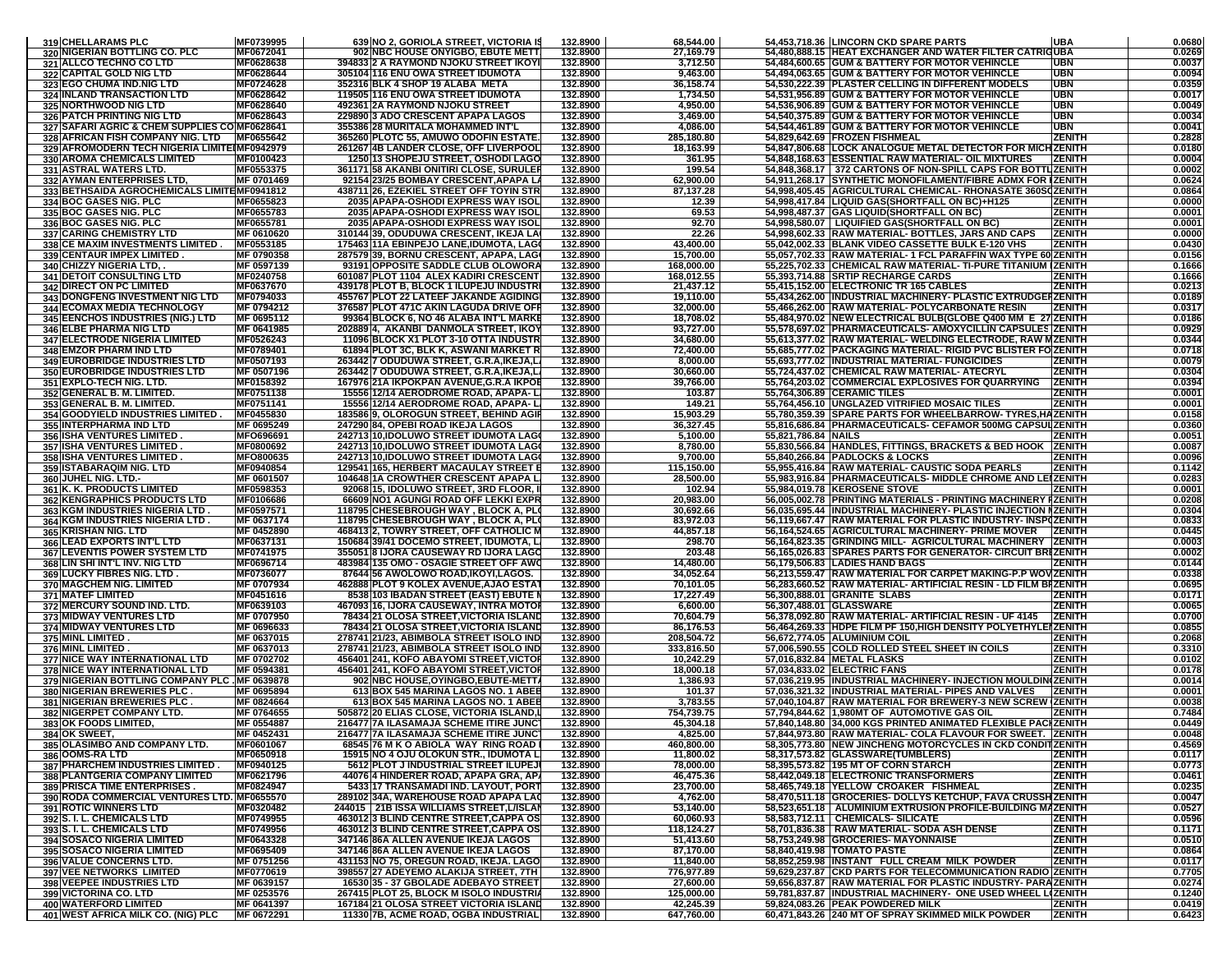|     | 319 CHELLARAMS PLC                                                     | MF0739995                | 639 NO 2, GORIOLA STREET, VICTORIA IS                                                | 132.8900             | 68,544.00               |                     | 54,453,718.36 LINCORN CKD SPARE PARTS                                                                                        | <b>UBA</b>                      | 0.0680           |
|-----|------------------------------------------------------------------------|--------------------------|--------------------------------------------------------------------------------------|----------------------|-------------------------|---------------------|------------------------------------------------------------------------------------------------------------------------------|---------------------------------|------------------|
|     | 320 NIGERIAN BOTTLING CO. PLC                                          | MF0672041                | 902 NBC HOUSE ONYIGBO, EBUTE METT                                                    | 132.8900             | 27,169.79               |                     | 54,480,888.15 HEAT EXCHANGER AND WATER FILTER CATRIGUBA                                                                      |                                 | 0.0269           |
|     | 321 ALLCO TECHNO CO LTD                                                | MF0628638                | 394833 2 A RAYMOND NJOKU STREET IKOYI                                                | 132.8900             | 3,712.50                |                     | 54,484,600.65 GUM & BATTERY FOR MOTOR VEHINCLE                                                                               | UBN                             | 0.0037           |
|     | 322 CAPITAL GOLD NIG LTD                                               | MF0628644                | 305104 116 ENU OWA STREET IDUMOTA                                                    | 132.8900             | 9,463.00                |                     | 54,494,063.65 GUM & BATTERY FOR MOTOR VEHINCLE                                                                               | UBN                             | 0.0094           |
|     | 323 EGO CHUMA IND.NIG LTD                                              | MF0724628                | 352316 BLK 4 SHOP 19 ALABA META                                                      | 132.8900             | 36,158.74               |                     | 54,530,222.39 PLASTER CELLING IN DIFFERENT MODELS                                                                            | UBN                             | 0.0359           |
|     | <b>324 INLAND TRANSACTION LTD</b>                                      | MF0628642                | 119505 116 ENU OWA STREET IDUMOTA                                                    | 132.8900             | 1,734.50                |                     | 54,531,956.89 GUM & BATTERY FOR MOTOR VEHINCLE                                                                               | UBN                             | 0.0017           |
|     | 325 NORTHWOOD NIG LTD<br>326 PATCH PRINTING NIG LTD                    | MF0628640<br>MF0628643   | 492361 2A RAYMOND NJOKU STREET<br>229890 3 ADO CRESCENT APAPA LAGOS                  | 132.8900<br>132.8900 | 4,950.00<br>3,469.00    |                     | 54,536,906.89 GUM & BATTERY FOR MOTOR VEHINCLE<br>54,540,375.89 GUM & BATTERY FOR MOTOR VEHINCLE                             | UBN<br>UBN                      | 0.0049<br>0.0034 |
|     | 327 SAFARI AGRIC & CHEM SUPPLIES CO MF0628641                          |                          | 355386 28 MURITALA MOHAMMED INT'L                                                    | 132.8900             | 4,086.00                |                     | 54,544,461.89 GUM & BATTERY FOR MOTOR VEHINCLE                                                                               | UBN                             | 0.0041           |
|     | 328 AFRICAN FISH COMPANY NIG. LTD                                      | MF0655642                | 365260 PLOTC 55, AMUWO ODOFIN ESTATE.                                                | 132.8900             | 285.180.80              |                     | 54,829,642.69 FROZEN FISHMEAL                                                                                                | <b>ZENITH</b>                   | 0.2828           |
|     | 329 AFROMODERN TECH NIGERIA LIMITE IMF0942979                          |                          | 261267 4B LANDER CLOSE, OFF LIVERPOOL                                                | 132.8900             | 18,163.99               |                     | 54,847,806.68 LOCK ANALOGUE METAL DETECTOR FOR MICHZENITH                                                                    |                                 | 0.0180           |
|     | 330 AROMA CHEMICALS LIMITED                                            | MF0100423                | 1250 13 SHOPEJU STREET, OSHODI LAGO                                                  | 132.8900             | 361.95                  |                     | 54,848,168.63 ESSENTIAL RAW MATERIAL- OIL MIXTURES                                                                           | <b>ZENITH</b>                   | 0.0004           |
|     | 331 ASTRAL WATERS LTD.                                                 | MF0553375                | 361171 58 AKANBI ONITIRI CLOSE, SURULER                                              | 132.8900             | 199.54                  |                     | 54,848,368.17   372 CARTONS OF NON-SPILL CAPS FOR BOTTLIZENITH                                                               |                                 | 0.0002           |
|     | 332 AYMAN ENTERPRISES LTD.                                             | MF 0701469               | 92154 23/25 BOMBAY CRESCENT, APAPA L                                                 | 132.8900             | 62,900.00               |                     | 54,911,268.17 SYNTHETIC MONOFILAMENT/FIBRE ADMX FOR IZENITH                                                                  |                                 | 0.0624           |
|     | 333 BETHSAIDA AGROCHEMICALS LIMITEMF0941812                            |                          | 438711 26, EZEKIEL STREET OFF TOYIN STR                                              | 132.8900             | 87,137.28               |                     | 54,998,405.45   AGRICULTURAL CHEMICAL- RHONASATE 360SQZENITH                                                                 |                                 | 0.0864           |
|     | 334 BOC GASES NIG. PLC                                                 | MF0655823<br>MF0655783   | 2035 APAPA-OSHODI EXPRESS WAY ISOL                                                   | 132.8900             | 12.39                   |                     | 54,998,417.84  LIQUID GAS(SHORTFALL ON BC)+H125                                                                              | <b>ZENITH</b><br><b>ZENITH</b>  | 0.0000           |
|     | 335 BOC GASES NIG. PLC<br>336 BOC GASES NIG. PLC                       | MF0655781                | 2035 APAPA-OSHODI EXPRESS WAY ISOL<br>2035 APAPA-OSHODI EXPRESS WAY ISOL             | 132.8900<br>132.8900 | 69.53<br>92.70          |                     | 54,998,487.37 GAS LIQUID(SHORTFALL ON BC)<br>54,998,580.07   LIQUIFIED GAS(SHORTFALL ON BC)                                  | <b>ZENITH</b>                   | 0.0001<br>0.0001 |
|     | 337 CARING CHEMISTRY LTD                                               | MF 0610620               | 310144 39, ODUDUWA CRESCENT, IKEJA LA                                                | 132.8900             | 22.26                   |                     | 54,998,602.33 RAW MATERIAL-BOTTLES, JARS AND CAPS                                                                            | <b>ZENITH</b>                   | 0.0000           |
|     | 338 CE MAXIM INVESTMENTS LIMITED .                                     | MF0553185                | 175463 11A EBINPEJO LANE,IDUMOTA, LAGO                                               | 132.8900             | 43,400.00               |                     | 55,042,002.33 BLANK VIDEO CASSETTE BULK E-120 VHS                                                                            | ZENITH                          | 0.0430           |
|     | 339 CENTAUR IMPEX LIMITED                                              | MF 0790358               | 287579 39, BORNU CRESCENT, APAPA, LAG                                                | 132.8900             | 15,700.00               |                     | 55,057,702.33 RAW MATERIAL- 1 FCL PARAFFIN WAX TYPE 60 ZENITH                                                                |                                 | 0.0156           |
|     | 340 CHIZZY NIGERIA LTD, .                                              | MF 0597139               | 93191 OPPOSITE SADDLE CLUB OLOWORA                                                   | 132.8900             | 168,000.00              |                     | 55,225,702.33   CHEMICAL RAW MATERIAL-TI-PURE TITANIUM (ZENITH                                                               |                                 | 0.1666           |
|     | 341 DETOIT CONSULTING LTD                                              | MF0240758                | 601087 PLOT 1104 ALEX KADIRI CRESCENT                                                | 132.8900             | 168,012.55              |                     | 55,393,714.88 SRTIP RECHARGE CARDS                                                                                           | ZENITH                          | 0.1666           |
|     | <b>342 DIRECT ON PC LIMITED</b>                                        | MF0637670                | 439178 PLOT B, BLOCK 1 ILUPEJU INDUSTR                                               | 132.8900             | 21,437.12               |                     | 55,415,152.00 ELECTRONIC TR 165 CABLES                                                                                       | <b>ZENITH</b>                   | 0.0213           |
|     | 343 DONGFENG INVESTMENT NIG LTD<br><b>344 ECOMAX MEDIA TECHNOLOGY</b>  | MF0794033<br>MF 0794212  | 455767 PLOT 22 LATEEF JAKANDE AGIDING<br>376587 PLOT 471C AKIN LAGUDA DRIVE OFF      | 132.8900<br>132.8900 | 19,110.00<br>32,000.00  |                     | 55,434,262.00 INDUSTRIAL MACHINERY- PLASTIC EXTRUDGERZENITH<br>55,466,262.00 RAW MATERIAL- POLYCARBONATE RESIN               | <b>ZENITH</b>                   | 0.0189<br>0.0317 |
|     | 345 EENCHOS INDUSTRIES (NIG.) LTD                                      | MF 0695112               | 99364 BLOCK 6, NO 46 ALABA INT'L MARKE                                               | 132.8900             | 18,708.02               |                     | 55,484,970.02 NEW ELECTRICAL BULB(GLOBE Q400 MM E 27 ZENITH                                                                  |                                 | 0.0186           |
|     | 346 ELBE PHARMA NIG LTD                                                | MF 0641985               | 202889 4, AKANBI DANMOLA STREET, IKOʻ                                                | 132.8900             | 93,727.00               |                     | 55,578,697.02 PHARMACEUTICALS- AMOXYCILLIN CAPSULES ZENITH                                                                   |                                 | 0.0929           |
|     | 347 ELECTRODE NIGERIA LIMITED                                          | MF0526243                | 11096 BLOCK X1 PLOT 3-10 OTTA INDUSTR                                                | 132.8900             | 34,680.00               |                     | 55,613,377.02 RAW MATERIAL- WELDING ELECTRODE, RAW MZENITH                                                                   |                                 | 0.0344           |
|     | 348 EMZOR PHARM IND LTD                                                | MF0789401                | 61894 PLOT 3C, BLK K, ASWANI MARKET R                                                | 132.8900             | 72,400.00               |                     | 55,685,777.02 PACKAGING MATERIAL- RIGID PVC BLISTER FOIZENITH                                                                |                                 | 0.0718           |
|     | <b>349 EUROBRIDGE INDUSTRIES LTD</b>                                   | MF0507193                | 263442 7 ODUDUWA STREET, G.R.A, IKEJA, L                                             | 132.8900             | 8,000.00                |                     | 55,693,777.02 INDUSTRIAL MATERIAL- FUNGICIDES                                                                                | ZENITH                          | 0.0079           |
|     | <b>350 EUROBRIDGE INDUSTRIES LTD</b>                                   | MF 0507196               | 263442 7 ODUDUWA STREET, G.R.A.IKEJA,L                                               | 132.8900             | 30,660.00               |                     | 55,724,437.02 CHEMICAL RAW MATERIAL- ATECRYL                                                                                 | ZENITH                          | 0.0304           |
|     | 351 EXPLO-TECH NIG. LTD.                                               | MF0158392<br>MF0751138   | 167976 21A IKPOKPAN AVENUE, G.R.A IKPOE                                              | 132.8900             | 39,766.00<br>103.87     |                     | 55,764,203.02 COMMERCIAL EXPLOSIVES FOR QUARRYING                                                                            | <b>IZENITH</b><br><b>ZENITH</b> | 0.0394<br>0.0001 |
|     | 352 GENERAL B. M. LIMITED.<br>353 GENERAL B. M. LIMITED.               | MF0751141                | 15556 12/14 AERODROME ROAD, APAPA- L<br>15556 12/14 AERODROME ROAD, APAPA-L          | 132.8900<br>132.8900 | 149.21                  |                     | 55,764,306.89 CERAMIC TILES<br>55,764,456.10 UNGLAZED VITRIFIED MOSAIC TILES                                                 | <b>ZENITH</b>                   | 0.0001           |
|     | 354 GOODYIELD INDUSTRIES LIMITED.                                      | MF0455830                | 183586 9, OLOROGUN STREET, BEHIND AGII                                               | 132.8900             | 15,903.29               |                     | 55,780,359.39   SPARE PARTS FOR WHEELBARROW- TYRES, HAZENITH                                                                 |                                 | 0.0158           |
|     | 355 INTERPHARMA IND LTD                                                | MF 0695249               | 247290 84, OPEBI ROAD IKEJA LAGOS                                                    | 132.8900             | 36,327.45               |                     | 55,816,686.84 PHARMACEUTICALS- CEFAMOR 500MG CAPSULIZENITH                                                                   |                                 | 0.0360           |
|     | 356 ISHA VENTURES LIMITED                                              | MFO696691                | 242713 10, IDOLUWO STREET IDUMOTA LAG                                                | 132.8900             | 5,100.00                | 55,821,786.84 NAILS |                                                                                                                              | ZENITH                          | 0.0051           |
|     | <b>357 ISHA VENTURES LIMITED</b>                                       | MF0800692                | 242713110.IDOLUWO STREET IDUMOTA LAG                                                 | 132.8900             | 8,780.00                |                     | 55,830,566.84 HANDLES, FITTINGS, BRACKETS & BED HOOK   ZENITH                                                                |                                 | 0.0087           |
|     | 358 ISHA VENTURES LIMITED                                              | MFO800635                | 242713 10, IDOLUWO STREET IDUMOTA LAG                                                | 132.8900             | 9,700.00                |                     | 55,840,266.84 PADLOCKS & LOCKS                                                                                               | <b>ZENITH</b>                   | 0.0096           |
|     | 359 ISTABARAQIM NIG. LTD                                               | MF0940854                | 129541 165, HERBERT MACAULAY STREET E                                                | 132.8900             | 115,150.00              |                     | 55,955,416.84  RAW MATERIAL- CAUSTIC SODA PEARLS                                                                             | <b>ZENITH</b>                   | 0.1142<br>0.0283 |
|     | 360 JUHEL NIG. LTD.-<br>361 K. K. PRODUCTS LIMITED                     | MF 0601507<br>MF0598353  | 104648 1A CROWTHER CRESCENT APAPA L<br>92068 15, IDOLUWO STREET, 3RD FLOOR,          | 132.8900<br>132.8900 | 28,500.00<br>102.94     |                     | 55,983,916.84   PHARMACEUTICALS- MIDDLE CHROME AND LEIZENITH<br>55,984,019.78 KEROSENE STOVE                                 | <b>ZENITH</b>                   | 0.0001           |
|     | <b>362 KENGRAPHICS PRODUCTS LTD</b>                                    | MF0106686                | 66609 NO1 AGUNGI ROAD OFF LEKKI EXPR                                                 | 132.8900             | 20,983.00               |                     | 56,005,002.78 PRINTING MATERIALS - PRINTING MACHINERY FZENITH                                                                |                                 | 0.0208           |
|     | 363 KGM INDUSTRIES NIGERIA LTD                                         | MF0597571                | 118795 CHESEBROUGH WAY, BLOCK A, PL                                                  | 132.8900             | 30,692.66               |                     | 56,035,695.44  INDUSTRIAL MACHINERY- PLASTIC INJECTION NZENITH                                                               |                                 | 0.0304           |
| 364 | <b>KGM INDUSTRIES NIGERIA LTD .</b>                                    | MF 0637174               | 118795 CHESEBROUGH WAY, BLOCK A, PL                                                  | 132.8900             | 83,972.03               |                     | 56,119,667.47  RAW MATERIAL FOR PLASTIC INDUSTRY- INSPOZENITH                                                                |                                 | 0.0833           |
|     | 365 KRISHAN NIG. LTD                                                   | MF 0452890               | 468413 2, TOWRY STREET, OFF CATHOLIC M                                               | 132.8900             | 44,857.18               |                     | 56,164,524.65 AGRICULTURAL MACHINERY- PRIME MOVER                                                                            | <b>IZENITH</b>                  | 0.0445           |
|     | 366 LEAD EXPORTS INT'L LTD                                             | MF0637131                | 150684 39/41 DOCEMO STREET, IDUMOTA, L                                               | 132.8900             | 298.70                  |                     | 56,164,823.35 GRINDING MILL- AGRICULTURAL MACHINERY                                                                          | <b>ZENITH</b>                   | 0.0003           |
|     | <b>367 LEVENTIS POWER SYSTEM LTD</b><br>368 LIN SHI INT'L INV. NIG LTD | MF0741975<br>MF0696714   | 355051 8 IJORA CAUSEWAY RD IJORA LAGO<br>483984135 OMO - OSAGIE STREET OFF AWO       | 132.8900<br>132.8900 | 203.48<br>14,480.00     |                     | 56,165,026.83 SPARES PARTS FOR GENERATOR- CIRCUIT BRIZENITH<br>56,179,506.83 LADIES HAND BAGS                                | <b>ZENITH</b>                   | 0.0002<br>0.0144 |
|     | 369 LUCKY FIBRES NIG. LTD                                              | MF0736077                | 87644 56 AWOLOWO ROAD, IKOYI, LAGOS.                                                 | 132.8900             | 34,052.64               |                     | 56,213,559.47  RAW MATERIAL FOR CARPET MAKING-P.P WOVIZENITH                                                                 |                                 | 0.0338           |
|     | 370 MAGCHEM NIG. LIMITED                                               | MF 0707934               | 462888 PLOT 9 KOLEX AVENUE, AJAO ESTA                                                | 132.8900             | 70,101.05               |                     | 56,283,660.52 RAW MATERIAL- ARTIFICIAL RESIN - LD FILM BIZENITH                                                              |                                 | 0.0695           |
|     | 371 MATEF LIMITED                                                      | MF0451616                | 8538 103 IBADAN STREET (EAST) EBUTE                                                  | 132.8900             | 17,227.49               |                     | 56,300,888.01 GRANITE SLABS                                                                                                  | ZENITH                          | 0.0171           |
|     | 372 MERCURY SOUND IND. LTD.                                            | MF0639103                | 467093 16, IJORA CAUSEWAY, INTRA MOTOR                                               | 132.8900             | 6,600.00                |                     | 56,307,488.01 GLASSWARE                                                                                                      | <b>ZENITH</b>                   | 0.0065           |
|     | 373 MIDWAY VENTURES LTD                                                | MF 0707950               | 78434 21 OLOSA STREET, VICTORIA ISLAND                                               | 132.8900             | 70,604.79               |                     | 56,378,092.80 RAW MATERIAL- ARTIFICIAL RESIN - UF 4145                                                                       | <b>IZENITH</b>                  | 0.0700           |
|     | 374 MIDWAY VENTURES LTD                                                | MF 0696633               | 78434 21 OLOSA STREET, VICTORIA ISLAND                                               | 132.8900             | 86,176.53<br>208.504.72 |                     | 56,464,269.33 HDPE FILM PF 150, HIGH DENSITY POLYETHYLEIZENITH                                                               |                                 | 0.0855           |
|     | 375 MINL LIMITED<br>376 MINL LIMITED                                   | MF 0637015<br>MF 0637013 | 278741 21/23, ABIMBOLA STREET ISOLO IND<br>278741 21/23, ABIMBOLA STREET ISOLO IND   | 132.8900<br>132.8900 | 333,816.50              |                     | 56,672,774.05 ALUMINIUM COIL<br>57,006,590.55 COLD ROLLED STEEL SHEET IN COILS                                               | <b>ZENITH</b><br><b>ZENITH</b>  | 0.2068<br>0.3310 |
|     | 377 NICE WAY INTERNATIONAL LTD                                         | MF 0702702               | 456401 241, KOFO ABAYOMI STREET, VICTOR                                              | 132.8900             | 10,242.29               |                     | 57,016,832.84 METAL FLASKS                                                                                                   | <b>ZENITH</b>                   | 0.0102           |
|     | 378 NICE WAY INTERNATIONAL LTD                                         | MF 0594381               | 456401 241, KOFO ABAYOMI STREET, VICTOR                                              | 132.8900             | 18,000.18               |                     | 57,034,833.02 ELECTRIC FANS                                                                                                  | <b>ZENITH</b>                   | 0.0178           |
|     | 379 NIGERIAN BOTTLING COMPANY PLC . MF 0639878                         |                          | 902 NBC HOUSE, OYINGBO, EBUTE-METT/                                                  | 132.8900             | 1,386.93                |                     | 57,036,219.95  INDUSTRIAL MACHINERY- INJECTION MOULDIN(ZENITH                                                                |                                 | 0.0014           |
|     | 380 NIGERIAN BREWERIES PLC.                                            | MF 0695894               | 613 BOX 545 MARINA LAGOS NO. 1 ABEE                                                  | 132.8900             | 101.37                  |                     | 57,036,321.32 INDUSTRIAL MATERIAL- PIPES AND VALVES                                                                          | <b>ZENITH</b>                   | 0.0001           |
| 381 | <b>NIGERIAN BREWERIES PLC.</b>                                         | MF 0824664               | 613 BOX 545 MARINA LAGOS NO. 1 ABEB                                                  | 132.8900             | 3,783.55                |                     | 57,040,104.87  RAW MATERIAL FOR BREWERY-3 NEW SCREW (ZENITH                                                                  |                                 | 0.0038           |
|     | 382 NIGERPET COMPANY LTD.                                              | MF 0764655               | 505872 20 ELIAS CLOSE, VICTORIA ISLAND,                                              | 132.8900             | 754,739.75              |                     | 57,794,844.62 1,980MT OF AUTOMOTIVE GAS OIL                                                                                  | ZENITH                          | 0.7484           |
|     | 383 OK FOODS LIMITED.                                                  | MF 0554887<br>MF 0452431 | 216477 7A ILASAMAJA SCHEME ITIRE JUNCT<br>216477 7A ILASAMAJA SCHEME ITIRE JUNC      | 132.8900<br>132.8900 | 45,304.18<br>4,825.00   |                     | 57,840,148.80 34,000 KGS PRINTED ANIMATED FLEXIBLE PACIZENITH<br>57,844,973.80  RAW MATERIAL- COLA FLAVOUR FOR SWEET.        | <b>ENITH</b>                    | 0.0449<br>0.0048 |
|     | 384 OK SWEET,<br>385 OLASIMBO AND COMPANY LTD.                         | MF0601067                | 68545 76 M K O ABIOLA WAY RING ROAD                                                  | 132.8900             | 460,800.00              |                     | 58,305,773.80 NEW JINCHENG MOTORCYCLES IN CKD CONDITZENITH                                                                   |                                 | 0.4569           |
|     | 386 OOMS-RALTD                                                         | MF0650918                | 15915 NO 4 OJU OLOKUN STR., IDUMOTA L                                                | 132.8900             | 11,800.02               |                     | 58,317,573.82 GLASSWARE(TUMBLERS)                                                                                            | <b>ZENITH</b>                   | 0.0117           |
|     | <b>387 PHARCHEM INDUSTRIES LIMITED</b>                                 | MF0940125                | 5612 PLOT J INDUSTRIAL STREET ILUPEJ                                                 | 132.8900             | 78,000.00               |                     | 58,395,573.82 195 MT OF CORN STARCH                                                                                          | <b>ZENITH</b>                   | 0.0773           |
|     | 388 PLANTGERIA COMPANY LIMITED                                         | MF0621796                | 44076 4 HINDERER ROAD, APAPA GRA, AP/                                                | 132.8900             | 46,475.36               |                     | 58,442,049.18 ELECTRONIC TRANSFORMERS                                                                                        | <b>ZENITH</b>                   | 0.0461           |
|     | 389 PRISCA TIME ENTERPRISES.                                           | MF0824947                | 5433 17 TRANSAMADI IND. LAYOUT, PORT                                                 | 132.8900             | 23,700.00               |                     | 58,465,749.18 YELLOW CROAKER FISHMEAL                                                                                        | <b>ZENITH</b>                   | 0.0235           |
|     | 390 RODA COMMERCIAL VENTURES LTD. MF0655570                            |                          | 289102 34A, WAREHOUSE ROAD APAPA LAO                                                 | 132.8900             | 4,762.00                |                     | 58,470,511.18   GROCERIES- DOLLYS KETCHUP, FAVA CRUSSHZENITH                                                                 |                                 | 0.0047           |
|     | 391 ROTIC WINNERS LTD<br>392 S. I. L. CHEMICALS LTD                    | MF0320482<br>MF0749955   | 244015   21B ISSA WILLIAMS STREET, L/ISLAN<br>463012 3 BLIND CENTRE STREET, CAPPA OS | 132.8900<br>132.8900 | 53,140.00<br>60,060.93  |                     | 58,523,651.18   ALUMINIUM EXTRUSION PROFILE-BUILDING MAZENITH<br>58,583,712.11   CHEMICALS- SILICATE                         | <b>ZENITH</b>                   | 0.0527<br>0.0596 |
|     | 393 S. I. L. CHEMICALS LTD                                             | MF0749956                | 463012 3 BLIND CENTRE STREET, CAPPA OS                                               | 132.8900             | 118,124.27              |                     | 58,701,836.38   RAW MATERIAL- SODA ASH DENSE                                                                                 | <b>ZENITH</b>                   | 0.1171           |
|     | 394 SOSACO NIGERIA LIMITED                                             | MF0643328                | 347146 86A ALLEN AVENUE IKEJA LAGOS                                                  | 132.8900             | 51,413.60               |                     | 58,753,249.98 GROCERIES- MAYONNAISE                                                                                          | <b>ZENITH</b>                   | 0.0510           |
|     | 395 SOSACO NIGERIA LIMITED                                             | MF0695409                | 347146 86A ALLEN AVENUE IKEJA LAGOS                                                  | 132.8900             | 87,170.00               |                     | 58,840,419.98 TOMATO PASTE                                                                                                   | <b>ZENITH</b>                   | 0.0864           |
|     | 396 VALUE CONCERNS LTD.                                                | MF 0751256               | 431153 NO 75, OREGUN ROAD, IKEJA. LAGO                                               | 132.8900             | 11,840.00               |                     | 58.852,259.98 INSTANT FULL CREAM MILK POWDER                                                                                 | <b>ZENITH</b>                   | 0.0117           |
|     | 397 VEE NETWORKS LIMITED                                               | MF0770619                | 398557127 ADEYEMO ALAKIJA STREET, 7TH                                                | 132.8900             | 776,977.89              |                     | 59,629,237.87 CKD PARTS FOR TELECOMMUNICATION RADIO ZENITH                                                                   |                                 | 0.7705           |
|     | 398 VEEPEE INDUSTRIES LTD<br>399 VICTORINA CO. LTD                     | MF 0639157               | 16530 35 - 37 GBOLADE ADEBAYO STREET<br>267415 PLOT 25, BLOCK M ISOLO INDUSTRIA      | 132.8900             | 27,600.00               |                     | 59,656,837.87  RAW MATERIAL FOR PLASTIC INDUSTRY- PARAZENITH<br>59,781,837.87 IINDUSTRIAL MACHINERY- ONE USED WHEEL LOZENITH |                                 | 0.0274<br>0.1240 |
|     | <b>400 WATERFORD LIMITED</b>                                           | MF 0253576<br>MF 0641397 | 167184 21 OLOSA STREET VICTORIA ISLAND                                               | 132.8900<br>132.8900 | 125,000.00<br>42,245.39 |                     | 59,824,083.26 PEAK POWDERED MILK                                                                                             | <b>ZENITH</b>                   | 0.0419           |
|     | 401 WEST AFRICA MILK CO. (NIG) PLC                                     | MF 0672291               | 11330 7B, ACME ROAD, OGBA INDUSTRIAL                                                 | 132.8900             | 647,760.00              |                     | 60,471,843.26 240 MT OF SPRAY SKIMMED MILK POWDER                                                                            | <b>ZENITH</b>                   | 0.6423           |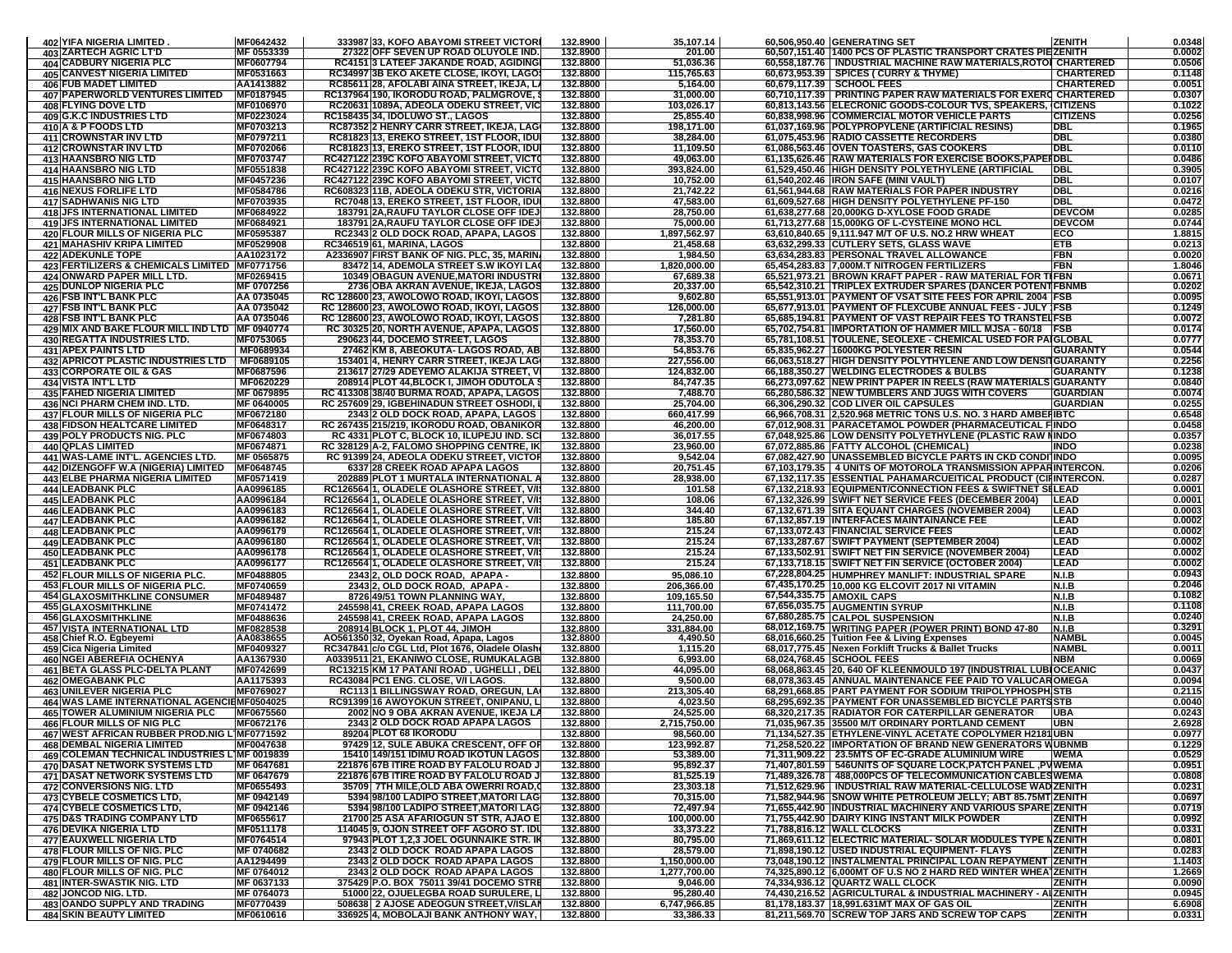| 402 YIFA NIGERIA LIMITED                                                               | MF0642432               | 333987 33, KOFO ABAYOMI STREET VICTORI                                                   | 132.8900             | 35,107.14                    | 60,506,950.40 GENERATING SET<br><b>ZENITH</b>                                                                                           | 0.0348           |
|----------------------------------------------------------------------------------------|-------------------------|------------------------------------------------------------------------------------------|----------------------|------------------------------|-----------------------------------------------------------------------------------------------------------------------------------------|------------------|
| <b>403 ZARTECH AGRIC LT'D</b>                                                          | MF 0553339              | 27322 OFF SEVEN UP ROAD OLUYOLE IND.                                                     | 132.8900             | 201.00                       | 60,507,151.40 1400 PCS OF PLASTIC TRANSPORT CRATES PIEZENITH                                                                            | 0.0002           |
| 404 CADBURY NIGERIA PLC<br><b>405 CANVEST NIGERIA LIMITED</b>                          | MF0607794<br>MF0531663  | RC4151 3 LATEEF JAKANDE ROAD, AGIDING<br>RC34997 3B EKO AKETE CLOSE, IKOYI, LAGO         | 132.8800<br>132.8800 | 51,036.36<br>115,765.63      | 60,558,187.76   INDUSTRIAL MACHINE RAW MATERIALS, ROTOI CHARTERED<br>60,673,953.39   SPICES ( CURRY & THYME)<br><b>CHARTERED</b>        | 0.0506<br>0.1148 |
| <b>406 FUB MADET LIMITED</b>                                                           | AA1413882               | RC85611 28, AFOLABI AINA STREET, IKEJA, LA                                               | 132.8800             | 5,164.00                     | 60,679,117.39   SCHOOL FEES<br><b>CHARTERED</b>                                                                                         | 0.0051           |
| 407 PAPERWORLD VENTURES LIMITED                                                        | MF0187945               | RC137964 190, IKORODU ROAD, PALMGROVE,                                                   | 132.8800             | 31,000.00                    | 60,710,117.39   PRINTING PAPER RAW MATERIALS FOR EXERC CHARTERED                                                                        | 0.0307           |
| <b>408 FLYING DOVE LTD</b>                                                             | MF0106970               | RC20631 1089A, ADEOLA ODEKU STREET, VIC                                                  | 132.8800             | 103,026.17                   | 60,813,143.56 ELECRONIC GOODS-COLOUR TVS, SPEAKERS, CITIZENS                                                                            | 0.1022           |
| <b>409 G.K.C INDUSTRIES LTD</b><br>410 A & P FOODS LTD                                 | MF0223024<br>MF0703213  | RC158435 34, IDOLUWO ST., LAGOS<br>RC87352 2 HENRY CARR STREET, IKEJA, LAG               | 132.8800<br>132.8800 | 25,855.40<br>198,171.00      | 60,838,998.96 COMMERCIAL MOTOR VEHICLE PARTS<br><b>CITIZENS</b><br>61,037,169.96 POLYPROPYLENE (ARTIFICIAL RESINS)<br>DBL               | 0.0256<br>0.1965 |
| <b>411 CROWNSTAR INV LTD</b>                                                           | MF0797211               | RC81823 13, EREKO STREET, 1ST FLOOR, IDU                                                 | 132.8800             | 38.284.00                    | <b>DBL</b><br>61,075,453.96 RADIO CASSETTE RECORDERS                                                                                    | 0.0380           |
| <b>412 CROWNSTAR INV LTD</b>                                                           | MF0702066               | RC81823 13, EREKO STREET, 1ST FLOOR, IDU                                                 | 132.8800             | 11,109.50                    | <b>DBL</b><br>61,086,563.46 OVEN TOASTERS, GAS COOKERS                                                                                  | 0.0110           |
| <b>413 HAANSBRO NIG LTD</b>                                                            | <b>MF0703747</b>        | RC427122 239C KOFO ABAYOMI STREET, VICTO                                                 | 132.8800             | 49,063.00                    | 61,135,626.46 RAW MATERIALS FOR EXERCISE BOOKS, PAPERDBL                                                                                | 0.0486           |
| <b>414 HAANSBRO NIG LTD</b><br><b>415 HAANSBRO NIG LTD</b>                             | MF0551838<br>MF0457236  | RC427122 239C KOFO ABAYOMI STREET, VICTO<br>RC427122 239C KOFO ABAYOMI STREET, VICTO     | 132.8800<br>132.8800 | 393,824.00<br>10,752.00      | 61,529,450.46 HIGH DENSITY POLYETHYLENE (ARTIFICIAL<br><b>IDBL</b><br><b>DBL</b><br>61,540,202.46  IRON SAFE (MINI VAULT)               | 0.3905<br>0.0107 |
| <b>416 NEXUS FORLIFE LTD</b>                                                           | MF0584786               | RC608323 11B, ADEOLA ODEKU STR, VICTORIA                                                 | 132.8800             | 21,742.22                    | 61,561,944.68 RAW MATERIALS FOR PAPER INDUSTRY<br><b>DBL</b>                                                                            | 0.0216           |
| 417 SADHWANIS NIG LTD                                                                  | MF0703935               | RC7048 13, EREKO STREET, 1ST FLOOR, IDU                                                  | 132.8800             | 47,583.00                    | 61,609,527.68 HIGH DENSITY POLYETHYLENE PF-150<br><b>DBL</b>                                                                            | 0.0472           |
| <b>418 JFS INTERNATIONAL LIMITED</b>                                                   | MF0684922               | 183791 2A, RAUFU TAYLOR CLOSE OFF IDEJ                                                   | 132.8800             | 28,750.00                    | <b>DEVCOM</b><br>61,638,277.68 20,000KG D-XYLOSE FOOD GRADE                                                                             | 0.0285           |
| <b>419 JFS INTERNATIONAL LIMITED</b><br><b>420 FLOUR MILLS OF NIGERIA PLC</b>          | MF0684921<br>MF0595387  | 183791 2A, RAUFU TAYLOR CLOSE OFF IDEJ<br>RC2343 2 OLD DOCK ROAD, APAPA, LAGOS           | 132.8800<br>132.8800 | 75,000.00<br>1,897,562.97    | <b>DEVCOM</b><br>61,713,277.68 15,000KG OF L-CYSTEINE MONO HCL<br>63,610,840.65 9,111.947 M/T OF U.S. NO.2 HRW WHEAT<br><b>IECO</b>     | 0.0744<br>1.8815 |
| 421 MAHASHIV KRIPA LIMITED                                                             | MF0529908               | <b>RC346519 61, MARINA, LAGOS</b>                                                        | 132.8800             | 21,458.68                    | 63,632,299.33 CUTLERY SETS, GLASS WAVE<br>ETB                                                                                           | 0.0213           |
| <b>422 ADEKUNLE TOPE</b>                                                               | AA1023172               | A2336907 FIRST BANK OF NIG. PLC, 35, MARIN                                               | 132.8800             | 1,984.50                     | 63.634.283.83 PERSONAL TRAVEL ALLOWANCE<br><b>FBN</b>                                                                                   | 0.0020           |
| 423 FERTILIZERS & CHEMICALS LIMITED  MF0771756                                         |                         | 83472 14, ADEMOLA STREET S.W IKOYI LA                                                    | 132.8800             | 1,820,000.00                 | 65,454,283.83 7,000M.T NITROGEN FERTILIZERS<br><b>FBN</b>                                                                               | 1.8046           |
| 424 ONWARD PAPER MILL LTD.<br><b>425 DUNLOP NIGERIA PLC</b>                            | MF0269415<br>MF 0707256 | 10349 OBAGUN AVENUE, MATORI INDUSTR<br>2736 OBA AKRAN AVENUE, IKEJA, LAGOS               | 132.8800<br>132.8800 | 67,689.38<br>20,337.00       | 65,521,973.21 BROWN KRAFT PAPER - RAW MATERIAL FOR TIFBN<br>65,542,310.21  TRIPLEX EXTRUDER SPARES (DANCER POTENT FBNME                 | 0.0671<br>0.0202 |
| <b>426 FSB INT'L BANK PLC</b>                                                          | AA 0735045              | RC 128600 23, AWOLOWO ROAD, IKOYI, LAGOS                                                 | 132.8800             | 9,602.80                     | 65,551,913.01   PAYMENT OF VSAT SITE FEES FOR APRIL 2004   FSB                                                                          | 0.0095           |
| <b>427 FSB INT'L BANK PLC</b>                                                          | AA 0735042              | RC 128600 23, AWOLOWO ROAD, IKOYI, LAGOS                                                 | 132.8800             | 126,000.00                   | 65,677,913.01 PAYMENT OF FLEXCUBE ANNUAL FEES - JULY 1FSB                                                                               | 0.1249           |
| <b>428 FSB INT'L BANK PLC</b>                                                          | AA 0735046              | RC 128600 23, AWOLOWO ROAD, IKOYI, LAGOS                                                 | 132.8800             | 7,281.80                     | 65,685,194.81 PAYMENT OF VAST REPAIR FEES TO TRANSTELFSB                                                                                | 0.0072           |
| 429 MIX AND BAKE FLOUR MILL IND LTD   MF 0940774<br><b>430 REGATTA INDUSTRIES LTD.</b> | MF0753065               | RC 30325 20, NORTH AVENUE, APAPA, LAGOS<br>290623 44, DOCEMO STREET, LAGOS               | 132.8800<br>132.8800 | 17,560.00<br>78,353.70       | 65,702,754.81 IMPORTATION OF HAMMER MILL MJSA - 60/18 FSB<br>65,781,108.51   TOULENE, SEOLEXE - CHEMICAL USED FOR PAIGLOBAL             | 0.0174<br>0.0777 |
| <b>431 APEX PAINTS LTD</b>                                                             | MF0689934               | 27462 KM 8, ABEOKUTA- LAGOS ROAD, AB                                                     | 132.8800             | 54,853.76                    | 65,835,962.27 16000KG POLYESTER RESIN<br><b>GUARANTY</b>                                                                                | 0.0544           |
| <b>432 APRICOT PLASTIC INDUSTRIES LTD</b>                                              | MF0689105               | 153401 4, HENRY CARR STREET, IKEJA LAG                                                   | 132.8800             | 227,556.00                   | 66,063,518.27 HIGH DENSITY POLYTHYLENE AND LOW DENSITGUARANTY                                                                           | 0.2256           |
| 433 CORPORATE OIL & GAS                                                                | MF0687596               | 213617 27/29 ADEYEMO ALAKIJA STREET, V                                                   | 132.8800             | 124,832.00                   | 66,188,350.27 WELDING ELECTRODES & BULBS<br><b>GUARANTY</b>                                                                             | 0.1238           |
| <b>434 VISTA INT'L LTD</b><br>435 FAHED NIGERIA LIMITED                                | MF0620229<br>MF 0679895 | 208914 PLOT 44, BLOCK I, JIMOH ODUTOLA :<br>RC 413308 38/40 BURMA ROAD, APAPA, LAGOS     | 132.8800<br>132.8800 | 84,747.35<br>7,488.70        | 66,273,097.62   NEW PRINT PAPER IN REELS (RAW MATERIALS GUARANTY<br>66,280,586.32 INEW TUMBLERS AND JUGS WITH COVERS<br><b>GUARDIAN</b> | 0.0840<br>0.0074 |
| <b>436 NCI PHARM CHEM IND. LTD.</b>                                                    | MF 0640005              | RC 257609 29, IGBEHINADUN STREET OSHODI, I                                               | 132.8800             | 25,704.00                    | 66,306,290.32 COD LIVER OIL CAPSULES<br><b>GUARDIAN</b>                                                                                 | 0.0255           |
| <b>437 FLOUR MILLS OF NIGERIA PLC</b>                                                  | MF0672180               | 2343 2 OLD DOCK ROAD, APAPA, LAGOS                                                       | 132.8800             | 660,417.99                   | 66,966,708.31 2,520.968 METRIC TONS U.S. NO. 3 HARD AMBERIBTC                                                                           | 0.6548           |
| <b>438 FIDSON HEALTCARE LIMITED</b>                                                    | MF0648317               | <b>RC 2674351215/219. IKORODU ROAD. OBANIKOR</b>                                         | 132.8800             | 46,200.00                    | 67,012,908.31 PARACETAMOL POWDER (PHARMACEUTICAL FINDO                                                                                  | 0.0458           |
| <b>439 POLY PRODUCTS NIG. PLC</b><br><b>440 QPLAS LIMITED</b>                          | MF0674803<br>MF0674871  | RC 4331 PLOT C, BLOCK 10, ILUPEJU IND. SC<br>RC 328129 A-2, FALOMO SHOPPING CENTRE, IK   | 132.8800<br>132.8800 | 36,017.55<br>23,960.00       | 67,048,925.86 LOW DENSITY POLYETHYLENE (PLASTIC RAW NINDO<br>67,072,885.86 FATTY ALCOHOL (CHEMICAL)<br><b>INDO</b>                      | 0.0357<br>0.0238 |
| 441 WAS-LAME INT'L. AGENCIES LTD.                                                      | MF 0565875              | RC 91399 24, ADEOLA ODEKU STREET, VICTOR                                                 | 132.8800             | 9,542.04                     | 67,082,427.90 UNASSEMBLED BICYCLE PARTS IN CKD CONDITINDO                                                                               | 0.0095           |
| 442 DIZENGOFF W.A (NIGERIA) LIMITED                                                    | MF0648745               | 6337 28 CREEK ROAD APAPA LAGOS                                                           | 132.8800             | 20,751.45                    | 67,103,179.35   4 UNITS OF MOTOROLA TRANSMISSION APPARINTERCON                                                                          | 0.0206           |
| 443 ELBE PHARMA NIGERIA LIMITED                                                        | MF0571419               | 202889 PLOT 1 MURTALA INTERNATIONAL A                                                    | 132.8800             | 28,938.00                    | 67,132,117.35 ESSENTIAL PAHAMARCUEITICAL PRODUCT (CIFINTERCON.                                                                          | 0.0287           |
| <b>444 LEADBANK PLC</b><br><b>445 LEADBANK PLC</b>                                     | AA0996185<br>AA0996184  | RC126564 1, OLADELE OLASHORE STREET, V/I<br>RC126564 1, OLADELE OLASHORE STREET, V/I     | 132.8800<br>132.8800 | 101.58<br>108.06             | 67,132,218.93 EQUIPMENT/CONNECTION FEES & SWIFTNET SILEAD<br>67,132,326.99 SWIFT NET SERVICE FEES (DECEMBER 2004)   LEAD                | 0.0001<br>0.0001 |
| <b>446 LEADBANK PLC</b>                                                                | AA0996183               | RC126564 1, OLADELE OLASHORE STREET, V/                                                  | 132.8800             | 344.40                       | 67,132,671.39 SITA EQUANT CHARGES (NOVEMBER 2004)<br><b>ILEAD</b>                                                                       | 0.0003           |
| <b>447 LEADBANK PLC</b>                                                                | AA0996182               | RC126564 1, OLADELE OLASHORE STREET, V/I                                                 | 132.8800             | 185.80                       | 67,132,857.19 INTERFACES MAINTAINANCE FEE<br>LEAD                                                                                       | 0.0002           |
| <b>448 LEADBANK PLC</b>                                                                | AA0996179               | RC126564 1, OLADELE OLASHORE STREET, V/I                                                 | 132.8800             | 215.24                       | LEAD<br>67,133,072.43 FINANCIAL SERVICE FEES                                                                                            | 0.0002           |
| <b>449 LEADBANK PLC</b><br><b>450 LEADBANK PLC</b>                                     | AA0996180<br>AA0996178  | RC126564 1, OLADELE OLASHORE STREET, V/I<br>RC126564 1, OLADELE OLASHORE STREET, V/I     | 132.8800<br>132.8800 | 215.24<br>215.24             | 67,133,287.67 SWIFT PAYMENT (SEPTEMBER 2004)<br><b>LEAD</b><br>67,133,502.91   SWIFT NET FIN SERVICE (NOVEMBER 2004)<br><b>LEAD</b>     | 0.0002<br>0.0002 |
| <b>451 LEADBANK PLC</b>                                                                | AA0996177               | RC126564 1, OLADELE OLASHORE STREET, V/I:                                                | 132.8800             | 215.24                       | 67,133,718.15 SWIFT NET FIN SERVICE (OCTOBER 2004)<br>LEAD                                                                              | 0.0002           |
| <b>452 FLOUR MILLS OF NIGERIA PLC.</b>                                                 | MF0488805               | 2343 2, OLD DOCK ROAD, APAPA -                                                           | 132.8800             | 95,086.10                    | 67,228,804.25 HUMPHREY MANLIFT: INDUSTRIAL SPARE<br>N.I.B                                                                               | 0.0943           |
| 453 FLOUR MILLS OF NIGERIA PLC.                                                        | MF0740659               | 2343 2. OLD DOCK ROAD. APAPA                                                             | 132.8800             | 206.366.00                   | 67,435,170.25 10.000 KG ELCOVIT 2017 NI VITAMIN<br>N.I.B                                                                                | 0.2046           |
| <b>454 GLAXOSMITHKLINE CONSUMER</b>                                                    | MF0489487               | 8726 49/51 TOWN PLANNING WAY                                                             | 132.8800             | 109,165.50                   | 67,544,335.75 AMOXIL CAPS<br><b>N.I.B</b>                                                                                               | 0.1082<br>0.1108 |
| <b>455 GLAXOSMITHKLINE</b><br><b>456 GLAXOSMITHKLINE</b>                               | MF0741472<br>MF0488636  | 245598 41, CREEK ROAD, APAPA LAGOS<br>245598 41, CREEK ROAD, APAPA LAGOS                 | 132.8800<br>132.8800 | 111,700.00<br>24,250.00      | 67,656,035.75 AUGMENTIN SYRUP<br>N.I.B<br>67,680,285.75 CALPOL SUSPENSION<br>N.I.B                                                      | 0.0240           |
| <b>457 VISTA INTERNATIONAL LTD</b>                                                     | MF0828538               | <u> 208914 BLOCK 1. PLOT 44. JIMOH</u>                                                   | 132.8800             | 331.884.00                   | 68,012,169.75 WRITING PAPER (POWER PRINT) BOND 47-80<br>N.I.B                                                                           | 0.3291           |
| 458 Chief R.O. Egbeyemi                                                                | AA0838655               | AO561350 32, Oyekan Road, Apapa, Lagos                                                   | 132.8800             | 4,490.50                     | 68,016,660.25 Tuition Fee & Living Expenses<br><b>NAMBL</b>                                                                             | 0.0045           |
| 459 Cica Nigeria Limited<br>460 NGEI ABEREFIA OCHENYA                                  | MF0409327<br>AA1367930  | RC347841 c/o CGL Ltd, Plot 1676, Oladele Olash<br>A0339511 21, EKANIWO CLOSE, RUMUKALAGB | 132.8800<br>132.8800 | 1,115.20<br>6,993.00         | <b>NAMBL</b><br>68,017,775.45 Nexen Forklift Trucks & Ballet Trucks<br>68,024,768.45 SCHOOL FEES<br><b>NBM</b>                          | 0.0011<br>0.0069 |
| 461 BETA GLASS PLC-DELTA PLANT                                                         | MF0742699               | RC13215 KM 17 PATANI ROAD, UGHELLI, DEL                                                  | 132.8800             | 44,095.00                    | 68,068,863.45 20, 640 OF KLEENMOULD 197 (INDUSTRIAL LUBIOCEANIC                                                                         | 0.0437           |
| <b>462 OMEGABANK PLC</b>                                                               | AA1175393               | RC43084 PC1 ENG. CLOSE, V/I LAGOS                                                        | 132.8800             | 9,500.00                     | 68,078,363.45 ANNUAL MAINTENANCE FEE PAID TO VALUCAROMEGA                                                                               | 0.0094           |
| <b>463 UNILEVER NIGERIA PLC</b><br>464 WAS LAME INTERNATIONAL AGENCIEMF0504025         | MF0769027               | RC113 1 BILLINGSWAY ROAD, OREGUN, LA                                                     | 132.8800             | 213.305.40                   | 68,291,668.85 PART PAYMENT FOR SODIUM TRIPOLYPHOSPHISTB                                                                                 | 0.2115           |
| 465 TOWER ALUMINIUM NIGERIA PLC                                                        | MF0675560               | RC91399 16 AWOYOKUN STREET, ONIPANU, L<br>2002 NO 9 OBA AKRAN AVENUE, IKEJA LA           | 132.8800<br>132.8800 | 4,023.50<br>24,525.00        | 68,295,692.35 PAYMENT FOR UNASSEMBLED BICYCLE PARTSSTB<br>68,320,217.35 RADIATOR FOR CATERPILLAR GENERATOR<br><b>UBA</b>                | 0.0040<br>0.0243 |
| <b>466 FLOUR MILLS OF NIG PLC</b>                                                      | MF0672176               | 2343 2 OLD DOCK ROAD APAPA LAGOS                                                         | 132.8800             | 2,715,750.00                 | 71,035,967.35 35500 M/T ORDINARY PORTLAND CEMENT<br><b>UBN</b>                                                                          | 2.6928           |
| 467 WEST AFRICAN RUBBER PR                                                             | <b>IMF0771592</b>       | 89204 PLOT 68 IKORODU                                                                    | 132.8800             | 98.560.00                    | 1 UBN<br>71.134.527.35 IETHYLENE-VINYL ACETATE COPOLYMER H2                                                                             | 0.0977           |
| <b>468 DEMBAL NIGERIA LIMITED</b>                                                      | MF0047638               | 97429 12, SULE ABUKA CRESCENT, OFF OF                                                    | 132.8800             | 123,992.87                   | 71,258,520.22 IMPORTATION OF BRAND NEW GENERATORS WUBNMB                                                                                | 0.1229           |
| 469 COLEMAN TECHNICAL INDUSTRIES L1MF 0019839<br><b>470 DASAT NETWORK SYSTEMS LTD</b>  | MF 0647681              | 15410 149/151 IDIMU ROAD IKOTUN LAGOS<br>221876 67B ITIRE ROAD BY FALOLU ROAD J          | 132.8800<br>132.8800 | 53,389.00<br>95,892.37       | 71,311,909.22 23.5MTS OF EC-GRADE ALUMINIUM WIRE<br><b>WEMA</b><br>71,407,801.59   546UNITS OF SQUARE LOCK,PATCH PANEL ,PVWEMA          | 0.0529<br>0.0951 |
| <b>471 DASAT NETWORK SYSTEMS LTD</b>                                                   | MF 0647679              | 221876 67B ITIRE ROAD BY FALOLU ROAD J                                                   | 132.8800             | 81,525.19                    | 71,489,326.78   488,000PCS OF TELECOMMUNICATION CABLESWEMA                                                                              | 0.0808           |
| <b>472 CONVERSIONS NIG. LTD</b>                                                        | MF0655493               | 35709  7TH MILE,OLD ABA OWERRI ROAD,Q                                                    | 132.8800             | 23,303.18                    | 71,512,629.96   INDUSTRIAL RAW MATERIAL-CELLULOSE WAD ZENITH                                                                            | 0.0231           |
| <b>473 CYBELE COSMETICS LTD,</b>                                                       | MF 0942149              | 5394 98/100 LADIPO STREET, MATORI LAG                                                    | 132.8800             | 70,315.00                    | 71,582,944.96 SNOW WHITE PETROLEUM JELLY; ABT 85.75MT ZENITH                                                                            | 0.0697           |
| <b>474 CYBELE COSMETICS LTD.</b><br><b>475 D&amp;S TRADING COMPANY LTD</b>             | MF 0942146<br>MF0655617 | 5394 98/100 LADIPO STREET, MATORI LAG<br>21700 25 ASA AFARIOGUN ST STR, AJAO E           | 132.8800<br>132.8800 | 72,497.94<br>100,000.00      | 71.655.442.90 INDUSTRIAL MACHINERY AND VARIOUS SPAREIZENITH<br>71,755,442.90 DAIRY KING INSTANT MILK POWDER<br><b>ZENITH</b>            | 0.0719<br>0.0992 |
| 476 DEVIKA NIGERIA LTD                                                                 | MF0511178               | 114045 9, OJON STREET OFF AGORO ST. IDU                                                  | 132.8800             | 33,373.22                    | <b>ZENITH</b><br>71,788,816.12 WALL CLOCKS                                                                                              | 0.0331           |
| 477 EAUXWELL NIGERIA LTD                                                               | MF0764514               | 97943 PLOT 1,2,3 JOEL OGUNNAIKE STR. II                                                  | 132.8800             | 80,795.00                    | 71,869,611.12 ELECTRIC MATERIAL- SOLAR MODULES TYPE NZENITH                                                                             | 0.0801           |
| 478 FLOUR MILLS OF NIG. PLC                                                            | MF 0740682              | 2343 2 OLD DOCK ROAD APAPA LAGOS                                                         | 132.8800             | 28,579.00                    | 71,898,190.12 USED INDUSTRIAL EQUIPMENT- FLAYS<br><b>ZENITH</b>                                                                         | 0.0283           |
| <b>479 FLOUR MILLS OF NIG. PLC</b><br><b>480 FLOUR MILLS OF NIG. PLC</b>               | AA1294499<br>MF 0764012 | 2343 2 OLD DOCK ROAD APAPA LAGOS<br>2343 2 OLD DOCK ROAD APAPA LAGOS                     | 132.8800<br>132.8800 | 1,150,000.00<br>1,277,700.00 | 73,048,190.12 INSTALMENTAL PRINCIPAL LOAN REPAYMENT ZENITH<br>74,325,890.12 6,000MT OF U.S NO 2 HARD RED WINTER WHEATZENITH             | 1.1403<br>1.2669 |
| 481 INTER-SWASTIK NIG. LTD                                                             | MF 0637133              | 375429 P.O. BOX 75011 39/41 DOCEMO STRE                                                  | 132.8800             | 9,046.00                     | 74,334,936.12 QUARTZ WALL CLOCK<br><b>ZENITH</b>                                                                                        | 0.0090           |
| 482 JONCOD NIG. LTD.                                                                   | MF 0764073              | 51000 22, OJUELEGBA ROAD SURULERE, L                                                     | 132.8800             | 95,280.40                    | 74,430,216.52 AGRICULTURAL & INDUSTRIAL MACHINERY - ALZENITH                                                                            | 0.0945           |
| 483 OANDO SUPPLY AND TRADING                                                           | MF0770439               | 508638 2 AJOSE ADEOGUN STREET, V/ISLAN                                                   | 132.8800             | 6,747,966.85                 | 81,178,183.37 18,991.631MT MAX OF GAS OIL<br><b>ZENITH</b>                                                                              | 6.6908           |
| <b>484 SKIN BEAUTY LIMITED</b>                                                         | MF0610616               | 336925 4, MOBOLAJI BANK ANTHONY WAY, I                                                   | 132.8800             | 33,386.33                    | <b>ZENITH</b><br>81,211,569.70 SCREW TOP JARS AND SCREW TOP CAPS                                                                        | 0.0331           |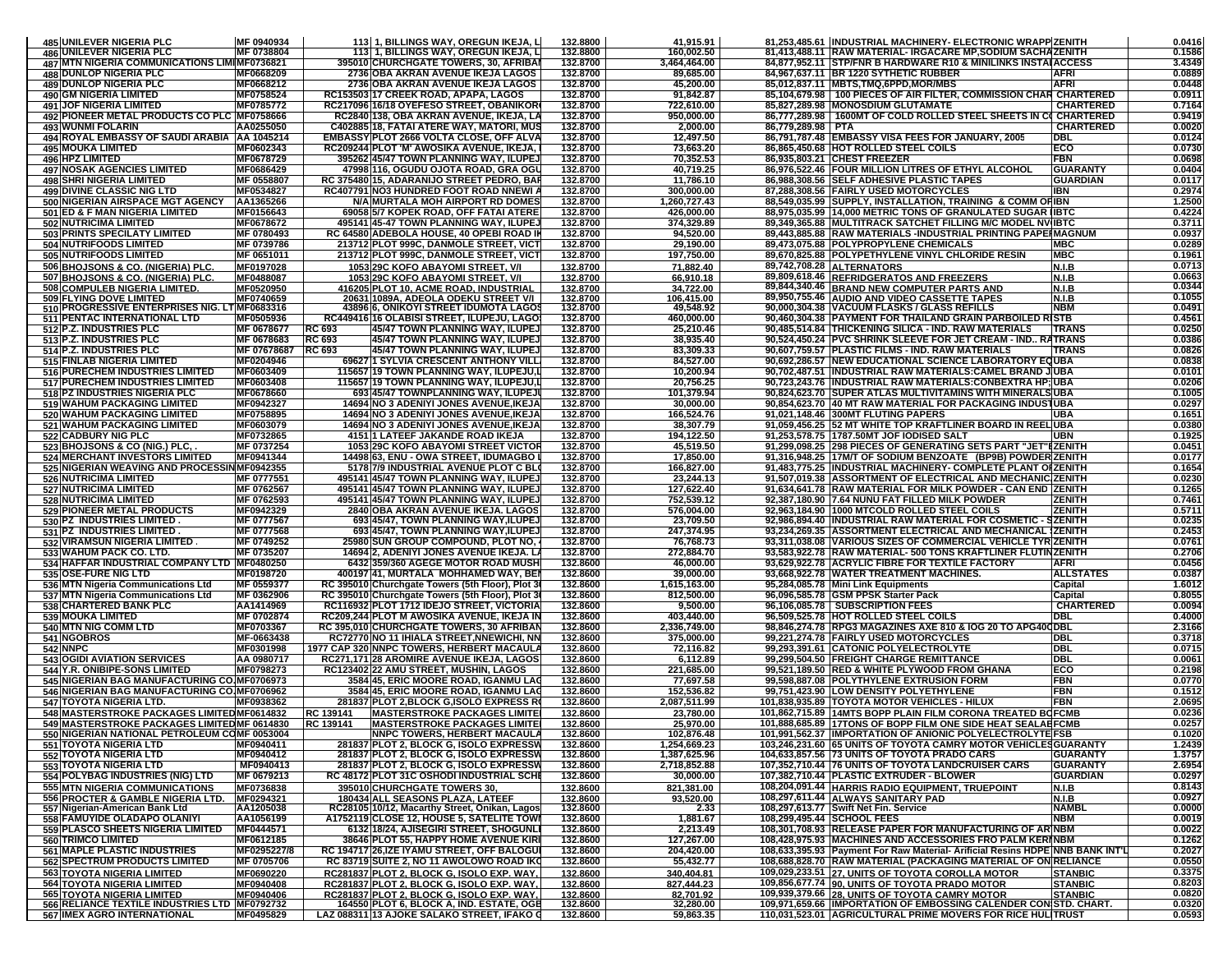| <b>485 UNILEVER NIGERIA PLC</b>                                                    | MF 0940934                |                         | 113 1, BILLINGS WAY, OREGUN IKEJA, L                                                          | 132.8800             | 41,915.91                    |                   | 81,253,485.61 INDUSTRIAL MACHINERY- ELECTRONIC WRAPP ZENITH                                                                              |                                         | 0.0416           |
|------------------------------------------------------------------------------------|---------------------------|-------------------------|-----------------------------------------------------------------------------------------------|----------------------|------------------------------|-------------------|------------------------------------------------------------------------------------------------------------------------------------------|-----------------------------------------|------------------|
| <b>486 UNILEVER NIGERIA PLC</b>                                                    | MF 0738804                |                         | 113 1, BILLINGS WAY, OREGUN IKEJA, L                                                          | 132.8800             | 160,002.50                   |                   | 81,413,488.11 RAW MATERIAL- IRGACARE MP,SODIUM SACHAZENITH                                                                               |                                         | 0.1586           |
| 487 MTN NIGERIA COMMUNICATIONS LIMIMF0736821<br><b>488 DUNLOP NIGERIA PLC</b>      | MF0668209                 |                         | 395010 CHURCHGATE TOWERS, 30, AFRIBA<br>2736 OBA AKRAN AVENUE IKEJA LAGOS                     | 132.8700<br>132.8700 | 3,464,464.00<br>89,685.00    |                   | 84,877,952.11 STP/FNR B HARDWARE R10 & MINILINKS INSTALACCESS<br>84,967,637.11 BR 1220 SYTHETIC RUBBER                                   | <b>AFRI</b>                             | 3.4349<br>0.0889 |
| <b>489 DUNLOP NIGERIA PLC</b>                                                      | MF0668212                 |                         | 2736 OBA AKRAN AVENUE IKEJA LAGOS                                                             | 132.8700             | 45,200.00                    |                   | 85,012,837.11 MBTS,TMQ,6PPD,MOR/MBS                                                                                                      | <b>AFRI</b>                             | 0.0448           |
| 490 GM NIGERIA LIMITED                                                             | MF0758524                 |                         | RC153503 17 CREEK ROAD, APAPA, LAGOS                                                          | 132.8700             | 91,842.87                    |                   | 85,104,679.98   100 PIECES OF AIR FILTER, COMMISSION CHAR CHARTERED                                                                      |                                         | 0.0911           |
| <b>491 JOF NIGERIA LIMITED</b>                                                     | MF0785772                 |                         | RC217096 16/18 OYEFESO STREET, OBANIKOR                                                       | 132.8700             | 722,610.00                   |                   | 85,827,289.98 MONOSDIUM GLUTAMATE<br>86,777,289.98   1600MT OF COLD ROLLED STEEL SHEETS IN                                               | <b>CHARTERED</b>                        | 0.7164<br>0.9419 |
| 492 PIONEER METAL PRODUCTS CO PLC MF0758666<br>493 WUNMI FOLARIN                   | AA0255050                 |                         | RC2840 138, OBA AKRAN AVENUE, IKEJA, LA<br>C402885 18, FATAI ATERE WAY, MATORI, MUS           | 132.8700<br>132.8700 | 950,000.00<br>2,000.00       | 86,779,289.98 PTA |                                                                                                                                          | <b>CC CHARTERED</b><br><b>CHARTERED</b> | 0.0020           |
| 494 ROYAL EMBASSY OF SAUDI ARABIA IAA 1045214                                      |                           |                         | EMBASSY PLOT 2666 VOLTA CLOSE, OFF ALVA                                                       | 132.8700             | 12,497.50                    |                   | 86,791,787.48 EMBASSY VISA FEES FOR JANUARY, 2005                                                                                        | DBL                                     | 0.0124           |
| <b>495 MOUKA LIMITED</b>                                                           | MF0602343                 |                         | RC209244 PLOT 'M' AWOSIKA AVENUE, IKEJA,                                                      | 132.8700             | 73,663.20                    |                   | 86,865,450.68 HOT ROLLED STEEL COILS                                                                                                     | ECO                                     | 0.0730           |
| 496 HPZ LIMITED<br><b>497 NOSAK AGENCIES LIMITED</b>                               | MF0678729<br>MF0686429    |                         | 395262 45/47 TOWN PLANNING WAY, ILUPEJ<br>47998 116, OGUDU OJOTA ROAD, GRA OGU                | 132.8700<br>132.8700 | 70,352.53<br>40,719.25       |                   | 86,935,803.21 CHEST FREEZER<br>86,976,522.46 FOUR MILLION LITRES OF ETHYL ALCOHOL                                                        | <b>FBN</b><br><b>GUARANTY</b>           | 0.0698<br>0.0404 |
| <b>498 SHRI NIGERIA LIMITED</b>                                                    | MF 0558807                |                         | RC 375480 15, ADARANIJO STREET PEDRO, BAI                                                     | 132.8700             | 11,786.10                    |                   | 86,988,308.56 SELF ADHESIVE PLASTIC TAPES                                                                                                | <b>GUARDIAN</b>                         | 0.0117           |
| <b>499 DIVINE CLASSIC NIG LTD</b>                                                  | MF0534827                 |                         | RC407791 NO3 HUNDRED FOOT ROAD NNEWI A                                                        | 132.8700             | 300,000.00                   |                   | 87,288,308.56 FAIRLY USED MOTORCYCLES                                                                                                    | <b>IBN</b>                              | 0.2974           |
| 500 NIGERIAN AIRSPACE MGT AGENCY<br>501 ED & F MAN NIGERIA LIMITED                 | AA1365266<br>MF0156643    |                         | <b>N/AIMURTALA MOH AIRPORT RD DOMES</b><br>6905815/7 KOPEK ROAD, OFF FATAI ATERE              | 132.8700<br>132.8700 | 1.260.727.43<br>426,000.00   |                   | 88,549,035.99 SUPPLY, INSTALLATION, TRAINING & COMM OFIBN<br>88,975,035.99 14,000 METRIC TONS OF GRANULATED SUGAR IIBTC                  |                                         | 1.2500<br>0.4224 |
| 502 NUTRICIMA LIMITED                                                              | MF0678672                 |                         | 495141 45-47 TOWN PLANNING WAY, ILUPEJ                                                        | 132.8700             | 374,329.89                   |                   | 89,349,365.88 MULTITRACK SATCHET FILLING M/C MODEL NVIIBTC                                                                               |                                         | 0.3711           |
| 503 PRINTS SPECILATY LIMITED                                                       | MF 0780493                |                         | RC 64580 ADEBOLA HOUSE, 40 OPEBI ROAD II                                                      | 132.8700             | 94,520.00                    |                   | 89,443,885.88 RAW MATERIALS -INDUSTRIAL PRINTING PAPEIMAGNUM                                                                             |                                         | 0.0937           |
| 504 NUTRIFOODS LIMITED                                                             | MF 0739786                |                         | 213712 PLOT 999C, DANMOLE STREET, VICT                                                        | 132.8700             | 29,190.00                    |                   | 89,473,075.88 POLYPROPYLENE CHEMICALS                                                                                                    | МВС                                     | 0.0289           |
| 505 NUTRIFOODS LIMITED<br>506 BHOJSONS & CO. (NIGERIA) PLC                         | MF 0651011<br>MF0197028   |                         | 213712 PLOT 999C, DANMOLE STREET, VICT<br>1053 29C KOFO ABAYOMI STREET, V/I                   | 132.8700<br>132.8700 | 197,750.00<br>71,882.40      |                   | 89,670,825.88 POLYPETHYLENE VINYL CHLORIDE RESIN<br>89,742,708.28 ALTERNATORS                                                            | <b>MBC</b><br><b>N.I.B</b>              | 0.1961<br>0.0713 |
| 507 BHOJSONS & CO. (NIGERIA) PLC                                                   | MF0488087                 |                         | 1053 29C KOFO ABAYOMI STREET, V/I                                                             | 132.8700             | 66,910.18                    |                   | 89,809,618.46 REFRIDGERATOS AND FREEZERS                                                                                                 | N.I.B                                   | 0.0663           |
| 508 COMPULEB NIGERIA LIMITED.                                                      | MF0520950                 |                         | 416205 PLOT 10, ACME ROAD, INDUSTRIAL                                                         | 132.8700             | 34,722.00                    |                   | 89,844,340.46 BRAND NEW COMPUTER PARTS AND                                                                                               | N.I.B                                   | 0.0344           |
| 509 FLYING DOVE LIMITED MF0740659<br>510 PROGRESSIVE ENTERPRISES NIG. LT MF0683316 |                           |                         | 20631 1089A, ADEOLA ODEKU STREET V/I<br>43896 6, ONIKOYI STREET IDUMOTA LAGOS                 | 132.8700<br>132.8700 | 106,415.00<br>49,548.92      |                   | 89,950,755.46 AUDIO AND VIDEO CASSETTE TAPES<br>90,000,304.38 VACUUM FLASKS / GLASS REFILLS                                              | N.I.B<br><b>NBM</b>                     | 0.1055<br>0.0491 |
| 511 PENTAC INTERNATIONAL LTD                                                       | MF0505936                 |                         | RC449416 16 OLABISI STREET, ILUPEJU, LAGO                                                     | 132.8700             | 460,000.00                   |                   | 90,460,304.38 PAYMENT FOR THAILAND GRAIN PARBOILED RISTB                                                                                 |                                         | 0.4561           |
| 512 P.Z. INDUSTRIES PLC                                                            | MF 0678677                | RC 693                  | 45/47 TOWN PLANNING WAY, ILUPE,                                                               | 132.8700             | 25,210.46                    |                   | 90,485,514.84 THICKENING SILICA - IND. RAW MATERIALS                                                                                     | <b>TRANS</b>                            | 0.0250           |
| 513 P.Z. INDUSTRIES PLC<br>514 P.Z. INDUSTRIES PLC                                 | MF 0678683<br>MF 07678687 | RC 693<br><b>RC 693</b> | 45/47 TOWN PLANNING WAY, ILUPEJ<br><b>45/47 TOWN PLANNING WAY, ILUPEJ</b>                     | 132.8700<br>132.8700 | 38,935.40<br>83,309.33       |                   | 90,524,450.24 PVC SHRINK SLEEVE FOR JET CREAM - IND RATRANS<br>90,607,759.57 PLASTIC FILMS - IND. RAW MATERIALS                          | <b>TRANS</b>                            | 0.0386<br>0.0826 |
| 515 FINLAB NIGERIA LIMITED                                                         | MF0204946                 |                         | 69627 1 SYLVIA CRESCENT ANTHONY VILL                                                          | 132.8700             | 84,527.00                    |                   | 90,692,286.57 NEW EDUCATIONAL SCIENCE LABORATORY EQUBA                                                                                   |                                         | 0.0838           |
| 516 PURECHEM INDUSTRIES LIMITED                                                    | MF0603409                 |                         | 115657 19 TOWN PLANNING WAY, ILUPEJU,L                                                        | 132.8700             | 10,200.94                    |                   | 90.702.487.51 INDUSTRIAL RAW MATERIALS:CAMEL BRAND JIUBA                                                                                 |                                         | 0.0101           |
| 517 PURECHEM INDUSTRIES LIMITED                                                    | MF0603408                 |                         | 115657 19 TOWN PLANNING WAY, ILUPEJU,I                                                        | 132.8700             | 20,756.25                    |                   | 90,723,243.76  INDUSTRIAL RAW MATERIALS:CONBEXTRA HP; UBA                                                                                |                                         | 0.0206           |
| 518 PZ INDUSTRIES NIGERIA PLC<br><b>519 WAHUM PACKAGING LIMITED</b>                | MF0678660<br>MF0942327    |                         | 693 45/47 TOWNPLANNING WAY, ILUPEJI<br>14694 NO 3 ADENIYI JONES AVENUE.IKEJA                  | 132.8700<br>132.8700 | 101.379.94<br>30,000.00      |                   | 90,824,623.70 SUPER ATLAS MULTIVITAMINS WITH MINERALSUBA<br>90,854,623.70 40 MT RAW MATERIAL FOR PACKAGING INDUSTUBA                     |                                         | 0.1005<br>0.0297 |
| 520 WAHUM PACKAGING LIMITED                                                        | MF0758895                 |                         | 14694 NO 3 ADENIYI JONES AVENUE, IKEJA                                                        | 132.8700             | 166,524.76                   |                   | 91,021,148.46 300MT FLUTING PAPERS                                                                                                       | UBA                                     | 0.1651           |
| <b>521 WAHUM PACKAGING LIMITED</b>                                                 | MF0603079                 |                         | <b>14694 NO 3 ADENIYI JONES AVENUE,IKEJA</b>                                                  | 132.8700             | 38,307.79                    |                   | 91,059,456.25 52 MT WHITE TOP KRAFTLINER BOARD IN REELUBA                                                                                |                                         | 0.0380           |
| 522 CADBURY NIG PLC<br>523 BHOJSONS & CO (NIG.) PLC.                               | MF0732865<br>MF 0737254   |                         | 4151 1 LATEEF JAKANDE ROAD IKEJA<br><b>1053 29C KOFO ABAYOMI STREET VICTOR</b>                | 132.8700<br>132.8700 | 194,122.50<br>45,519.50      |                   | 91,253,578.75   1787.50MT JOF IODISED SALT<br>91,299,098.25   298 PIECES OF GENERATING SETS PART "JET" IZENITH                           | UBN                                     | 0.1925<br>0.0451 |
| <b>524 MERCHANT INVESTORS LIMITED</b>                                              | MF0941344                 |                         | 14498 63, ENU - OWA STREET, IDUMAGBO                                                          | 132.8700             | 17,850.00                    |                   | 91,316,948.25   17M/T OF SODIUM BENZOATE (BP9B) POWDER ZENITH                                                                            |                                         | 0.0177           |
| 525 NIGERIAN WEAVING AND PROCESSIN MF0942355                                       |                           |                         | 5178 7/9 INDUSTRIAL AVENUE PLOT C BLO                                                         | 132.8700             | 166,827.00                   |                   | 91,483,775.25 INDUSTRIAL MACHINERY- COMPLETE PLANT OIZENITH                                                                              |                                         | 0.1654           |
| <b>526 NUTRICIMA LIMITED</b><br><b>527 NUTRICIMA LIMITED</b>                       | MF 0777551<br>MF 0762567  |                         | 495141 45/47 TOWN PLANNING WAY, ILUPEJ<br>495141 45/47 TOWN PLANNING WAY, ILUPEJ              | 132.8700<br>132.8700 | 23,244.13<br>127,622.40      |                   | 91,507,019.38 ASSORTMENT OF ELECTRICAL AND MECHANIC ZENITH<br>91,634,641.78 RAW MATERIAL FOR MILK POWDER - CAN END ZENITH                |                                         | 0.0230<br>0.1265 |
| <b>528 NUTRICIMA LIMITED</b>                                                       | MF 0762593                |                         | 495141 45/47 TOWN PLANNING WAY, ILUPEJ                                                        | 132.8700             | 752,539.12                   |                   | 92,387,180.90 7.64 NUNU FAT FILLED MILK POWDER                                                                                           | ZENITH                                  | 0.7461           |
| 529 PIONEER METAL PRODUCTS                                                         | MF0942329                 |                         | 2840 OBA AKRAN AVENUE IKEJA. LAGOS                                                            | 132.8700             | 576,004.00                   |                   | 92,963,184.90   1000 MTCOLD ROLLED STEEL COILS                                                                                           | <b>ZENITH</b>                           | 0.5711           |
| 530 PZ INDUSTRIES LIMITED.<br>531 PZ INDUSTRIES LIMITED                            | MF 0777567<br>MF 0777568  |                         | 693 45/47, TOWN PLANNING WAY, ILUPEJ<br>693 45/47, TOWN PLANNING WAY, ILUPEJ                  | 132.8700<br>132.8700 | 23,709.50<br>247,374.95      |                   | 92,986,894.40 INDUSTRIAL RAW MATERIAL FOR COSMETIC - SZENITH<br>93,234,269.35 ASSORTMENT ELECTRICAL AND MECHANICAL (ZENITH               |                                         | 0.0235<br>0.2453 |
| 532 VIRAMSUN NIGERIA LIMITED.                                                      | MF 0749252                |                         | 25980 SUN GROUP COMPOUND, PLOT NO,                                                            | 132.8700             | 76,768.73                    |                   | 93,311,038.08 VARIOUS SIZES OF COMMERCIAL VEHICLE TYR ZENITH                                                                             |                                         | 0.0761           |
| 533 WAHUM PACK CO. LTD.                                                            | MF 0735207                |                         | 14694 2, ADENIYI JONES AVENUE IKEJA. L                                                        | 132.8700             | 272,884.70                   |                   | 93,583,922.78  RAW MATERIAL- 500 TONS KRAFTLINER FLUTINZENITH                                                                            |                                         | 0.2706           |
| 534 HAFFAR INDUSTRIAL COMPANY LTD   MF0480250<br>535 OSE-FURE NIG LTD              | MF0198720                 |                         | 6432 359/360 AGEGE MOTOR ROAD MUSH<br>400197 41, MURTALA MOHHAMED WAY, BE                     | 132.8600<br>132.8600 | 46,000.00<br>39,000.00       |                   | 93,629,922.78 ACRYLIC FIBRE FOR TEXTILE FACTORY<br>93,668,922.78 WATER TREATMENT MACHINES.                                               | AFRI<br><b>ALLSTATES</b>                | 0.0456<br>0.0387 |
| 536 MTN Nigeria Communications Ltd                                                 | MF 0559377                |                         | RC 395010 Churchgate Towers (5th Floor), Plot 3                                               | 132.8600             | 1,615,163.00                 |                   | 95,284,085.78 Mini Link Equipments                                                                                                       | Capital                                 | 1.6012           |
| 537 MTN Nigeria Communications Ltd                                                 | MF 0362906                |                         | RC 395010 Churchgate Towers (5th Floor), Plot 3                                               | 132.8600             | 812,500.00                   |                   | 96,096,585.78 GSM PPSK Starter Pack                                                                                                      | Capital                                 | 0.8055           |
| 538 CHARTERED BANK PLC                                                             | AA1414969                 |                         | RC116932 PLOT 1712 IDEJO STREET, VICTORIA                                                     | 132.8600             | 9,500.00                     |                   | 96,106,085.78   SUBSCRIPTION FEES                                                                                                        | <b>CHARTERED</b>                        | 0.0094<br>0.4000 |
| <b>539 MOUKA LIMITED</b><br>540 MTN NIG COMM LTD                                   | MF 0702874<br>MF0703367   |                         | RC209,244 PLOT M AWOSIKA AVENUE, IKEJA IN<br>RC 395,010 CHURCHGATE TOWERS, 30 AFRIBAN         | 132.8600<br>132.8600 | 403,440.00<br>2,336,749.00   |                   | 96,509,525.78 HOT ROLLED STEEL COILS<br>98,846,274.78  RPG3 MAGAZINES AXE 810 & IOG 20 TO APG400 DBL                                     | DBL                                     | 2.3166           |
| 541 NGOBROS                                                                        | MF-0663438                |                         | RC72770 NO 11 IHIALA STREET, NNEWICHI, NN                                                     | 132.8600             | 375,000.00                   |                   | 99,221,274.78 FAIRLY USED MOTORCYCLES                                                                                                    | <b>DBL</b>                              | 0.3718           |
| 542 NNPC                                                                           | MF0301998                 |                         | 1977 CAP 320 NNPC TOWERS, HERBERT MACAULA                                                     | 132.8600             | 72,116.82                    |                   | 99,293,391.61 CATONIC POLYELECTROLYTE                                                                                                    | <b>DBL</b>                              | 0.0715           |
| 543 OGIDI AVIATION SERVICES<br>544 Y.R. ONIBIPE-SONS LIMITED                       | AA 0980717<br>MF0798273   |                         | RC271,171 28 AROMIRE AVENUE IKEJA, LAGOS<br>RC123402122 AMU STREET. MUSHIN, LAGOS             | 132.8600<br>132.8600 | 6,112.89<br>221.685.00       |                   | 99,299,504.50 FREIGHT CHARGE REMITTANCE<br>99,521,189.50 RED & WHITE PLYWOOD FROM GHANA                                                  | DBL<br>ECO                              | 0.0061<br>0.2198 |
| 545 NIGERIAN BAG MANUFACTURING CO.MF0706973                                        |                           |                         | 3584 45, ERIC MOORE ROAD, IGANMU LAO                                                          | 132.8600             | 77,697.58                    |                   | 99,598,887.08 POLYTHYLENE EXTRUSION FORM                                                                                                 | <b>FBN</b>                              | 0.0770           |
| 546 NIGERIAN BAG MANUFACTURING CO. MF0706962                                       |                           |                         | 3584 45, ERIC MOORE ROAD, IGANMU LAC                                                          | 132.8600             | 152,536.82                   |                   | 99,751,423.90 LOW DENSITY POLYETHYLENE                                                                                                   | <b>FBN</b>                              | 0.1512           |
| 547 TOYOTA NIGERIA LTD.<br>548 MASTERSTROKE PACKAGES LIMITED MF0614832             | MF0938362                 | RC 139141               | 281837 PLOT 2, BLOCK G, ISOLO EXPRESS R<br><b>MASTERSTROKE PACKAGES LIMITE</b>                | 132.8600<br>132.8600 | 2,087,511.99<br>23.780.00    |                   | 101,838,935.89  TOYOTA MOTOR VEHICLES - HILUX<br>101,862,715.89   14MTS BOPP PLAIN FILM CORONA TREATED BOFCMB                            | FBN                                     | 2.0695<br>0.0236 |
| 549 MASTERSTROKE PACKAGES LIMITED MF 0614830                                       |                           | RC 139141               | <b>MASTERSTROKE PACKAGES LIMITE</b>                                                           | 132.8600             | 25,970.00                    |                   | 101,888,685.89 17TONS OF BOPP FILM ONE SIDE HEAT SEALAHFCMB                                                                              |                                         | 0.0257           |
| 550 NIGERIAN NATIONAL PETROLEUM CUMP 0033004                                       |                           |                         | <b>NNPC TOWERS, HERBERT MACAULA</b>                                                           | 132.8600             | 102,870.48                   |                   | 101,991,562.37 IIMPORTATION OF ANIONIC POLYELECTROLYTEIFSB                                                                               |                                         | 0.1020           |
| 551 TOYOTA NIGERIA LTD<br><b>552 TOYOTA NIGERIA LTD</b>                            | MF0940411<br>MF0940412    |                         | 281837 PLOT 2, BLOCK G, ISOLO EXPRESSW<br>281837 PLOT 2, BLOCK G, ISOLO EXPRESSW              | 132.8600<br>132.8600 | 1,254,669.23<br>1,387,625.96 |                   | 103,246,231.60 65 UNITS OF TOYOTA CAMRY MOTOR VEHICLESGUARANTY<br>104,633,857.56 73 UNITS OF TOYOTA PRADO CARS                           | <b>GUARANTY</b>                         | 1.2439<br>1.3757 |
| <b>553 TOYOTA NIGERIA LTD</b>                                                      | MF0940413                 |                         | 281837 PLOT 2, BLOCK G, ISOLO EXPRESSW                                                        | 132.8600             | 2,718,852.88                 |                   | 107,352,710.44 76 UNITS OF TOYOTA LANDCRUISER CARS                                                                                       | <b>GUARANTY</b>                         | 2.6954           |
| 554 POLYBAG INDUSTRIES (NIG) LTD                                                   | MF 0679213                |                         | RC 48172 PLOT 31C OSHODI INDUSTRIAL SCHE                                                      | 132.8600             | 30,000.00                    |                   | 107,382,710.44   PLASTIC EXTRUDER - BLOWER                                                                                               | <b>GUARDIAN</b>                         | 0.0297           |
| 555 MTN NIGERIA COMMUNICATIONS                                                     | MF0736838                 |                         | 395010 CHURCHGATE TOWERS 30                                                                   | 132.8600             | 821,381.00                   |                   | 108,204,091.44 HARRIS RADIO EQUIPMENT, TRUEPOINT                                                                                         | <b>N.I.B</b>                            | 0.8143<br>0.0927 |
| 556 PROCTER & GAMBLE NIGERIA LTD.<br>557 Nigerian-American Bank Ltd                | MF0294321<br>AA1205038    |                         | 180434 ALL SEASONS PLAZA, LATEEF<br>RC28105 10/12, Macarthy Street, Onikan, Lagos             | 132.8600<br>132.8600 | 93,520.00<br>2.33            |                   | 108,297,611.44 ALWAYS SANITARY PAD<br>108,297,613.77 Swift Net Fin. Service                                                              | <b>N.I.B</b><br><b>NAMBL</b>            | 0.0000           |
| 558 FAMUYIDE OLADAPO OLANIYI                                                       | AA1056199                 |                         | A1752119 CLOSE 12, HOUSE 5, SATELITE TOWI                                                     | 132.8600             | 1,881.67                     |                   | 108,299,495.44 SCHOOL FEES                                                                                                               | <b>NBM</b>                              | 0.0019           |
| 559 PLASCO SHEETS NIGERIA LIMITED                                                  | MF0444571                 |                         | 6132 18/24, AJISEGIRI STREET, SHOGUNLI                                                        | 132.8600             | 2,213.49                     |                   | 108,301,708.93 RELEASE PAPER FOR MANUFACTURING OF ARINBM                                                                                 |                                         | 0.0022           |
| 560 TRIMCO LIMITED<br><b>561 MAPLE PLASTIC INDUSTRIES</b>                          | MF0612185<br>MF0295227/8  |                         | 38646 PLOT 55, HAPPY HOME AVENUE KIRI<br>RC 194717 26, IZE IYAMU STREET, OFF BALOGUI          | 132.8600<br>132.8600 | 127,267.00<br>204,420.00     |                   | 108,428,975.93 MACHINES AND ACCESSORIES FRO PALM KERINBM<br>108,633,395.93 Payment For Raw Material-Arificial Resins HDPE NNB BANK INT'L |                                         | 0.1262<br>0.2027 |
| 562 SPECTRUM PRODUCTS LIMITED                                                      | MF 0705706                |                         | RC 83719 SUITE 2, NO 11 AWOLOWO ROAD IKO                                                      | 132.8600             | 55,432.77                    |                   | 108,688,828.70 RAW MATERIAL (PACKAGING MATERIAL OF ON RELIANCE                                                                           |                                         | 0.0550           |
| <b>563 TOYOTA NIGERIA LIMITED</b>                                                  | MF0690220                 |                         | <b>RC281837 PLOT 2. BLOCK G. ISOLO EXP. WAY.</b>                                              | 132.8600             | 340,404.81                   |                   | 109,029,233.51 27, UNITS OF TOYOTA COROLLA MOTOR                                                                                         | <b>STANBIC</b>                          | 0.3375           |
| <b>564 TOYOTA NIGERIA LIMITED</b><br><b>565 TOYOTA NIGERIA LIMITED</b>             | MF0940408<br>MF0940406    |                         | <u>RC281837 PLOT 2, BLOCK G, ISOLO EXP. WAY,</u><br>RC281837 PLOT 2. BLOCK G. ISOLO EXP. WAY. | 132.8600             | 827,444.23<br>82.701.92      |                   | 109,856,677.74 90, UNITS OF TOYOTA PRADO MOTOR<br>109,939,379.66 28. UNITS OF TOYOTA CAMRY MOTOR                                         | <b>STANBIC</b><br><b>STANBIC</b>        | 0.8203<br>0.0820 |
| 566 RELIANCE TEXTILE INDUSTRIES LTD MF0792732                                      |                           |                         | 164550 PLOT 6, BLOCK A, IND. ESTATE, OGE                                                      | 132.8600<br>132.8600 | 32,280.00                    |                   | 109,971,659.66 IMPORTATION OF EMBOSSING CALENDER CONSSTD. CHART.                                                                         |                                         | 0.0320           |
| 567 IMEX AGRO INTERNATIONAL                                                        | MF0495829                 |                         | LAZ 088311 13 AJOKE SALAKO STREET, IFAKO G                                                    | 132.8600             | 59,863.35                    |                   | 110,031,523.01 AGRICULTURAL PRIME MOVERS FOR RICE HULITRUST                                                                              |                                         | 0.0593           |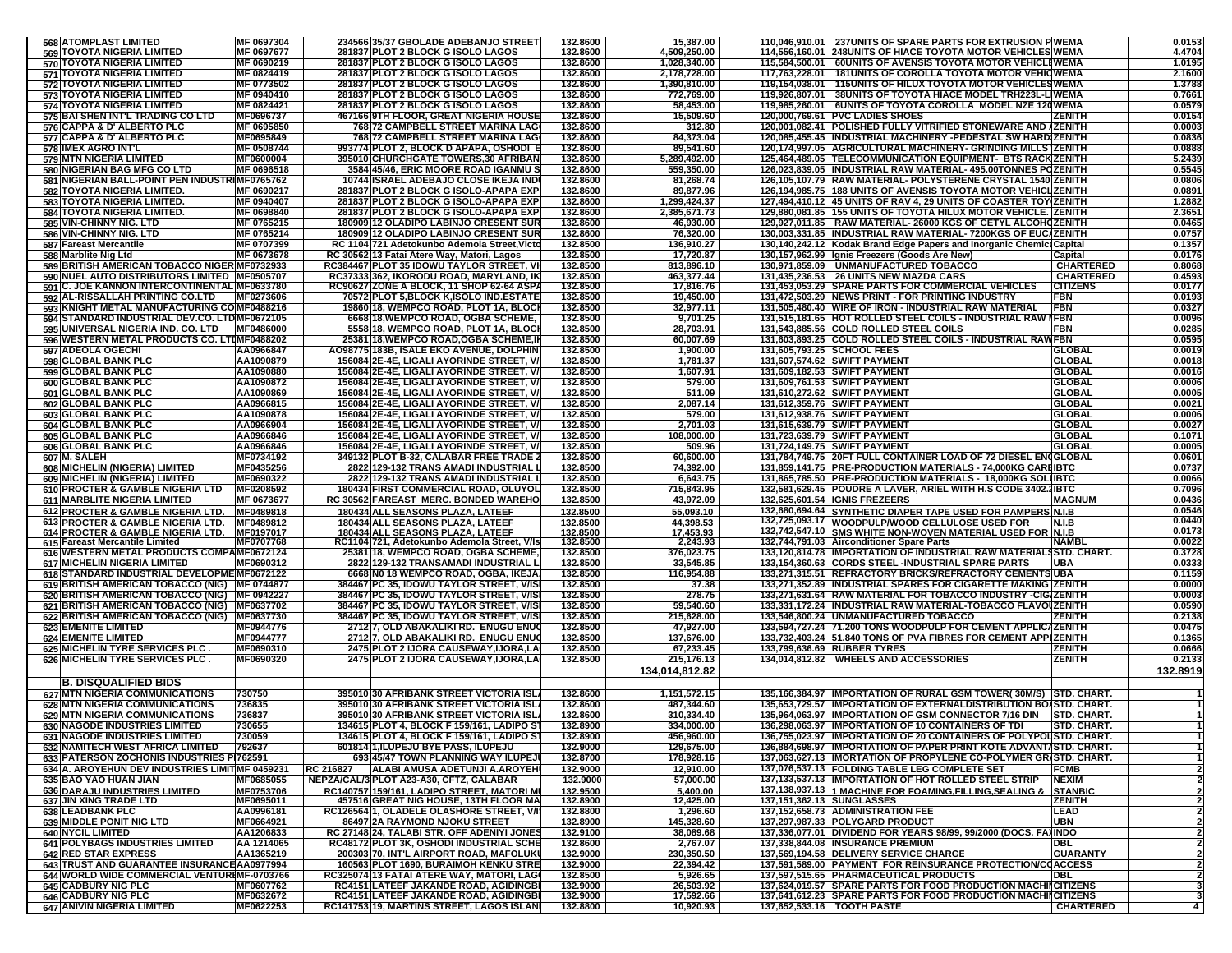| 568 ATOMPLAST LIMITED                                                                         | MF 0697304               |           | 234566 35/37 GBOLADE ADEBANJO STREET                                                   | 132.8600             | 15,387.00                |                           | 110,046,910.01   237UNITS OF SPARE PARTS FOR EXTRUSION PIWEMA                                                                   |                        | 0.0153           |
|-----------------------------------------------------------------------------------------------|--------------------------|-----------|----------------------------------------------------------------------------------------|----------------------|--------------------------|---------------------------|---------------------------------------------------------------------------------------------------------------------------------|------------------------|------------------|
| <b>569 TOYOTA NIGERIA LIMITED</b>                                                             | MF 0697677               |           | 281837 PLOT 2 BLOCK G ISOLO LAGOS                                                      | 132.8600             | 4,509,250.00             |                           | 114,556,160.01 248UNITS OF HIACE TOYOTA MOTOR VEHICLES WEMA                                                                     |                        | 4.4704           |
| 570 TOYOTA NIGERIA LIMITED                                                                    | MF 0690219               |           | 281837 PLOT 2 BLOCK G ISOLO LAGOS                                                      | 132.8600             | 1,028,340.00             |                           | 115,584,500.01   60UNITS OF AVENSIS TOYOTA MOTOR VEHICLEWEMA                                                                    |                        | 1.0195           |
| <b>571 TOYOTA NIGERIA LIMITED</b>                                                             | MF 0824419               |           | 281837 PLOT 2 BLOCK G ISOLO LAGOS<br>281837 PLOT 2 BLOCK G ISOLO LAGOS                 | 132.8600             | 2,178,728.00             |                           | 117,763,228.01   181UNITS OF COROLLA TOYOTA MOTOR VEHIQWEMA                                                                     |                        | 2.1600           |
| 572 TOYOTA NIGERIA LIMITED                                                                    | MF 0773502               |           |                                                                                        | 132.8600             | 1,390,810.00             |                           | 119,154,038.01   115UNITS OF HILUX TOYOTA MOTOR VEHICLES WEMA<br>119,926,807.01 38UNITS OF TOYOTA HIACE MODEL TRH223L-LIWEMA    |                        | 1.3788<br>0.7661 |
| <b>573 TOYOTA NIGERIA LIMITED</b><br><b>574 TOYOTA NIGERIA LIMITED</b>                        | MF 0940410<br>MF 0824421 |           | 281837 PLOT 2 BLOCK G ISOLO LAGOS<br>281837 PLOT 2 BLOCK G ISOLO LAGOS                 | 132.8600<br>132.8600 | 772,769.00<br>58,453.00  |                           | 119,985,260.01 6UNITS OF TOYOTA COROLLA MODEL NZE 120 WEMA                                                                      |                        | 0.0579           |
| 575 BAI SHEN INT'L TRADING CO LTD                                                             | MF0696737                |           | <b>467166 9TH FLOOR, GREAT NIGERIA HOUSE</b>                                           | 132.8600             | 15,509.60                |                           | 120,000,769.61 PVC LADIES SHOES                                                                                                 | <b>ZENITH</b>          | 0.0154           |
| 576 CAPPA & D' ALBERTO PLC                                                                    | MF 0695850               |           | 768 72 CAMPBELL STREET MARINA LAG                                                      | 132.8600             | 312.80                   |                           | 120,001,082.41 POLISHED FULLY VITRIFIED STONEWARE AND IZENITH                                                                   |                        | 0.0003           |
| 577 CAPPA & D' ALBERTO PLC                                                                    | MF0695849                |           | 768 72 CAMPBELL STREET MARINA LAG                                                      | 132.8600             | 84,373.04                |                           | 120,085,455.45  INDUSTRIAL MACHINERY -PEDESTAL SW HARD ZENITH                                                                   |                        | 0.0836           |
| 578 IMEX AGRO INT'L                                                                           | MF 0508744               |           | 993774 PLOT 2, BLOCK D APAPA, OSHODI B                                                 | 132.8600             | 89.541.60                |                           | 120,174,997.05   AGRICULTURAL MACHINERY- GRINDING MILLS   ZENITH                                                                |                        | 0.0888           |
| 579 MTN NIGERIA LIMITED                                                                       | MF0600004                |           | 395010 CHURCHGATE TOWERS,30 AFRIBAN                                                    | 132.8600             | 5,289,492.00             |                           | 125,464,489.05 TELECOMMUNICATION EQUIPMENT- BTS RACKIZENITH                                                                     |                        | 5.2439           |
| 580 NIGERIAN BAG MFG CO LTD                                                                   | MF 0696518               |           | 3584 45/46, ERIC MOORE ROAD IGANMUS                                                    | 132.8600             | 559,350.00               |                           | 126,023,839.05 INDUSTRIAL RAW MATERIAL- 495.00TONNES POZENITH                                                                   |                        | 0.5545           |
| 581 NIGERIAN BALL-POINT PEN INDUSTRIMF0765762                                                 |                          |           | 10744 ISRAEL ADEBAJO CLOSE IKEJA IND                                                   | 132.8600             | 81,268.74                |                           | 126,105,107.79 RAW MATERIAL- POLYSTERENE CRYSTAL 1540 ZENITH                                                                    |                        | 0.0806           |
| 582 TOYOTA NIGERIA LIMITED.                                                                   | MF 0690217               |           | 281837 PLOT 2 BLOCK G ISOLO-APAPA EXP                                                  | 132.8600             | 89,877.96                |                           | 126.194.985.75 188 UNITS OF AVENSIS TOYOTA MOTOR VEHICLIZENITH                                                                  |                        | 0.0891           |
| 583 TOYOTA NIGERIA LIMITED.                                                                   | MF 0940407               |           | 281837 PLOT 2 BLOCK G ISOLO-APAPA EXP                                                  | 132.8600             | 1,299,424.37             |                           | 127,494,410.12 45 UNITS OF RAV 4, 29 UNITS OF COASTER TOY ZENITH                                                                |                        | 1.2882           |
| 584 TOYOTA NIGERIA LIMITED.                                                                   | MF 0698840               |           | 281837 PLOT 2 BLOCK G ISOLO-APAPA EXP                                                  | 132.8600             | 2,385,671.73             |                           | 129,880,081.85   155 UNITS OF TOYOTA HILUX MOTOR VEHICLE. [ZENITH                                                               |                        | 2.3651           |
| 585 VIN-CHINNY NIG. LTD<br>586 VIN-CHINNY NIG. LTD                                            | MF 0765215<br>MF 0765214 |           | 180909 12 OLADIPO LABINJO CRESENT SUR<br>180909 12 OLADIPO LABINJO CRESENT SUR         | 132.8600<br>132.8600 | 46,930.00<br>76,320.00   |                           | 129,927,011.85   RAW MATERIAL- 26000 KGS OF CETYL ALCOHOZENITH<br>130,003,331.85 INDUSTRIAL RAW MATERIAL- 7200KGS OF EUC ZENITH |                        | 0.0465<br>0.0757 |
| 587 Fareast Mercantile                                                                        | MF 0707399               |           | RC 1104 721 Adetokunbo Ademola Street, Victo                                           | 132.8500             | 136,910.27               |                           | 130,140,242.12 Kodak Brand Edge Papers and Inorganic Chemic Capital                                                             |                        | 0.1357           |
| 588 Marblite Nig Ltd                                                                          | MF 0673678               |           | RC 30562 13 Fatai Atere Way, Matori, Lagos                                             | 132.8500             | 17,720.87                |                           | 130,157,962.99   Ignis Freezers (Goods Are New)                                                                                 | Capital                | 0.0176           |
| 589 BRITISH AMERICAN TOBACCO NIGER MF0732933                                                  |                          |           | RC384467 PLOT 35 IDOWU TAYLOR STREET, V                                                | 132.8500             | 813,896.10               |                           | 130,971,859.09   UNMANUFACTURED TOBACCO                                                                                         | <b>CHARTERED</b>       | 0.8068           |
| 590 NUEL AUTO DISTRIBUTORS LIMITED   MF0505707                                                |                          |           | RC37333 362, IKORODU ROAD, MARYLAND, IK                                                | 132.8500             | 463,377.44               |                           | 131,435,236.53 26 UNITS NEW MAZDA CARS                                                                                          | <b>CHARTERED</b>       | 0.4593           |
| 591 C. JOE KANNON INTERCONTINENTAL MF0633780                                                  |                          |           | RC90627 ZONE A BLOCK, 11 SHOP 62-64 ASP/                                               | 132.8500             | 17,816.76                |                           | 131,453,053.29 SPARE PARTS FOR COMMERCIAL VEHICLES                                                                              | <b>CITIZENS</b>        | 0.0177           |
| 592 AL-RISSALLAH PRINTING CO.LTD                                                              | MF0273606                |           | 70572 PLOT 5, BLOCK K, ISOLO IND. ESTATE                                               | 132.8500             | 19,450.00                |                           | 131,472,503.29   NEWS PRINT - FOR PRINTING INDUSTRY                                                                             | FBN                    | 0.0193           |
| 593 KNIGHT METAL MANUFACTURING COMF0488216                                                    |                          |           | 19860 18, WEMPCO ROAD, PLOT 1A, BLOCI                                                  | 132.8500             | 32,977.11                |                           | 131,505,480.40   WIRE OF IRON - INDUSTRIAL RAW MATERIAL                                                                         | <b>FBN</b>             | 0.0327           |
| 594 STANDARD INDUSTRIAL DEV.CO. LTDMF0672105                                                  |                          |           | 6668 18, WEMPCO ROAD, OGBA SCHEME,                                                     | 132.8500             | 9,701.25                 |                           | 131,515,181.65 HOT ROLLED STEEL COILS - INDUSTRIAL RAW IFBN                                                                     |                        | 0.0096           |
| 595 UNIVERSAL NIGERIA IND. CO. LTD                                                            | MF0486000                |           | 5558 18, WEMPCO ROAD, PLOT 1A, BLOC                                                    | 132.8500             | 28,703.91                |                           | 131,543,885.56 COLD ROLLED STEEL COILS                                                                                          | FBN                    | 0.0285           |
| 596 WESTERN METAL PRODUCTS CO. LTIMF0488202<br>597 ADEOLA OGECHI                              | AA0966847                |           | 25381 18, WEMPCO ROAD, OGBA SCHEME, I<br>A098775 183B, ISALE EKO AVENUE, DOLPHIN       | 132.8500<br>132.8500 | 60,007.69<br>1,900.00    |                           | 131,603,893.25 COLD ROLLED STEEL COILS - INDUSTRIAL RAWFBN<br>131,605,793.25 SCHOOL FEES                                        | <b>GLOBAL</b>          | 0.0595<br>0.0019 |
| 598 GLOBAL BANK PLC                                                                           | AA1090879                |           | 156084 2E-4E, LIGALI AYORINDE STREET, V/                                               | 132.8500             | 1,781.37                 |                           | 131,607,574.62 SWIFT PAYMENT                                                                                                    | <b>GLOBAL</b>          | 0.0018           |
| 599 GLOBAL BANK PLC                                                                           | AA1090880                |           | 156084 2E-4E, LIGALI AYORINDE STREET, V/                                               | 132.8500             | 1,607.91                 |                           | 131,609,182.53 SWIFT PAYMENT                                                                                                    | <b>GLOBAL</b>          | 0.0016           |
| 600 GLOBAL BANK PLC                                                                           | AA1090872                |           | 156084 2E-4E, LIGALI AYORINDE STREET, V/                                               | 132.8500             | 579.00                   |                           | 131,609,761.53 SWIFT PAYMENT                                                                                                    | <b>GLOBAL</b>          | 0.0006           |
| 601 GLOBAL BANK PLC                                                                           | AA1090869                |           | 156084 2E-4E, LIGALI AYORINDE STREET, V/                                               | 132.8500             | 511.09                   |                           | 131,610,272.62 SWIFT PAYMENT                                                                                                    | <b>GLOBAL</b>          | 0.0005           |
| 602 GLOBAL BANK PLC                                                                           | AA0966815                |           | 156084 2E-4E, LIGALI AYORINDE STREET, V/                                               | 132.8500             | 2,087.14                 |                           | 131,612,359.76 SWIFT PAYMENT                                                                                                    | <b>GLOBAL</b>          | 0.0021           |
| 603 GLOBAL BANK PLC                                                                           | AA1090878                |           | 156084 2E-4E, LIGALI AYORINDE STREET, V/                                               | 132.8500             | 579.00                   |                           | 131,612,938.76 SWIFT PAYMENT                                                                                                    | <b>GLOBAL</b>          | 0.0006           |
| 604 GLOBAL BANK PLC                                                                           | AA0966904                |           | 156084 2E-4E, LIGALI AYORINDE STREET, V/                                               | 132.8500             | 2,701.03                 |                           | 131,615,639.79 SWIFT PAYMENT                                                                                                    | <b>GLOBAL</b>          | 0.0027           |
| <b>605 GLOBAL BANK PLC</b>                                                                    | AA0966846                |           | 156084 2E-4E, LIGALI AYORINDE STREET, V/                                               | 132.8500             | 108.000.00               |                           | 131,723,639.79 SWIFT PAYMENT                                                                                                    | <b>GLOBAL</b>          | 0.1071           |
| 606 GLOBAL BANK PLC                                                                           | AA0966846                |           | 156084 2E-4E, LIGALI AYORINDE STREET, V/                                               | 132.8500             | 509.96                   |                           | 131,724,149.75 SWIFT PAYMENT                                                                                                    | <b>GLOBAL</b>          | 0.0005           |
| 607 M. SALEH                                                                                  | MF0734192                |           | 349132 PLOT B-32, CALABAR FREE TRADE 2                                                 | 132.8500             | 60,600.00                |                           | 131,784,749.75   20FT FULL CONTAINER LOAD OF 72 DIESEL ENGGLOBAL                                                                |                        | 0.0601           |
| 608 MICHELIN (NIGERIA) LIMITED<br>609 MICHELIN (NIGERIA) LIMITED                              | MF0435256                |           | 2822 129-132 TRANS AMADI INDUSTRIAL L<br>2822 129-132 TRANS AMADI INDUSTRIAL L         | 132.8500             | 74.392.00                |                           | 131,859,141.75 PRE-PRODUCTION MATERIALS - 74,000KG CARRIBTC                                                                     |                        | 0.0737           |
| <b>610 PROCTER &amp; GAMBLE NIGERIA LTD</b>                                                   | MF0690322<br>MF0208592   |           | 180434 FIRST COMMERCIAL ROAD, OLUYOL                                                   | 132.8500<br>132.8500 | 6,643.75<br>715,843.95   |                           | 131,865,785.50 PRE-PRODUCTION MATERIALS - 18,000KG SOLUBTC<br>132,581,629.45 POUDRE A LAVER, ARIEL WITH H.S CODE 3402.1 BTC     |                        | 0.0066<br>0.7096 |
| 611 MARBLITE NIGERIA LIMITED                                                                  | MF 0673677               |           | RC 30562 FAREAST MERC. BONDED WAREHO                                                   | 132.8500             | 43,972.09                |                           | 132,625,601.54  IGNIS FREZEERS                                                                                                  | <b>MAGNUM</b>          | 0.0436           |
| 612 PROCTER & GAMBLE NIGERIA LTD.                                                             | MF0489818                |           | 180434 ALL SEASONS PLAZA, LATEEF                                                       | 132.8500             | 55,093.10                |                           | 132,680,694.64 SYNTHETIC DIAPER TAPE USED FOR PAMPERS N.I.B                                                                     |                        | 0.0546           |
| 613 PROCTER & GAMBLE NIGERIA LTD.                                                             | MF0489812                |           | 180434 ALL SEASONS PLAZA, LATEEF                                                       | 132.8500             | 44,398.53                |                           | 132,725,093.17 WOODPULP/WOOD CELLULOSE USED FOR                                                                                 | <b>N.I.B</b>           | 0.0440           |
| 614 PROCTER & GAMBLE NIGERIA LTD.                                                             | MF0197017                |           | 180434 ALL SEASONS PLAZA, LATEEF                                                       | 132.8500             | 17,453.93                |                           | 132,742,547.10 SMS WHITE NON-WOVEN MATERIAL USED FOR N.I.B                                                                      |                        | 0.0173           |
| 615 Fareast Mercantile Limited                                                                | MF0707768                |           | RC1104 721, Adetokunbo Ademola Street, V/Is                                            | 132.8500             | 2,243.93                 |                           | 132,744,791.03 Airconditioner Spare Parts                                                                                       | <b>NAMBL</b>           | 0.0022           |
| 616 WESTERN METAL PRODUCTS COMPAMF0672124                                                     |                          |           | 25381 18, WEMPCO ROAD, OGBA SCHEME,                                                    | 132.8500             | 376,023.75               |                           | 133,120,814.78   IMPORTATION OF INDUSTRIAL RAW MATERIALSSTD. CHART.                                                             |                        | 0.3728           |
| 617 MICHELIN NIGERIA LIMITED                                                                  | MF0690312                |           | 2822 129-132 TRANSAMADI INDUSTRIAL L                                                   | 132.8500             | 33,545.85                |                           | 133,154,360.63 CORDS STEEL -INDUSTRIAL SPARE PARTS                                                                              | <b>UBA</b>             | 0.0333           |
| 618 STANDARD INDUSTRIAL DEVELOPME MF0672122                                                   |                          |           | 6668 NO 18 WEMPCO ROAD, OGBA, IKEJA                                                    | 132.8500             | 116,954.88               |                           | 133,271,315.51 REFRACTORY BRICKS/REFRACTORY CEMENTS UBA                                                                         |                        | 0.1159           |
| 619 BRITISH AMERICAN TOBACCO (NIG) MF 0744877                                                 |                          |           | 384467 PC 35, IDOWU TAYLOR STREET, V/IS                                                | 132.8500             | 37.38                    |                           | 133,271,352.89 INDUSTRIAL SPARES FOR CIGARETTE MAKING ZENITH                                                                    |                        | 0.0000           |
| 620 BRITISH AMERICAN TOBACCO (NIG) MF 0942227<br>621 BRITISH AMERICAN TOBACCO (NIG) MF0637702 |                          |           | 384467 PC 35, IDOWU TAYLOR STREET, V/IS<br>384467 PC 35, IDOWU TAYLOR STREET, V/IS     | 132.8500<br>132.8500 | 278.75<br>59,540.60      |                           | 133,271,631.64 RAW MATERIAL FOR TOBACCO INDUSTRY -CIG/ZENITH<br>133,331,172.24  INDUSTRIAL RAW MATERIAL-TOBACCO FLAVOUZENITH    |                        | 0.0003<br>0.0590 |
| 622 BRITISH AMERICAN TOBACCO (NIG) MF0637730                                                  |                          |           | 384467 PC 35, IDOWU TAYLOR STREET, V/IS                                                | 132.8500             | 215,628.00               |                           | 133,546,800.24 UNMANUFACTURED TOBACCO                                                                                           | <b>ZENITH</b>          | 0.2138           |
| 623 EMENITE LIMITED                                                                           | MF0944776                |           | 2712 7, OLD ABAKALIKI RD. ENUGU ENUG                                                   | 132.8500             | 47,927.00                |                           | 133,594,727.24 71.200 TONS WOODPULP FOR CEMENT APPLICAZENITH                                                                    |                        | 0.0475           |
| <b>624 EMENITE LIMITED</b>                                                                    | MF0944777                |           | 2712 7, OLD ABAKALIKI RD. ENUGU ENU                                                    | 132.8500             | 137,676.00               |                           | 133,732,403.24 51.840 TONS OF PVA FIBRES FOR CEMENT APPIZENITH                                                                  |                        | 0.1365           |
| 625 MICHELIN TYRE SERVICES PLC.                                                               | MF0690310                |           | <b>2475 PLOT 2 IJORA CAUSEWAY,IJORA,LA</b>                                             | 132.8500             | 67,233.45                |                           | 133,799,636.69 RUBBER TYRES                                                                                                     | <b>ZENITH</b>          | 0.0666           |
| 626 MICHELIN TYRE SERVICES PLC.                                                               | MF0690320                |           | 2475 PLOT 2 IJORA CAUSEWAY, IJORA, LA                                                  | 132.8500             | 215,176.13               |                           | 134,014,812.82   WHEELS AND ACCESSORIES                                                                                         | <b>ZENITH</b>          | 0.2133           |
|                                                                                               |                          |           |                                                                                        |                      | 134.014.812.82           |                           |                                                                                                                                 |                        | 132.8919         |
| <b>B. DISQUALIFIED BIDS</b>                                                                   |                          |           |                                                                                        |                      |                          |                           |                                                                                                                                 |                        |                  |
| <b>627 MTN NIGERIA COMMUNICATIONS</b>                                                         | 730750                   |           | 395010 30 AFRIBANK STREET VICTORIA ISL                                                 | 132.8600             | 1,151,572.15             |                           | 135,166,384.97 IMPORTATION OF RURAL GSM TOWER(30M/S) STD. CHART.                                                                |                        |                  |
| 628 MTN NIGERIA COMMUNICATIONS                                                                | 736835                   |           | 395010 30 AFRIBANK STREET VICTORIA ISL                                                 | 132.8600             | 487,344.60               |                           | 135,653,729.57   IMPORTATION OF EXTERNALDISTRIBUTION BOASTD. CHART.                                                             |                        |                  |
| 629 MTN NIGERIA COMMUNICATIONS                                                                | 736837                   |           | 395010 30 AFRIBANK STREET VICTORIA ISL                                                 | 132.8600             | 310,334.40               |                           | 135,964,063.97 IMPORTATION OF GSM CONNECTOR 7/16 DIN STD. CHART.                                                                |                        |                  |
| 630 NAGODE INDUSTRIES LIMITED<br><b>631 NAGODE INDUSTRIES LIMITED</b>                         | 730655<br>1730059        |           | 134615 PLOT 4, BLOCK F 159/161, LADIPO ST<br>134615 PLOT 4, BLOCK F 159/161, LADIPO S1 | 132.8900<br>132.8900 | 334,000.00<br>456,960.00 |                           | 136,298,063.97 IMPORTATION OF 10 CONTAINERS OF TDI<br>136,755,023.97  IMPORTATION OF 20 CONTAINERS OF POLYPOLISTD. CHART.       | STD. CHART.            |                  |
| 632 NAMITECH WEST AFRICA LIMITED                                                              | 792637                   |           | 601814 1, ILUPEJU BYE PASS, ILUPEJU                                                    | 132.9000             | 129,675.00               |                           | 136,884,698.97  IMPORTATION OF PAPER PRINT KOTE ADVANTASTD. CHART.                                                              |                        |                  |
| 633 PATERSON ZOCHONIS INDUSTRIES PI762591                                                     |                          |           | 693 45/47 TOWN PLANNING WAY ILUPEJI                                                    | 132.8700             | 178,928.16               |                           | 137.063.627.13 IIMORTATION OF PROPYLENE CO-POLYMER GRISTD. CHART.                                                               |                        |                  |
| 634 A. AROYEHUN DEV INDUSTRIES LIMITIMF 0459231                                               |                          | RC 216827 | ALABI AMUSA ADETUNJI A.AROYEHI                                                         | 132.9000             | 12,910.00                |                           | 137,076,537.13 FOLDING TABLE LEG COMPLETE SET                                                                                   | <b>FCMB</b>            |                  |
| 635 BAO YAO HUAN JIAN                                                                         | MF0685055                |           | NEPZA/CAL/3 PLOT A23-A30, CFTZ, CALABAR                                                | 132.9000             | 57,000.00                |                           | 137,133,537.13 IMPORTATION OF HOT ROLLED STEEL STRIP                                                                            | <b>NEXIM</b>           |                  |
| 636 DARAJU INDUSTRIES LIMITED                                                                 | MF0753706                |           | <u>RC140757 159/161, LADIPO STREET, MATORI M</u>                                       | 132.9500             | 5,400.00                 |                           | 137,138,937.13 1 MACHINE FOR FOAMING, FILLING, SEALING &                                                                        | <b>STANBIC</b>         |                  |
| 637 JIN XING TRADE LTD                                                                        | MF0695011                |           | 457516 GREAT NIG HOUSE, 13TH FLOOR MA                                                  | 132.8900             | 12,425.00                | 137,151,362.13 SUNGLASSES |                                                                                                                                 | <b>ZENITH</b>          |                  |
| <b>638 LEADBANK PLC</b>                                                                       | AA0996181                |           | RC126564 1, OLADELE OLASHORE STREET, V/I                                               | 132.8800             | 1,296.60                 |                           | 137,152,658.73 ADMINISTRATION FEE                                                                                               | LEAD                   |                  |
| 639 MIDDLE PONIT NIG LTD                                                                      | MF0664921                |           | 86497 2A RAYMOND NJOKU STREET                                                          | 132.8900             | 145,328.60               |                           | 137,297,987.33 POLYGARD PRODUCT                                                                                                 | UBN                    |                  |
| 640 NYCIL LIMITED                                                                             | AA1206833                |           | RC 27148 24, TALABI STR. OFF ADENIYI JONES                                             | 132.9100             | 38,089.68                |                           | 137,336,077.01   DIVIDEND FOR YEARS 98/99, 99/2000 (DOCS. FAXINDO<br>137.338.844.08 INSURANCE PREMIUM                           |                        |                  |
| 641 POLYBAGS INDUSTRIES LIMITED<br><b>642 RED STAR EXPRESS</b>                                | AA 1214065<br>AA1365219  |           | RC48172 PLOT 3K, OSHODI INDUSTRIAL SCHE<br>200303 70, INT'L AIRPORT ROAD, MAFOLUKU     | 132.8600             | 2,767.07                 |                           | 137,569,194.58 DELIVERY SERVICE CHARGE                                                                                          | DBL<br><b>GUARANTY</b> |                  |
| 643 TRUST AND GUARANTEE INSURANCE AA0977994                                                   |                          |           | 160563 PLOT 1690, BURAIMOH KENKU STRE                                                  | 132.9000<br>132.9000 | 230,350.50<br>22,394.42  |                           | 137,591,589.00 PAYMENT FOR REINSURANCE PROTECTION/COACCESS                                                                      |                        |                  |
| 644 WORLD WIDE COMMERCIAL VENTURIMF-0703766                                                   |                          |           | RC325074 13 FATAI ATERE WAY, MATORI, LAGO                                              | 132.8500             | 5,926.65                 |                           | 137,597,515.65 PHARMACEUTICAL PRODUCTS                                                                                          | DBL                    |                  |
| <b>645 CADBURY NIG PLC</b>                                                                    | MF0607762                |           | <b>RC4151 LATEEF JAKANDE ROAD, AGIDINGBI</b>                                           | 132.9000             | 26,503.92                |                           | 137,624,019.57 SPARE PARTS FOR FOOD PRODUCTION MACHINCITIZENS                                                                   |                        |                  |
| 646 CADBURY NIG PLC                                                                           | MF0632672                |           | RC4151 LATEEF JAKANDE ROAD, AGIDINGBI                                                  | 132.9000             | 17,592.66                |                           | 137,641,612.23 SPARE PARTS FOR FOOD PRODUCTION MACHIICITIZENS                                                                   |                        |                  |
|                                                                                               | MF0622253                |           | RC141753 19, MARTINS STREET, LAGOS ISLANI                                              | 132.8800             | 10,920.93                |                           | 137,652,533.16   TOOTH PASTE                                                                                                    | <b>CHARTERED</b>       | 4 <sup>1</sup>   |